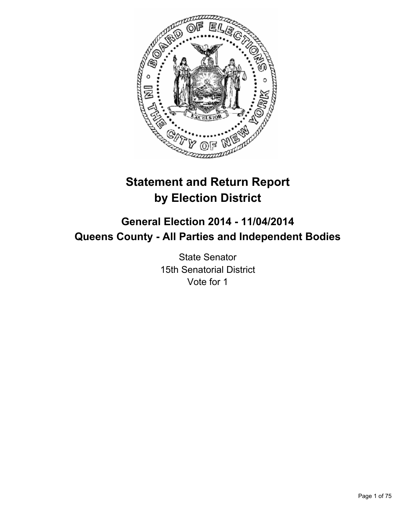

# **Statement and Return Report by Election District**

# **General Election 2014 - 11/04/2014 Queens County - All Parties and Independent Bodies**

State Senator 15th Senatorial District Vote for 1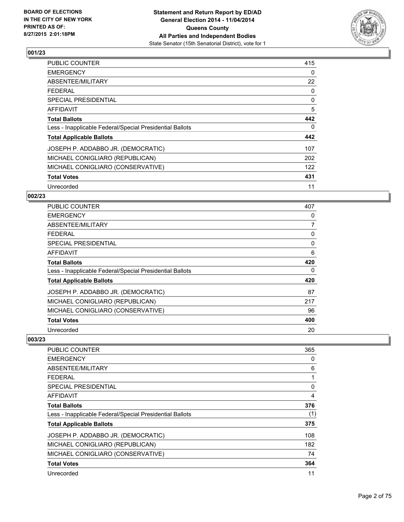

| <b>PUBLIC COUNTER</b>                                    | 415 |
|----------------------------------------------------------|-----|
| <b>EMERGENCY</b>                                         | 0   |
| ABSENTEE/MILITARY                                        | 22  |
| <b>FEDERAL</b>                                           | 0   |
| <b>SPECIAL PRESIDENTIAL</b>                              | 0   |
| AFFIDAVIT                                                | 5   |
| <b>Total Ballots</b>                                     | 442 |
| Less - Inapplicable Federal/Special Presidential Ballots | 0   |
| <b>Total Applicable Ballots</b>                          | 442 |
| JOSEPH P. ADDABBO JR. (DEMOCRATIC)                       | 107 |
| MICHAEL CONIGLIARO (REPUBLICAN)                          | 202 |
| MICHAEL CONIGLIARO (CONSERVATIVE)                        | 122 |
| <b>Total Votes</b>                                       | 431 |
| Unrecorded                                               | 11  |

## **002/23**

| <b>PUBLIC COUNTER</b>                                    | 407            |
|----------------------------------------------------------|----------------|
| <b>EMERGENCY</b>                                         | 0              |
| ABSENTEE/MILITARY                                        | $\overline{7}$ |
| <b>FEDERAL</b>                                           | 0              |
| <b>SPECIAL PRESIDENTIAL</b>                              | 0              |
| <b>AFFIDAVIT</b>                                         | 6              |
| <b>Total Ballots</b>                                     | 420            |
| Less - Inapplicable Federal/Special Presidential Ballots | 0              |
| <b>Total Applicable Ballots</b>                          | 420            |
| JOSEPH P. ADDABBO JR. (DEMOCRATIC)                       | 87             |
| MICHAEL CONIGLIARO (REPUBLICAN)                          | 217            |
| MICHAEL CONIGLIARO (CONSERVATIVE)                        | 96             |
| <b>Total Votes</b>                                       | 400            |
| Unrecorded                                               | 20             |

| <b>PUBLIC COUNTER</b>                                    | 365 |
|----------------------------------------------------------|-----|
| <b>EMERGENCY</b>                                         | 0   |
| ABSENTEE/MILITARY                                        | 6   |
| <b>FEDERAL</b>                                           |     |
| SPECIAL PRESIDENTIAL                                     | 0   |
| AFFIDAVIT                                                | 4   |
| <b>Total Ballots</b>                                     | 376 |
| Less - Inapplicable Federal/Special Presidential Ballots | (1) |
| <b>Total Applicable Ballots</b>                          | 375 |
| JOSEPH P. ADDABBO JR. (DEMOCRATIC)                       | 108 |
| MICHAEL CONIGLIARO (REPUBLICAN)                          | 182 |
| MICHAEL CONIGLIARO (CONSERVATIVE)                        | 74  |
| <b>Total Votes</b>                                       | 364 |
| Unrecorded                                               | 11  |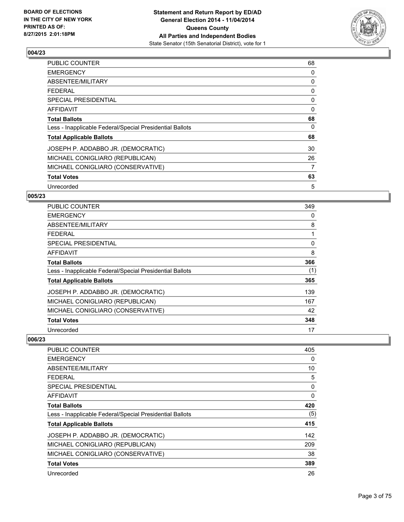

| <b>PUBLIC COUNTER</b>                                    | 68 |
|----------------------------------------------------------|----|
| <b>EMERGENCY</b>                                         | 0  |
| ABSENTEE/MILITARY                                        | 0  |
| <b>FEDERAL</b>                                           | 0  |
| <b>SPECIAL PRESIDENTIAL</b>                              | 0  |
| AFFIDAVIT                                                | 0  |
| <b>Total Ballots</b>                                     | 68 |
| Less - Inapplicable Federal/Special Presidential Ballots | 0  |
| <b>Total Applicable Ballots</b>                          | 68 |
| JOSEPH P. ADDABBO JR. (DEMOCRATIC)                       | 30 |
| MICHAEL CONIGLIARO (REPUBLICAN)                          | 26 |
| MICHAEL CONIGLIARO (CONSERVATIVE)                        | 7  |
| <b>Total Votes</b>                                       | 63 |
| Unrecorded                                               | 5  |

## **005/23**

| <b>PUBLIC COUNTER</b>                                    | 349 |
|----------------------------------------------------------|-----|
| <b>EMERGENCY</b>                                         | 0   |
| ABSENTEE/MILITARY                                        | 8   |
| <b>FEDERAL</b>                                           |     |
| SPECIAL PRESIDENTIAL                                     | 0   |
| <b>AFFIDAVIT</b>                                         | 8   |
| <b>Total Ballots</b>                                     | 366 |
| Less - Inapplicable Federal/Special Presidential Ballots | (1) |
| <b>Total Applicable Ballots</b>                          | 365 |
| JOSEPH P. ADDABBO JR. (DEMOCRATIC)                       | 139 |
| MICHAEL CONIGLIARO (REPUBLICAN)                          | 167 |
| MICHAEL CONIGLIARO (CONSERVATIVE)                        | 42  |
| <b>Total Votes</b>                                       | 348 |
| Unrecorded                                               | 17  |

| <b>PUBLIC COUNTER</b>                                    | 405 |
|----------------------------------------------------------|-----|
| <b>EMERGENCY</b>                                         | 0   |
| ABSENTEE/MILITARY                                        | 10  |
| FEDERAL                                                  | 5   |
| SPECIAL PRESIDENTIAL                                     | 0   |
| AFFIDAVIT                                                | 0   |
| <b>Total Ballots</b>                                     | 420 |
| Less - Inapplicable Federal/Special Presidential Ballots | (5) |
| <b>Total Applicable Ballots</b>                          | 415 |
| JOSEPH P. ADDABBO JR. (DEMOCRATIC)                       | 142 |
| MICHAEL CONIGLIARO (REPUBLICAN)                          | 209 |
| MICHAEL CONIGLIARO (CONSERVATIVE)                        | 38  |
| <b>Total Votes</b>                                       | 389 |
| Unrecorded                                               | 26  |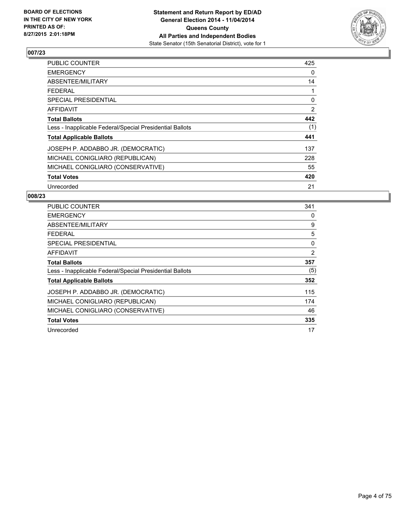

| <b>PUBLIC COUNTER</b>                                    | 425 |
|----------------------------------------------------------|-----|
| <b>EMERGENCY</b>                                         | 0   |
| ABSENTEE/MILITARY                                        | 14  |
| <b>FEDERAL</b>                                           | 1   |
| <b>SPECIAL PRESIDENTIAL</b>                              | 0   |
| AFFIDAVIT                                                | 2   |
| <b>Total Ballots</b>                                     | 442 |
| Less - Inapplicable Federal/Special Presidential Ballots | (1) |
| <b>Total Applicable Ballots</b>                          | 441 |
| JOSEPH P. ADDABBO JR. (DEMOCRATIC)                       | 137 |
| MICHAEL CONIGLIARO (REPUBLICAN)                          | 228 |
| MICHAEL CONIGLIARO (CONSERVATIVE)                        | 55  |
| <b>Total Votes</b>                                       | 420 |
| Unrecorded                                               | 21  |

| <b>PUBLIC COUNTER</b>                                    | 341 |
|----------------------------------------------------------|-----|
| <b>EMERGENCY</b>                                         | 0   |
| ABSENTEE/MILITARY                                        | 9   |
| <b>FEDERAL</b>                                           | 5   |
| <b>SPECIAL PRESIDENTIAL</b>                              | 0   |
| AFFIDAVIT                                                | 2   |
| <b>Total Ballots</b>                                     | 357 |
| Less - Inapplicable Federal/Special Presidential Ballots | (5) |
| <b>Total Applicable Ballots</b>                          | 352 |
| JOSEPH P. ADDABBO JR. (DEMOCRATIC)                       | 115 |
| MICHAEL CONIGLIARO (REPUBLICAN)                          | 174 |
| MICHAEL CONIGLIARO (CONSERVATIVE)                        | 46  |
| <b>Total Votes</b>                                       | 335 |
| Unrecorded                                               | 17  |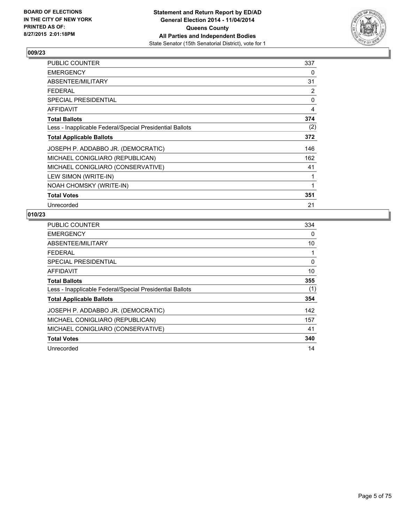

| <b>PUBLIC COUNTER</b>                                    | 337 |
|----------------------------------------------------------|-----|
| <b>EMERGENCY</b>                                         | 0   |
| ABSENTEE/MILITARY                                        | 31  |
| <b>FEDERAL</b>                                           | 2   |
| <b>SPECIAL PRESIDENTIAL</b>                              | 0   |
| AFFIDAVIT                                                | 4   |
| <b>Total Ballots</b>                                     | 374 |
| Less - Inapplicable Federal/Special Presidential Ballots | (2) |
| <b>Total Applicable Ballots</b>                          | 372 |
| JOSEPH P. ADDABBO JR. (DEMOCRATIC)                       | 146 |
| MICHAEL CONIGLIARO (REPUBLICAN)                          | 162 |
| MICHAEL CONIGLIARO (CONSERVATIVE)                        | 41  |
| LEW SIMON (WRITE-IN)                                     | 1   |
| NOAH CHOMSKY (WRITE-IN)                                  | 1   |
| <b>Total Votes</b>                                       | 351 |
| Unrecorded                                               | 21  |

| PUBLIC COUNTER                                           | 334 |
|----------------------------------------------------------|-----|
| <b>EMERGENCY</b>                                         | 0   |
| ABSENTEE/MILITARY                                        | 10  |
| <b>FEDERAL</b>                                           | 1   |
| <b>SPECIAL PRESIDENTIAL</b>                              | 0   |
| AFFIDAVIT                                                | 10  |
| <b>Total Ballots</b>                                     | 355 |
| Less - Inapplicable Federal/Special Presidential Ballots | (1) |
| <b>Total Applicable Ballots</b>                          | 354 |
| JOSEPH P. ADDABBO JR. (DEMOCRATIC)                       | 142 |
| MICHAEL CONIGLIARO (REPUBLICAN)                          | 157 |
| MICHAEL CONIGLIARO (CONSERVATIVE)                        | 41  |
| <b>Total Votes</b>                                       | 340 |
| Unrecorded                                               | 14  |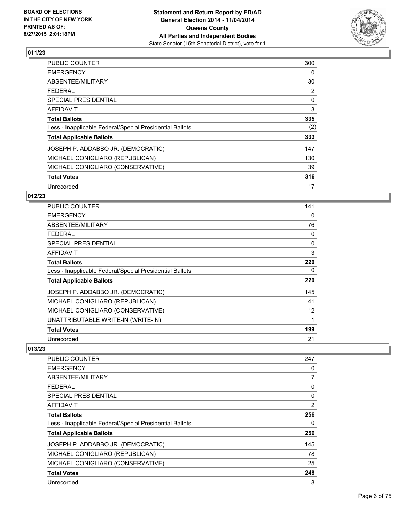

| PUBLIC COUNTER                                           | 300 |
|----------------------------------------------------------|-----|
| <b>EMERGENCY</b>                                         | 0   |
| ABSENTEE/MILITARY                                        | 30  |
| <b>FEDERAL</b>                                           | 2   |
| <b>SPECIAL PRESIDENTIAL</b>                              | 0   |
| AFFIDAVIT                                                | 3   |
| <b>Total Ballots</b>                                     | 335 |
| Less - Inapplicable Federal/Special Presidential Ballots | (2) |
| <b>Total Applicable Ballots</b>                          | 333 |
| JOSEPH P. ADDABBO JR. (DEMOCRATIC)                       | 147 |
| MICHAEL CONIGLIARO (REPUBLICAN)                          | 130 |
| MICHAEL CONIGLIARO (CONSERVATIVE)                        | 39  |
| <b>Total Votes</b>                                       | 316 |
| Unrecorded                                               | 17  |

# **012/23**

| <b>PUBLIC COUNTER</b>                                    | 141      |
|----------------------------------------------------------|----------|
| <b>EMERGENCY</b>                                         | 0        |
| ABSENTEE/MILITARY                                        | 76       |
| <b>FEDERAL</b>                                           | 0        |
| <b>SPECIAL PRESIDENTIAL</b>                              | $\Omega$ |
| <b>AFFIDAVIT</b>                                         | 3        |
| <b>Total Ballots</b>                                     | 220      |
| Less - Inapplicable Federal/Special Presidential Ballots | 0        |
| <b>Total Applicable Ballots</b>                          | 220      |
| JOSEPH P. ADDABBO JR. (DEMOCRATIC)                       | 145      |
| MICHAEL CONIGLIARO (REPUBLICAN)                          | 41       |
| MICHAEL CONIGLIARO (CONSERVATIVE)                        | 12       |
| UNATTRIBUTABLE WRITE-IN (WRITE-IN)                       | 1        |
| <b>Total Votes</b>                                       | 199      |
| Unrecorded                                               | 21       |

| PUBLIC COUNTER                                           | 247            |
|----------------------------------------------------------|----------------|
| <b>EMERGENCY</b>                                         | 0              |
| ABSENTEE/MILITARY                                        | 7              |
| <b>FEDERAL</b>                                           | 0              |
| <b>SPECIAL PRESIDENTIAL</b>                              | 0              |
| AFFIDAVIT                                                | $\overline{2}$ |
| <b>Total Ballots</b>                                     | 256            |
| Less - Inapplicable Federal/Special Presidential Ballots | 0              |
| <b>Total Applicable Ballots</b>                          | 256            |
| JOSEPH P. ADDABBO JR. (DEMOCRATIC)                       | 145            |
| MICHAEL CONIGLIARO (REPUBLICAN)                          | 78             |
| MICHAEL CONIGLIARO (CONSERVATIVE)                        | 25             |
| <b>Total Votes</b>                                       | 248            |
| Unrecorded                                               | 8              |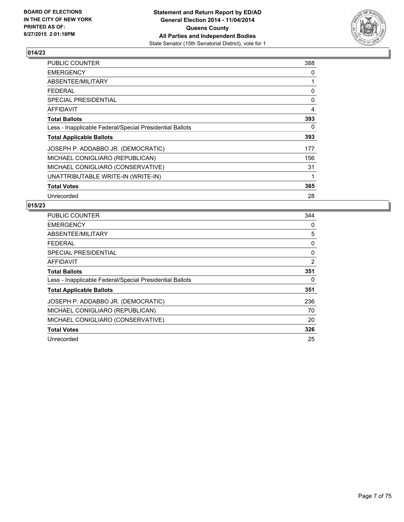

| PUBLIC COUNTER                                           | 388 |
|----------------------------------------------------------|-----|
| <b>EMERGENCY</b>                                         | 0   |
| ABSENTEE/MILITARY                                        | 1   |
| FEDERAL                                                  | 0   |
| <b>SPECIAL PRESIDENTIAL</b>                              | 0   |
| <b>AFFIDAVIT</b>                                         | 4   |
| <b>Total Ballots</b>                                     | 393 |
| Less - Inapplicable Federal/Special Presidential Ballots | 0   |
| <b>Total Applicable Ballots</b>                          | 393 |
| JOSEPH P. ADDABBO JR. (DEMOCRATIC)                       | 177 |
| MICHAEL CONIGLIARO (REPUBLICAN)                          | 156 |
| MICHAEL CONIGLIARO (CONSERVATIVE)                        | 31  |
| UNATTRIBUTABLE WRITE-IN (WRITE-IN)                       | 1   |
| <b>Total Votes</b>                                       | 365 |
| Unrecorded                                               | 28  |

| <b>PUBLIC COUNTER</b>                                    | 344            |
|----------------------------------------------------------|----------------|
| <b>EMERGENCY</b>                                         | 0              |
| ABSENTEE/MILITARY                                        | 5              |
| <b>FEDERAL</b>                                           | 0              |
| <b>SPECIAL PRESIDENTIAL</b>                              | 0              |
| <b>AFFIDAVIT</b>                                         | $\overline{2}$ |
| <b>Total Ballots</b>                                     | 351            |
| Less - Inapplicable Federal/Special Presidential Ballots | 0              |
| <b>Total Applicable Ballots</b>                          | 351            |
| JOSEPH P. ADDABBO JR. (DEMOCRATIC)                       | 236            |
| MICHAEL CONIGLIARO (REPUBLICAN)                          | 70             |
| MICHAEL CONIGLIARO (CONSERVATIVE)                        | 20             |
| <b>Total Votes</b>                                       | 326            |
| Unrecorded                                               | 25             |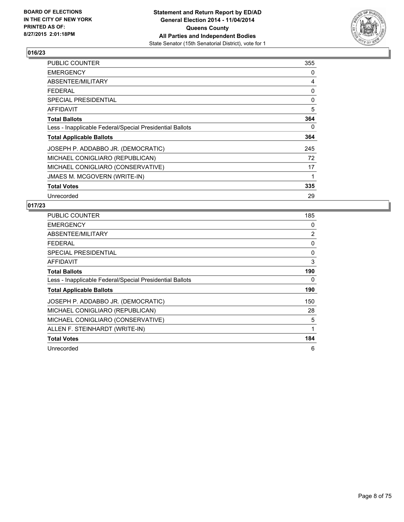

| PUBLIC COUNTER                                           | 355 |
|----------------------------------------------------------|-----|
| <b>EMERGENCY</b>                                         | 0   |
| ABSENTEE/MILITARY                                        | 4   |
| <b>FEDERAL</b>                                           | 0   |
| <b>SPECIAL PRESIDENTIAL</b>                              | 0   |
| <b>AFFIDAVIT</b>                                         | 5   |
| <b>Total Ballots</b>                                     | 364 |
| Less - Inapplicable Federal/Special Presidential Ballots | 0   |
| <b>Total Applicable Ballots</b>                          | 364 |
| JOSEPH P. ADDABBO JR. (DEMOCRATIC)                       | 245 |
| MICHAEL CONIGLIARO (REPUBLICAN)                          | 72  |
| MICHAEL CONIGLIARO (CONSERVATIVE)                        | 17  |
| <b>JMAES M. MCGOVERN (WRITE-IN)</b>                      | 1   |
| <b>Total Votes</b>                                       | 335 |
| Unrecorded                                               | 29  |

| <b>PUBLIC COUNTER</b>                                    | 185            |
|----------------------------------------------------------|----------------|
| <b>EMERGENCY</b>                                         | 0              |
| ABSENTEE/MILITARY                                        | $\overline{2}$ |
| <b>FEDERAL</b>                                           | 0              |
| SPECIAL PRESIDENTIAL                                     | $\Omega$       |
| <b>AFFIDAVIT</b>                                         | 3              |
| <b>Total Ballots</b>                                     | 190            |
| Less - Inapplicable Federal/Special Presidential Ballots | 0              |
| <b>Total Applicable Ballots</b>                          | 190            |
| JOSEPH P. ADDABBO JR. (DEMOCRATIC)                       | 150            |
| MICHAEL CONIGLIARO (REPUBLICAN)                          | 28             |
| MICHAEL CONIGLIARO (CONSERVATIVE)                        | 5              |
| ALLEN F. STEINHARDT (WRITE-IN)                           | 1              |
| <b>Total Votes</b>                                       | 184            |
| Unrecorded                                               | 6              |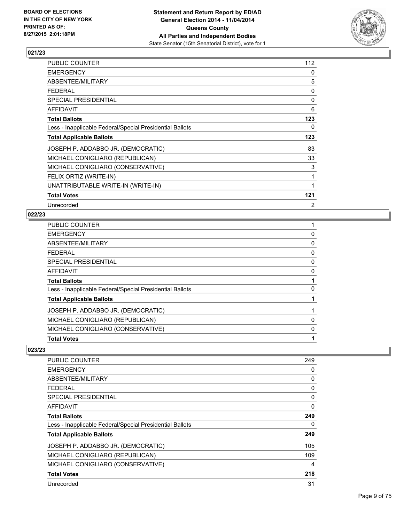

| <b>PUBLIC COUNTER</b>                                    | 112          |
|----------------------------------------------------------|--------------|
| <b>EMERGENCY</b>                                         | 0            |
| ABSENTEE/MILITARY                                        | 5            |
| <b>FEDERAL</b>                                           | 0            |
| <b>SPECIAL PRESIDENTIAL</b>                              | $\mathbf{0}$ |
| <b>AFFIDAVIT</b>                                         | 6            |
| <b>Total Ballots</b>                                     | 123          |
| Less - Inapplicable Federal/Special Presidential Ballots | 0            |
| <b>Total Applicable Ballots</b>                          | 123          |
| JOSEPH P. ADDABBO JR. (DEMOCRATIC)                       | 83           |
| MICHAEL CONIGLIARO (REPUBLICAN)                          | 33           |
| MICHAEL CONIGLIARO (CONSERVATIVE)                        | 3            |
| FELIX ORTIZ (WRITE-IN)                                   | 1            |
| UNATTRIBUTABLE WRITE-IN (WRITE-IN)                       | 1            |
| <b>Total Votes</b>                                       | 121          |
| Unrecorded                                               | 2            |

## **022/23**

| PUBLIC COUNTER                                           |   |
|----------------------------------------------------------|---|
| EMERGENCY                                                | 0 |
| ABSENTEE/MILITARY                                        | 0 |
| FEDERAL                                                  | 0 |
| SPECIAL PRESIDENTIAL                                     | 0 |
| AFFIDAVIT                                                | 0 |
| <b>Total Ballots</b>                                     |   |
| Less - Inapplicable Federal/Special Presidential Ballots | 0 |
| <b>Total Applicable Ballots</b>                          |   |
| JOSEPH P. ADDABBO JR. (DEMOCRATIC)                       |   |
| MICHAEL CONIGLIARO (REPUBLICAN)                          | 0 |
| MICHAEL CONIGLIARO (CONSERVATIVE)                        | 0 |
| <b>Total Votes</b>                                       |   |

| <b>PUBLIC COUNTER</b>                                    | 249 |
|----------------------------------------------------------|-----|
| <b>EMERGENCY</b>                                         | 0   |
| ABSENTEE/MILITARY                                        | 0   |
| <b>FEDERAL</b>                                           | 0   |
| <b>SPECIAL PRESIDENTIAL</b>                              | 0   |
| AFFIDAVIT                                                | 0   |
| <b>Total Ballots</b>                                     | 249 |
| Less - Inapplicable Federal/Special Presidential Ballots | 0   |
| <b>Total Applicable Ballots</b>                          | 249 |
| JOSEPH P. ADDABBO JR. (DEMOCRATIC)                       | 105 |
| MICHAEL CONIGLIARO (REPUBLICAN)                          | 109 |
| MICHAEL CONIGLIARO (CONSERVATIVE)                        | 4   |
| <b>Total Votes</b>                                       | 218 |
| Unrecorded                                               | 31  |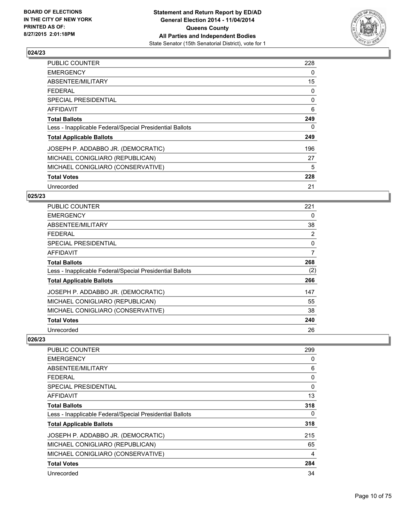

| <b>PUBLIC COUNTER</b>                                    | 228 |
|----------------------------------------------------------|-----|
| <b>EMERGENCY</b>                                         | 0   |
| ABSENTEE/MILITARY                                        | 15  |
| <b>FEDERAL</b>                                           | 0   |
| <b>SPECIAL PRESIDENTIAL</b>                              | 0   |
| <b>AFFIDAVIT</b>                                         | 6   |
| <b>Total Ballots</b>                                     | 249 |
| Less - Inapplicable Federal/Special Presidential Ballots | 0   |
| <b>Total Applicable Ballots</b>                          | 249 |
| JOSEPH P. ADDABBO JR. (DEMOCRATIC)                       | 196 |
| MICHAEL CONIGLIARO (REPUBLICAN)                          | 27  |
| MICHAEL CONIGLIARO (CONSERVATIVE)                        | 5   |
| <b>Total Votes</b>                                       | 228 |
| Unrecorded                                               | 21  |

## **025/23**

| <b>PUBLIC COUNTER</b>                                    | 221            |
|----------------------------------------------------------|----------------|
| <b>EMERGENCY</b>                                         | 0              |
| ABSENTEE/MILITARY                                        | 38             |
| <b>FEDERAL</b>                                           | $\overline{2}$ |
| SPECIAL PRESIDENTIAL                                     | 0              |
| AFFIDAVIT                                                | 7              |
| <b>Total Ballots</b>                                     | 268            |
| Less - Inapplicable Federal/Special Presidential Ballots | (2)            |
| <b>Total Applicable Ballots</b>                          | 266            |
| JOSEPH P. ADDABBO JR. (DEMOCRATIC)                       | 147            |
| MICHAEL CONIGLIARO (REPUBLICAN)                          | 55             |
| MICHAEL CONIGLIARO (CONSERVATIVE)                        | 38             |
| <b>Total Votes</b>                                       | 240            |
| Unrecorded                                               | 26             |

| <b>PUBLIC COUNTER</b>                                    | 299      |
|----------------------------------------------------------|----------|
| <b>EMERGENCY</b>                                         | 0        |
| ABSENTEE/MILITARY                                        | 6        |
| <b>FEDERAL</b>                                           | 0        |
| SPECIAL PRESIDENTIAL                                     | $\Omega$ |
| AFFIDAVIT                                                | 13       |
| <b>Total Ballots</b>                                     | 318      |
| Less - Inapplicable Federal/Special Presidential Ballots | 0        |
| <b>Total Applicable Ballots</b>                          | 318      |
| JOSEPH P. ADDABBO JR. (DEMOCRATIC)                       | 215      |
| MICHAEL CONIGLIARO (REPUBLICAN)                          | 65       |
| MICHAEL CONIGLIARO (CONSERVATIVE)                        | 4        |
| <b>Total Votes</b>                                       | 284      |
| Unrecorded                                               | 34       |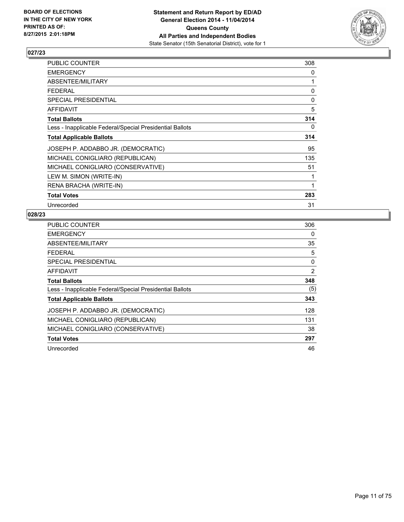

| PUBLIC COUNTER                                           | 308 |
|----------------------------------------------------------|-----|
| <b>EMERGENCY</b>                                         | 0   |
| ABSENTEE/MILITARY                                        | 1   |
| <b>FEDERAL</b>                                           | 0   |
| <b>SPECIAL PRESIDENTIAL</b>                              | 0   |
| <b>AFFIDAVIT</b>                                         | 5   |
| <b>Total Ballots</b>                                     | 314 |
| Less - Inapplicable Federal/Special Presidential Ballots | 0   |
| <b>Total Applicable Ballots</b>                          | 314 |
| JOSEPH P. ADDABBO JR. (DEMOCRATIC)                       | 95  |
| MICHAEL CONIGLIARO (REPUBLICAN)                          | 135 |
| MICHAEL CONIGLIARO (CONSERVATIVE)                        | 51  |
| LEW M. SIMON (WRITE-IN)                                  | 1   |
| RENA BRACHA (WRITE-IN)                                   | 1   |
| <b>Total Votes</b>                                       | 283 |
| Unrecorded                                               | 31  |

| <b>PUBLIC COUNTER</b>                                    | 306 |
|----------------------------------------------------------|-----|
| <b>EMERGENCY</b>                                         | 0   |
| ABSENTEE/MILITARY                                        | 35  |
| <b>FEDERAL</b>                                           | 5   |
| <b>SPECIAL PRESIDENTIAL</b>                              | 0   |
| <b>AFFIDAVIT</b>                                         | 2   |
| <b>Total Ballots</b>                                     | 348 |
| Less - Inapplicable Federal/Special Presidential Ballots | (5) |
| <b>Total Applicable Ballots</b>                          | 343 |
| JOSEPH P. ADDABBO JR. (DEMOCRATIC)                       | 128 |
| MICHAEL CONIGLIARO (REPUBLICAN)                          | 131 |
| MICHAEL CONIGLIARO (CONSERVATIVE)                        | 38  |
| <b>Total Votes</b>                                       | 297 |
| Unrecorded                                               | 46  |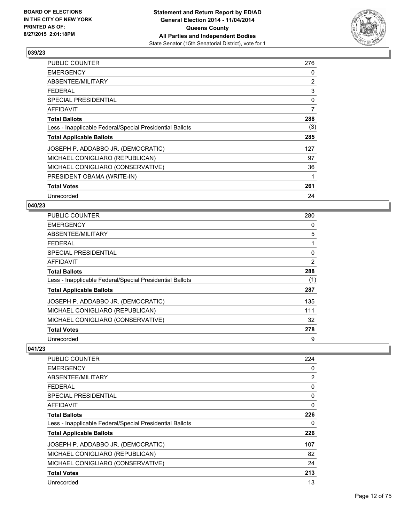

| PUBLIC COUNTER                                           | 276 |
|----------------------------------------------------------|-----|
| <b>EMERGENCY</b>                                         | 0   |
| <b>ABSENTEE/MILITARY</b>                                 | 2   |
| <b>FEDERAL</b>                                           | 3   |
| <b>SPECIAL PRESIDENTIAL</b>                              | 0   |
| <b>AFFIDAVIT</b>                                         | 7   |
| <b>Total Ballots</b>                                     | 288 |
| Less - Inapplicable Federal/Special Presidential Ballots | (3) |
| <b>Total Applicable Ballots</b>                          | 285 |
| JOSEPH P. ADDABBO JR. (DEMOCRATIC)                       | 127 |
| MICHAEL CONIGLIARO (REPUBLICAN)                          | 97  |
| MICHAEL CONIGLIARO (CONSERVATIVE)                        | 36  |
| PRESIDENT OBAMA (WRITE-IN)                               | 1   |
| <b>Total Votes</b>                                       | 261 |
| Unrecorded                                               | 24  |

## **040/23**

| PUBLIC COUNTER                                           | 280 |
|----------------------------------------------------------|-----|
| <b>EMERGENCY</b>                                         | 0   |
| ABSENTEE/MILITARY                                        | 5   |
| <b>FEDERAL</b>                                           | 1   |
| SPECIAL PRESIDENTIAL                                     | 0   |
| <b>AFFIDAVIT</b>                                         | 2   |
| <b>Total Ballots</b>                                     | 288 |
| Less - Inapplicable Federal/Special Presidential Ballots | (1) |
| <b>Total Applicable Ballots</b>                          | 287 |
| JOSEPH P. ADDABBO JR. (DEMOCRATIC)                       | 135 |
| MICHAEL CONIGLIARO (REPUBLICAN)                          | 111 |
| MICHAEL CONIGLIARO (CONSERVATIVE)                        | 32  |
| <b>Total Votes</b>                                       | 278 |
| Unrecorded                                               | 9   |

| PUBLIC COUNTER                                           | 224            |
|----------------------------------------------------------|----------------|
| <b>EMERGENCY</b>                                         | 0              |
| ABSENTEE/MILITARY                                        | $\overline{2}$ |
| <b>FEDERAL</b>                                           | 0              |
| <b>SPECIAL PRESIDENTIAL</b>                              | 0              |
| AFFIDAVIT                                                | 0              |
| <b>Total Ballots</b>                                     | 226            |
| Less - Inapplicable Federal/Special Presidential Ballots | 0              |
| <b>Total Applicable Ballots</b>                          | 226            |
| JOSEPH P. ADDABBO JR. (DEMOCRATIC)                       | 107            |
| MICHAEL CONIGLIARO (REPUBLICAN)                          | 82             |
| MICHAEL CONIGLIARO (CONSERVATIVE)                        | 24             |
| <b>Total Votes</b>                                       | 213            |
| Unrecorded                                               | 13             |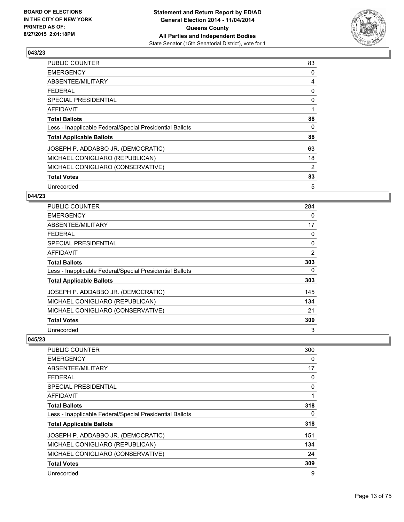

| <b>PUBLIC COUNTER</b>                                    | 83 |
|----------------------------------------------------------|----|
| <b>EMERGENCY</b>                                         | 0  |
| ABSENTEE/MILITARY                                        | 4  |
| <b>FEDERAL</b>                                           | 0  |
| <b>SPECIAL PRESIDENTIAL</b>                              | 0  |
| AFFIDAVIT                                                |    |
| <b>Total Ballots</b>                                     | 88 |
| Less - Inapplicable Federal/Special Presidential Ballots | 0  |
| <b>Total Applicable Ballots</b>                          | 88 |
| JOSEPH P. ADDABBO JR. (DEMOCRATIC)                       | 63 |
| MICHAEL CONIGLIARO (REPUBLICAN)                          | 18 |
| MICHAEL CONIGLIARO (CONSERVATIVE)                        | 2  |
| <b>Total Votes</b>                                       | 83 |
| Unrecorded                                               | 5  |

## **044/23**

| <b>PUBLIC COUNTER</b>                                    | 284            |
|----------------------------------------------------------|----------------|
| <b>EMERGENCY</b>                                         | 0              |
| ABSENTEE/MILITARY                                        | 17             |
| <b>FEDERAL</b>                                           | 0              |
| <b>SPECIAL PRESIDENTIAL</b>                              | 0              |
| AFFIDAVIT                                                | $\overline{2}$ |
| <b>Total Ballots</b>                                     | 303            |
| Less - Inapplicable Federal/Special Presidential Ballots | 0              |
| <b>Total Applicable Ballots</b>                          | 303            |
| JOSEPH P. ADDABBO JR. (DEMOCRATIC)                       | 145            |
| MICHAEL CONIGLIARO (REPUBLICAN)                          | 134            |
| MICHAEL CONIGLIARO (CONSERVATIVE)                        | 21             |
| <b>Total Votes</b>                                       | 300            |
| Unrecorded                                               | 3              |

| <b>PUBLIC COUNTER</b>                                    | 300 |
|----------------------------------------------------------|-----|
| <b>EMERGENCY</b>                                         | 0   |
| ABSENTEE/MILITARY                                        | 17  |
| <b>FEDERAL</b>                                           | 0   |
| SPECIAL PRESIDENTIAL                                     | 0   |
| AFFIDAVIT                                                |     |
| <b>Total Ballots</b>                                     | 318 |
| Less - Inapplicable Federal/Special Presidential Ballots | 0   |
| <b>Total Applicable Ballots</b>                          | 318 |
| JOSEPH P. ADDABBO JR. (DEMOCRATIC)                       | 151 |
| MICHAEL CONIGLIARO (REPUBLICAN)                          | 134 |
| MICHAEL CONIGLIARO (CONSERVATIVE)                        | 24  |
| <b>Total Votes</b>                                       | 309 |
| Unrecorded                                               | 9   |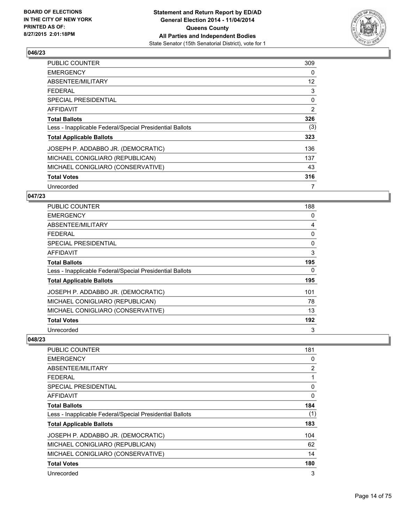

| <b>PUBLIC COUNTER</b>                                    | 309 |
|----------------------------------------------------------|-----|
| <b>EMERGENCY</b>                                         | 0   |
| ABSENTEE/MILITARY                                        | 12  |
| <b>FEDERAL</b>                                           | 3   |
| <b>SPECIAL PRESIDENTIAL</b>                              | 0   |
| <b>AFFIDAVIT</b>                                         | 2   |
| <b>Total Ballots</b>                                     | 326 |
| Less - Inapplicable Federal/Special Presidential Ballots | (3) |
| <b>Total Applicable Ballots</b>                          | 323 |
| JOSEPH P. ADDABBO JR. (DEMOCRATIC)                       | 136 |
| MICHAEL CONIGLIARO (REPUBLICAN)                          | 137 |
| MICHAEL CONIGLIARO (CONSERVATIVE)                        | 43  |
| <b>Total Votes</b>                                       | 316 |
| Unrecorded                                               | 7   |

#### **047/23**

| PUBLIC COUNTER                                           | 188      |
|----------------------------------------------------------|----------|
| <b>EMERGENCY</b>                                         | 0        |
| ABSENTEE/MILITARY                                        | 4        |
| <b>FEDERAL</b>                                           | 0        |
| <b>SPECIAL PRESIDENTIAL</b>                              | $\Omega$ |
| AFFIDAVIT                                                | 3        |
| <b>Total Ballots</b>                                     | 195      |
| Less - Inapplicable Federal/Special Presidential Ballots | 0        |
| <b>Total Applicable Ballots</b>                          | 195      |
| JOSEPH P. ADDABBO JR. (DEMOCRATIC)                       | 101      |
| MICHAEL CONIGLIARO (REPUBLICAN)                          | 78       |
| MICHAEL CONIGLIARO (CONSERVATIVE)                        | 13       |
| <b>Total Votes</b>                                       | 192      |
| Unrecorded                                               | 3        |

| <b>PUBLIC COUNTER</b>                                    | 181 |
|----------------------------------------------------------|-----|
| <b>EMERGENCY</b>                                         | 0   |
| ABSENTEE/MILITARY                                        | 2   |
| <b>FEDERAL</b>                                           |     |
| SPECIAL PRESIDENTIAL                                     | 0   |
| AFFIDAVIT                                                | 0   |
| <b>Total Ballots</b>                                     | 184 |
| Less - Inapplicable Federal/Special Presidential Ballots | (1) |
| <b>Total Applicable Ballots</b>                          | 183 |
| JOSEPH P. ADDABBO JR. (DEMOCRATIC)                       | 104 |
| MICHAEL CONIGLIARO (REPUBLICAN)                          | 62  |
| MICHAEL CONIGLIARO (CONSERVATIVE)                        | 14  |
| <b>Total Votes</b>                                       | 180 |
| Unrecorded                                               | 3   |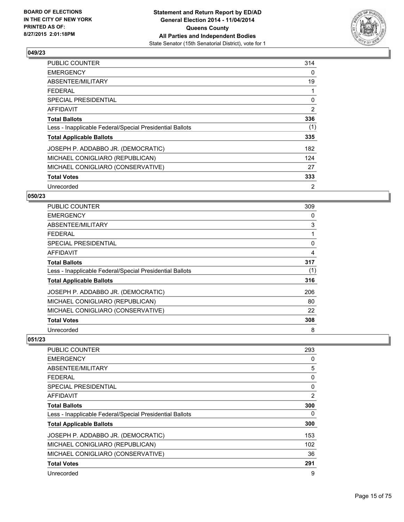

| PUBLIC COUNTER                                           | 314 |
|----------------------------------------------------------|-----|
| <b>EMERGENCY</b>                                         | 0   |
| ABSENTEE/MILITARY                                        | 19  |
| <b>FEDERAL</b>                                           | 1   |
| <b>SPECIAL PRESIDENTIAL</b>                              | 0   |
| <b>AFFIDAVIT</b>                                         | 2   |
| <b>Total Ballots</b>                                     | 336 |
| Less - Inapplicable Federal/Special Presidential Ballots | (1) |
| <b>Total Applicable Ballots</b>                          | 335 |
| JOSEPH P. ADDABBO JR. (DEMOCRATIC)                       | 182 |
| MICHAEL CONIGLIARO (REPUBLICAN)                          | 124 |
| MICHAEL CONIGLIARO (CONSERVATIVE)                        | 27  |
| <b>Total Votes</b>                                       | 333 |
| Unrecorded                                               | 2   |

## **050/23**

| <b>PUBLIC COUNTER</b>                                    | 309 |
|----------------------------------------------------------|-----|
| <b>EMERGENCY</b>                                         | 0   |
| ABSENTEE/MILITARY                                        | 3   |
| <b>FEDERAL</b>                                           |     |
| SPECIAL PRESIDENTIAL                                     | 0   |
| AFFIDAVIT                                                | 4   |
| <b>Total Ballots</b>                                     | 317 |
| Less - Inapplicable Federal/Special Presidential Ballots | (1) |
| <b>Total Applicable Ballots</b>                          | 316 |
| JOSEPH P. ADDABBO JR. (DEMOCRATIC)                       | 206 |
| MICHAEL CONIGLIARO (REPUBLICAN)                          | 80  |
| MICHAEL CONIGLIARO (CONSERVATIVE)                        | 22  |
| <b>Total Votes</b>                                       | 308 |
| Unrecorded                                               | 8   |

| PUBLIC COUNTER                                           | 293 |
|----------------------------------------------------------|-----|
| <b>EMERGENCY</b>                                         | 0   |
| ABSENTEE/MILITARY                                        | 5   |
| <b>FEDERAL</b>                                           | 0   |
| SPECIAL PRESIDENTIAL                                     | 0   |
| AFFIDAVIT                                                | 2   |
| <b>Total Ballots</b>                                     | 300 |
| Less - Inapplicable Federal/Special Presidential Ballots | 0   |
| <b>Total Applicable Ballots</b>                          | 300 |
| JOSEPH P. ADDABBO JR. (DEMOCRATIC)                       | 153 |
| MICHAEL CONIGLIARO (REPUBLICAN)                          | 102 |
| MICHAEL CONIGLIARO (CONSERVATIVE)                        | 36  |
| <b>Total Votes</b>                                       | 291 |
| Unrecorded                                               | 9   |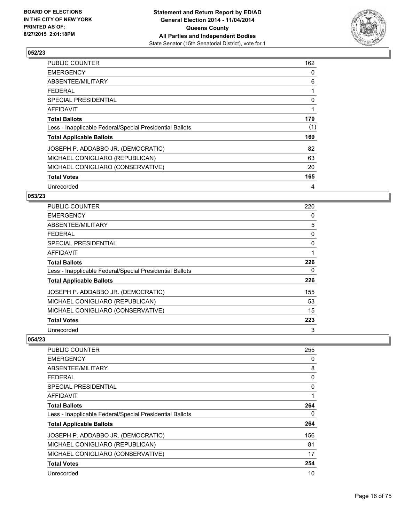

| PUBLIC COUNTER                                           | 162 |
|----------------------------------------------------------|-----|
| <b>EMERGENCY</b>                                         | 0   |
| ABSENTEE/MILITARY                                        | 6   |
| <b>FEDERAL</b>                                           |     |
| SPECIAL PRESIDENTIAL                                     | 0   |
| AFFIDAVIT                                                | 1   |
| <b>Total Ballots</b>                                     | 170 |
| Less - Inapplicable Federal/Special Presidential Ballots | (1) |
| <b>Total Applicable Ballots</b>                          | 169 |
| JOSEPH P. ADDABBO JR. (DEMOCRATIC)                       | 82  |
| MICHAEL CONIGLIARO (REPUBLICAN)                          | 63  |
| MICHAEL CONIGLIARO (CONSERVATIVE)                        | 20  |
| <b>Total Votes</b>                                       | 165 |
| Unrecorded                                               | 4   |

## **053/23**

| <b>PUBLIC COUNTER</b>                                    | 220      |
|----------------------------------------------------------|----------|
| <b>EMERGENCY</b>                                         | 0        |
| ABSENTEE/MILITARY                                        | 5        |
| <b>FEDERAL</b>                                           | 0        |
| SPECIAL PRESIDENTIAL                                     | $\Omega$ |
| AFFIDAVIT                                                | 1        |
| <b>Total Ballots</b>                                     | 226      |
| Less - Inapplicable Federal/Special Presidential Ballots | 0        |
| <b>Total Applicable Ballots</b>                          | 226      |
| JOSEPH P. ADDABBO JR. (DEMOCRATIC)                       | 155      |
| MICHAEL CONIGLIARO (REPUBLICAN)                          | 53       |
| MICHAEL CONIGLIARO (CONSERVATIVE)                        | 15       |
| <b>Total Votes</b>                                       | 223      |
| Unrecorded                                               | 3        |

| <b>PUBLIC COUNTER</b>                                    | 255 |
|----------------------------------------------------------|-----|
| <b>EMERGENCY</b>                                         | 0   |
| ABSENTEE/MILITARY                                        | 8   |
| <b>FEDERAL</b>                                           | 0   |
| SPECIAL PRESIDENTIAL                                     | 0   |
| AFFIDAVIT                                                |     |
| <b>Total Ballots</b>                                     | 264 |
| Less - Inapplicable Federal/Special Presidential Ballots | 0   |
| <b>Total Applicable Ballots</b>                          | 264 |
| JOSEPH P. ADDABBO JR. (DEMOCRATIC)                       | 156 |
| MICHAEL CONIGLIARO (REPUBLICAN)                          | 81  |
| MICHAEL CONIGLIARO (CONSERVATIVE)                        | 17  |
| <b>Total Votes</b>                                       | 254 |
| Unrecorded                                               | 10  |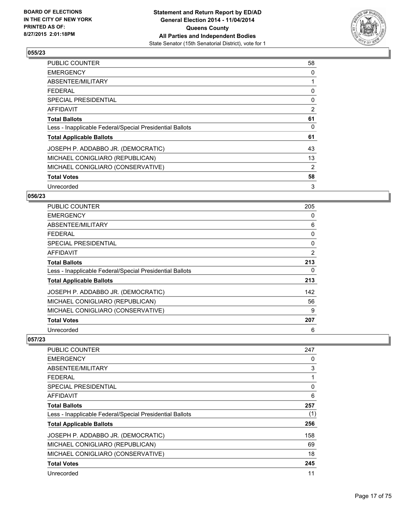

| PUBLIC COUNTER                                           | 58 |
|----------------------------------------------------------|----|
| <b>EMERGENCY</b>                                         | 0  |
| ABSENTEE/MILITARY                                        |    |
| <b>FEDERAL</b>                                           | 0  |
| <b>SPECIAL PRESIDENTIAL</b>                              | 0  |
| AFFIDAVIT                                                | 2  |
| <b>Total Ballots</b>                                     | 61 |
| Less - Inapplicable Federal/Special Presidential Ballots | 0  |
| <b>Total Applicable Ballots</b>                          | 61 |
| JOSEPH P. ADDABBO JR. (DEMOCRATIC)                       | 43 |
| MICHAEL CONIGLIARO (REPUBLICAN)                          | 13 |
| MICHAEL CONIGLIARO (CONSERVATIVE)                        | 2  |
| <b>Total Votes</b>                                       | 58 |
| Unrecorded                                               | 3  |

## **056/23**

| PUBLIC COUNTER                                           | 205 |
|----------------------------------------------------------|-----|
| <b>EMERGENCY</b>                                         | 0   |
| ABSENTEE/MILITARY                                        | 6   |
| <b>FEDERAL</b>                                           | 0   |
| <b>SPECIAL PRESIDENTIAL</b>                              | 0   |
| AFFIDAVIT                                                | 2   |
| <b>Total Ballots</b>                                     | 213 |
| Less - Inapplicable Federal/Special Presidential Ballots | 0   |
| <b>Total Applicable Ballots</b>                          | 213 |
| JOSEPH P. ADDABBO JR. (DEMOCRATIC)                       | 142 |
| MICHAEL CONIGLIARO (REPUBLICAN)                          | 56  |
| MICHAEL CONIGLIARO (CONSERVATIVE)                        | 9   |
| <b>Total Votes</b>                                       | 207 |
| Unrecorded                                               | 6   |

| <b>PUBLIC COUNTER</b>                                    | 247 |
|----------------------------------------------------------|-----|
| <b>EMERGENCY</b>                                         | 0   |
| ABSENTEE/MILITARY                                        | 3   |
| <b>FEDERAL</b>                                           | 1   |
| <b>SPECIAL PRESIDENTIAL</b>                              | 0   |
| AFFIDAVIT                                                | 6   |
| <b>Total Ballots</b>                                     | 257 |
| Less - Inapplicable Federal/Special Presidential Ballots | (1) |
| <b>Total Applicable Ballots</b>                          | 256 |
| JOSEPH P. ADDABBO JR. (DEMOCRATIC)                       | 158 |
| MICHAEL CONIGLIARO (REPUBLICAN)                          | 69  |
| MICHAEL CONIGLIARO (CONSERVATIVE)                        | 18  |
| <b>Total Votes</b>                                       | 245 |
| Unrecorded                                               | 11  |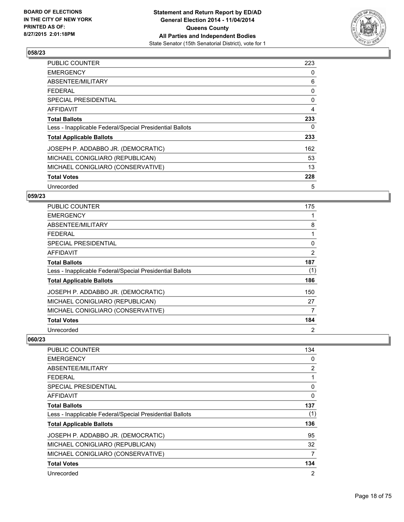

| PUBLIC COUNTER                                           | 223 |
|----------------------------------------------------------|-----|
| <b>EMERGENCY</b>                                         | 0   |
| ABSENTEE/MILITARY                                        | 6   |
| <b>FEDERAL</b>                                           | 0   |
| SPECIAL PRESIDENTIAL                                     | 0   |
| AFFIDAVIT                                                | 4   |
| <b>Total Ballots</b>                                     | 233 |
| Less - Inapplicable Federal/Special Presidential Ballots | 0   |
| <b>Total Applicable Ballots</b>                          | 233 |
| JOSEPH P. ADDABBO JR. (DEMOCRATIC)                       | 162 |
| MICHAEL CONIGLIARO (REPUBLICAN)                          | 53  |
| MICHAEL CONIGLIARO (CONSERVATIVE)                        | 13  |
| <b>Total Votes</b>                                       | 228 |
| Unrecorded                                               | 5   |

## **059/23**

| <b>PUBLIC COUNTER</b>                                    | 175            |
|----------------------------------------------------------|----------------|
| <b>EMERGENCY</b>                                         |                |
| ABSENTEE/MILITARY                                        | 8              |
| <b>FEDERAL</b>                                           |                |
| <b>SPECIAL PRESIDENTIAL</b>                              | $\Omega$       |
| <b>AFFIDAVIT</b>                                         | 2              |
| <b>Total Ballots</b>                                     | 187            |
| Less - Inapplicable Federal/Special Presidential Ballots | (1)            |
| <b>Total Applicable Ballots</b>                          | 186            |
| JOSEPH P. ADDABBO JR. (DEMOCRATIC)                       | 150            |
| MICHAEL CONIGLIARO (REPUBLICAN)                          | 27             |
| MICHAEL CONIGLIARO (CONSERVATIVE)                        | 7              |
| <b>Total Votes</b>                                       | 184            |
| Unrecorded                                               | $\overline{2}$ |

| <b>PUBLIC COUNTER</b>                                    | 134            |
|----------------------------------------------------------|----------------|
| <b>EMERGENCY</b>                                         | 0              |
| ABSENTEE/MILITARY                                        | 2              |
| <b>FEDERAL</b>                                           |                |
| SPECIAL PRESIDENTIAL                                     | 0              |
| AFFIDAVIT                                                | 0              |
| <b>Total Ballots</b>                                     | 137            |
| Less - Inapplicable Federal/Special Presidential Ballots | (1)            |
| <b>Total Applicable Ballots</b>                          | 136            |
| JOSEPH P. ADDABBO JR. (DEMOCRATIC)                       | 95             |
| MICHAEL CONIGLIARO (REPUBLICAN)                          | 32             |
| MICHAEL CONIGLIARO (CONSERVATIVE)                        | 7              |
| <b>Total Votes</b>                                       | 134            |
| Unrecorded                                               | $\overline{2}$ |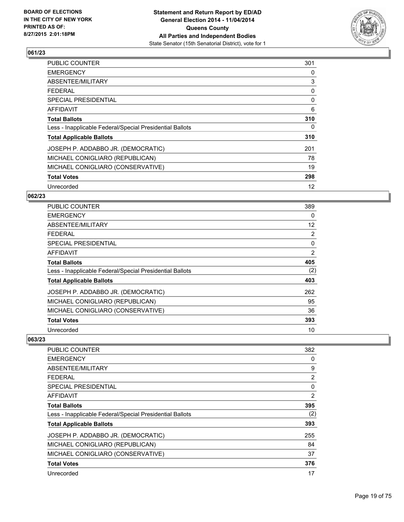

| PUBLIC COUNTER                                           | 301 |
|----------------------------------------------------------|-----|
| <b>EMERGENCY</b>                                         | 0   |
| ABSENTEE/MILITARY                                        | 3   |
| <b>FEDERAL</b>                                           | 0   |
| <b>SPECIAL PRESIDENTIAL</b>                              | 0   |
| <b>AFFIDAVIT</b>                                         | 6   |
| <b>Total Ballots</b>                                     | 310 |
| Less - Inapplicable Federal/Special Presidential Ballots | 0   |
| <b>Total Applicable Ballots</b>                          | 310 |
| JOSEPH P. ADDABBO JR. (DEMOCRATIC)                       | 201 |
| MICHAEL CONIGLIARO (REPUBLICAN)                          | 78  |
| MICHAEL CONIGLIARO (CONSERVATIVE)                        | 19  |
| <b>Total Votes</b>                                       | 298 |
| Unrecorded                                               | 12  |

## **062/23**

| <b>PUBLIC COUNTER</b>                                    | 389            |
|----------------------------------------------------------|----------------|
| <b>EMERGENCY</b>                                         | 0              |
| ABSENTEE/MILITARY                                        | 12             |
| <b>FEDERAL</b>                                           | $\overline{2}$ |
| SPECIAL PRESIDENTIAL                                     | 0              |
| <b>AFFIDAVIT</b>                                         | $\overline{2}$ |
| <b>Total Ballots</b>                                     | 405            |
| Less - Inapplicable Federal/Special Presidential Ballots | (2)            |
| <b>Total Applicable Ballots</b>                          | 403            |
| JOSEPH P. ADDABBO JR. (DEMOCRATIC)                       | 262            |
| MICHAEL CONIGLIARO (REPUBLICAN)                          | 95             |
| MICHAEL CONIGLIARO (CONSERVATIVE)                        | 36             |
| <b>Total Votes</b>                                       | 393            |
| Unrecorded                                               | 10             |

| <b>PUBLIC COUNTER</b>                                    | 382 |
|----------------------------------------------------------|-----|
| <b>EMERGENCY</b>                                         | 0   |
| ABSENTEE/MILITARY                                        | 9   |
| <b>FEDERAL</b>                                           | 2   |
| SPECIAL PRESIDENTIAL                                     | 0   |
| AFFIDAVIT                                                | 2   |
| <b>Total Ballots</b>                                     | 395 |
| Less - Inapplicable Federal/Special Presidential Ballots | (2) |
| <b>Total Applicable Ballots</b>                          | 393 |
| JOSEPH P. ADDABBO JR. (DEMOCRATIC)                       | 255 |
| MICHAEL CONIGLIARO (REPUBLICAN)                          | 84  |
| MICHAEL CONIGLIARO (CONSERVATIVE)                        | 37  |
| <b>Total Votes</b>                                       | 376 |
| Unrecorded                                               | 17  |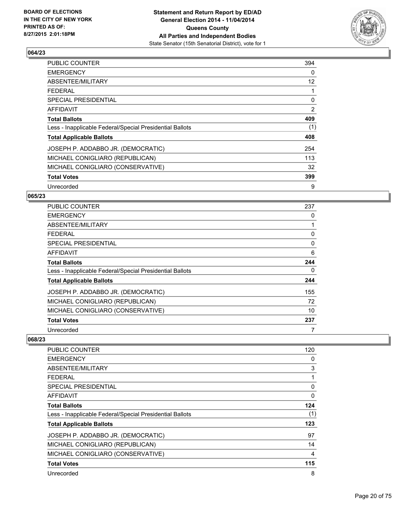

| <b>PUBLIC COUNTER</b>                                    | 394 |
|----------------------------------------------------------|-----|
| <b>EMERGENCY</b>                                         | 0   |
| ABSENTEE/MILITARY                                        | 12  |
| <b>FEDERAL</b>                                           | 1   |
| SPECIAL PRESIDENTIAL                                     | 0   |
| <b>AFFIDAVIT</b>                                         | 2   |
| <b>Total Ballots</b>                                     | 409 |
| Less - Inapplicable Federal/Special Presidential Ballots | (1) |
| <b>Total Applicable Ballots</b>                          | 408 |
| JOSEPH P. ADDABBO JR. (DEMOCRATIC)                       | 254 |
| MICHAEL CONIGLIARO (REPUBLICAN)                          | 113 |
| MICHAEL CONIGLIARO (CONSERVATIVE)                        | 32  |
| <b>Total Votes</b>                                       | 399 |
| Unrecorded                                               | 9   |

#### **065/23**

| <b>PUBLIC COUNTER</b>                                    | 237      |
|----------------------------------------------------------|----------|
| <b>EMERGENCY</b>                                         | 0        |
| ABSENTEE/MILITARY                                        |          |
| <b>FEDERAL</b>                                           | 0        |
| SPECIAL PRESIDENTIAL                                     | $\Omega$ |
| AFFIDAVIT                                                | 6        |
| <b>Total Ballots</b>                                     | 244      |
| Less - Inapplicable Federal/Special Presidential Ballots | 0        |
| <b>Total Applicable Ballots</b>                          | 244      |
| JOSEPH P. ADDABBO JR. (DEMOCRATIC)                       | 155      |
| MICHAEL CONIGLIARO (REPUBLICAN)                          | 72       |
| MICHAEL CONIGLIARO (CONSERVATIVE)                        | 10       |
| <b>Total Votes</b>                                       | 237      |
| Unrecorded                                               | 7        |

| PUBLIC COUNTER                                           | 120 |
|----------------------------------------------------------|-----|
| <b>EMERGENCY</b>                                         | 0   |
| ABSENTEE/MILITARY                                        | 3   |
| <b>FEDERAL</b>                                           | 1   |
| SPECIAL PRESIDENTIAL                                     | 0   |
| <b>AFFIDAVIT</b>                                         | 0   |
| <b>Total Ballots</b>                                     | 124 |
| Less - Inapplicable Federal/Special Presidential Ballots | (1) |
| <b>Total Applicable Ballots</b>                          | 123 |
| JOSEPH P. ADDABBO JR. (DEMOCRATIC)                       | 97  |
| MICHAEL CONIGLIARO (REPUBLICAN)                          | 14  |
| MICHAEL CONIGLIARO (CONSERVATIVE)                        | 4   |
| <b>Total Votes</b>                                       | 115 |
| Unrecorded                                               | 8   |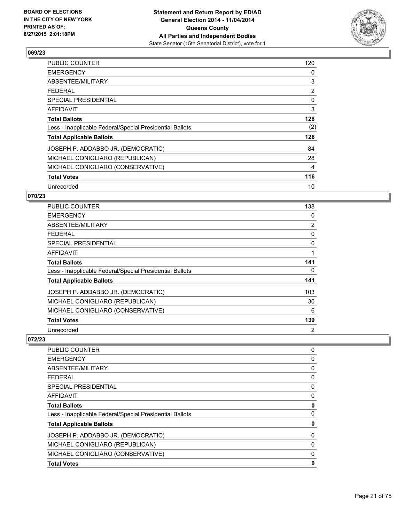

| PUBLIC COUNTER                                           | 120            |
|----------------------------------------------------------|----------------|
| <b>EMERGENCY</b>                                         | 0              |
| ABSENTEE/MILITARY                                        | 3              |
| <b>FEDERAL</b>                                           | $\overline{2}$ |
| <b>SPECIAL PRESIDENTIAL</b>                              | 0              |
| AFFIDAVIT                                                | 3              |
| <b>Total Ballots</b>                                     | 128            |
| Less - Inapplicable Federal/Special Presidential Ballots | (2)            |
| <b>Total Applicable Ballots</b>                          | 126            |
| JOSEPH P. ADDABBO JR. (DEMOCRATIC)                       | 84             |
| MICHAEL CONIGLIARO (REPUBLICAN)                          | 28             |
| MICHAEL CONIGLIARO (CONSERVATIVE)                        | 4              |
| <b>Total Votes</b>                                       | 116            |
| Unrecorded                                               | 10             |

## **070/23**

| <b>PUBLIC COUNTER</b>                                    | 138            |
|----------------------------------------------------------|----------------|
| <b>EMERGENCY</b>                                         | 0              |
| ABSENTEE/MILITARY                                        | $\overline{2}$ |
| <b>FEDERAL</b>                                           | 0              |
| <b>SPECIAL PRESIDENTIAL</b>                              | $\Omega$       |
| <b>AFFIDAVIT</b>                                         |                |
| <b>Total Ballots</b>                                     | 141            |
| Less - Inapplicable Federal/Special Presidential Ballots | 0              |
| <b>Total Applicable Ballots</b>                          | 141            |
| JOSEPH P. ADDABBO JR. (DEMOCRATIC)                       | 103            |
| MICHAEL CONIGLIARO (REPUBLICAN)                          | 30             |
| MICHAEL CONIGLIARO (CONSERVATIVE)                        | 6              |
| <b>Total Votes</b>                                       | 139            |
| Unrecorded                                               | $\overline{2}$ |

| <b>PUBLIC COUNTER</b>                                    | 0 |
|----------------------------------------------------------|---|
| <b>EMERGENCY</b>                                         | 0 |
| ABSENTEE/MILITARY                                        | 0 |
| <b>FEDERAL</b>                                           | 0 |
| <b>SPECIAL PRESIDENTIAL</b>                              | 0 |
| <b>AFFIDAVIT</b>                                         | 0 |
| <b>Total Ballots</b>                                     | 0 |
| Less - Inapplicable Federal/Special Presidential Ballots | 0 |
| <b>Total Applicable Ballots</b>                          | 0 |
| JOSEPH P. ADDABBO JR. (DEMOCRATIC)                       | 0 |
| MICHAEL CONIGLIARO (REPUBLICAN)                          | 0 |
| MICHAEL CONIGLIARO (CONSERVATIVE)                        | 0 |
| <b>Total Votes</b>                                       | 0 |
|                                                          |   |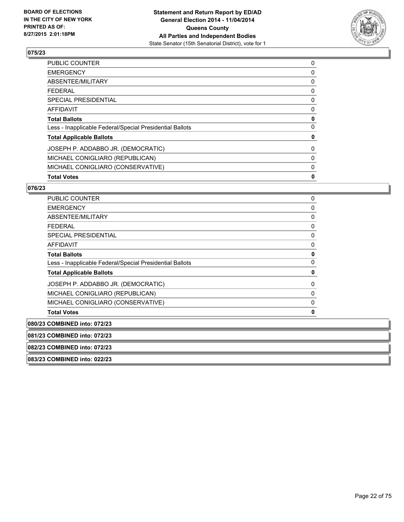

| <b>Total Votes</b>                                       | 0 |
|----------------------------------------------------------|---|
| MICHAEL CONIGLIARO (CONSERVATIVE)                        | 0 |
| MICHAEL CONIGLIARO (REPUBLICAN)                          | 0 |
| JOSEPH P. ADDABBO JR. (DEMOCRATIC)                       | 0 |
| <b>Total Applicable Ballots</b>                          | 0 |
| Less - Inapplicable Federal/Special Presidential Ballots | 0 |
| <b>Total Ballots</b>                                     | 0 |
| AFFIDAVIT                                                | 0 |
| <b>SPECIAL PRESIDENTIAL</b>                              | 0 |
| <b>FEDERAL</b>                                           | 0 |
| ABSENTEE/MILITARY                                        | 0 |
| <b>EMERGENCY</b>                                         | 0 |
| PUBLIC COUNTER                                           | 0 |

#### **076/23**

| <b>PUBLIC COUNTER</b>                                    | 0 |
|----------------------------------------------------------|---|
| <b>EMERGENCY</b>                                         | 0 |
| ABSENTEE/MILITARY                                        | 0 |
| <b>FEDERAL</b>                                           | 0 |
| <b>SPECIAL PRESIDENTIAL</b>                              | 0 |
| <b>AFFIDAVIT</b>                                         | 0 |
| <b>Total Ballots</b>                                     | 0 |
| Less - Inapplicable Federal/Special Presidential Ballots | 0 |
| <b>Total Applicable Ballots</b>                          | 0 |
| JOSEPH P. ADDABBO JR. (DEMOCRATIC)                       | 0 |
| MICHAEL CONIGLIARO (REPUBLICAN)                          | 0 |
| MICHAEL CONIGLIARO (CONSERVATIVE)                        | 0 |
| <b>Total Votes</b>                                       | 0 |
| 080/23 COMBINED into: 072/23                             |   |
|                                                          |   |

**081/23 COMBINED into: 072/23**

**082/23 COMBINED into: 072/23**

**083/23 COMBINED into: 022/23**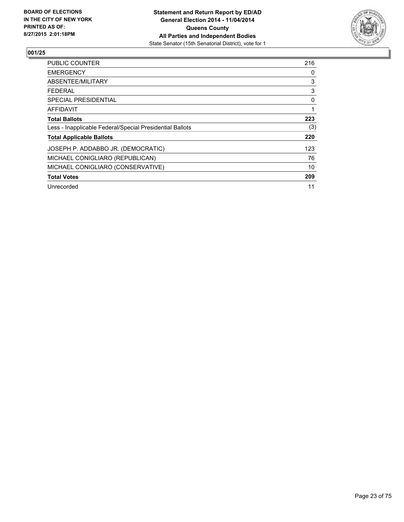

| <b>PUBLIC COUNTER</b>                                    | 216 |
|----------------------------------------------------------|-----|
| <b>EMERGENCY</b>                                         | 0   |
| ABSENTEE/MILITARY                                        | 3   |
| <b>FEDERAL</b>                                           | 3   |
| <b>SPECIAL PRESIDENTIAL</b>                              | 0   |
| AFFIDAVIT                                                | 1   |
| <b>Total Ballots</b>                                     | 223 |
| Less - Inapplicable Federal/Special Presidential Ballots | (3) |
| <b>Total Applicable Ballots</b>                          | 220 |
| JOSEPH P. ADDABBO JR. (DEMOCRATIC)                       | 123 |
| MICHAEL CONIGLIARO (REPUBLICAN)                          | 76  |
| MICHAEL CONIGLIARO (CONSERVATIVE)                        | 10  |
| <b>Total Votes</b>                                       | 209 |
| Unrecorded                                               | 11  |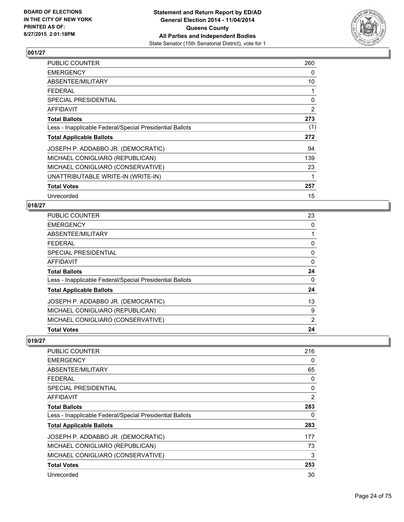

| PUBLIC COUNTER                                           | 260 |
|----------------------------------------------------------|-----|
| <b>EMERGENCY</b>                                         | 0   |
| <b>ABSENTEE/MILITARY</b>                                 | 10  |
| <b>FEDERAL</b>                                           | 1   |
| <b>SPECIAL PRESIDENTIAL</b>                              | 0   |
| <b>AFFIDAVIT</b>                                         | 2   |
| <b>Total Ballots</b>                                     | 273 |
| Less - Inapplicable Federal/Special Presidential Ballots | (1) |
| <b>Total Applicable Ballots</b>                          | 272 |
| JOSEPH P. ADDABBO JR. (DEMOCRATIC)                       | 94  |
| MICHAEL CONIGLIARO (REPUBLICAN)                          | 139 |
| MICHAEL CONIGLIARO (CONSERVATIVE)                        | 23  |
| UNATTRIBUTABLE WRITE-IN (WRITE-IN)                       | 1   |
| <b>Total Votes</b>                                       | 257 |
| Unrecorded                                               | 15  |

#### **018/27**

| <b>PUBLIC COUNTER</b>                                    | 23 |
|----------------------------------------------------------|----|
| <b>EMERGENCY</b>                                         | 0  |
| ABSENTEE/MILITARY                                        |    |
| <b>FEDERAL</b>                                           | 0  |
| SPECIAL PRESIDENTIAL                                     | 0  |
| <b>AFFIDAVIT</b>                                         | 0  |
| <b>Total Ballots</b>                                     | 24 |
| Less - Inapplicable Federal/Special Presidential Ballots | 0  |
| <b>Total Applicable Ballots</b>                          | 24 |
| JOSEPH P. ADDABBO JR. (DEMOCRATIC)                       | 13 |
| MICHAEL CONIGLIARO (REPUBLICAN)                          | 9  |
| MICHAEL CONIGLIARO (CONSERVATIVE)                        | 2  |
| <b>Total Votes</b>                                       | 24 |

| PUBLIC COUNTER                                           | 216 |
|----------------------------------------------------------|-----|
| <b>EMERGENCY</b>                                         | 0   |
| ABSENTEE/MILITARY                                        | 65  |
| <b>FEDERAL</b>                                           | 0   |
| <b>SPECIAL PRESIDENTIAL</b>                              | 0   |
| AFFIDAVIT                                                | 2   |
| <b>Total Ballots</b>                                     | 283 |
| Less - Inapplicable Federal/Special Presidential Ballots | 0   |
| <b>Total Applicable Ballots</b>                          | 283 |
| JOSEPH P. ADDABBO JR. (DEMOCRATIC)                       | 177 |
| MICHAEL CONIGLIARO (REPUBLICAN)                          | 73  |
| MICHAEL CONIGLIARO (CONSERVATIVE)                        | 3   |
| <b>Total Votes</b>                                       | 253 |
| Unrecorded                                               | 30  |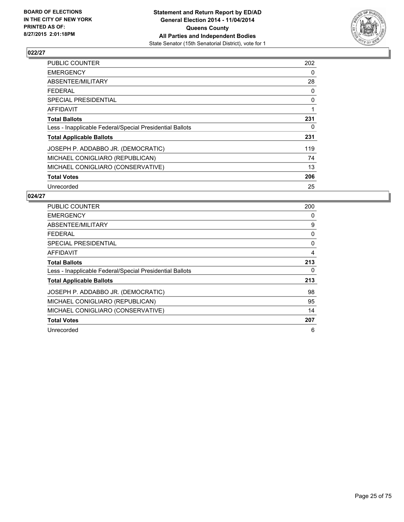

| <b>PUBLIC COUNTER</b>                                    | 202 |
|----------------------------------------------------------|-----|
| <b>EMERGENCY</b>                                         | 0   |
| ABSENTEE/MILITARY                                        | 28  |
| <b>FEDERAL</b>                                           | 0   |
| <b>SPECIAL PRESIDENTIAL</b>                              | 0   |
| AFFIDAVIT                                                | 1   |
| <b>Total Ballots</b>                                     | 231 |
| Less - Inapplicable Federal/Special Presidential Ballots | 0   |
| <b>Total Applicable Ballots</b>                          | 231 |
| JOSEPH P. ADDABBO JR. (DEMOCRATIC)                       | 119 |
| MICHAEL CONIGLIARO (REPUBLICAN)                          | 74  |
| MICHAEL CONIGLIARO (CONSERVATIVE)                        | 13  |
| <b>Total Votes</b>                                       | 206 |
| Unrecorded                                               | 25  |

| <b>PUBLIC COUNTER</b>                                    | 200 |
|----------------------------------------------------------|-----|
| <b>EMERGENCY</b>                                         | 0   |
| ABSENTEE/MILITARY                                        | 9   |
| <b>FEDERAL</b>                                           | 0   |
| SPECIAL PRESIDENTIAL                                     | 0   |
| <b>AFFIDAVIT</b>                                         | 4   |
| <b>Total Ballots</b>                                     | 213 |
| Less - Inapplicable Federal/Special Presidential Ballots | 0   |
| <b>Total Applicable Ballots</b>                          | 213 |
| JOSEPH P. ADDABBO JR. (DEMOCRATIC)                       | 98  |
| MICHAEL CONIGLIARO (REPUBLICAN)                          | 95  |
| MICHAEL CONIGLIARO (CONSERVATIVE)                        | 14  |
| <b>Total Votes</b>                                       | 207 |
| Unrecorded                                               | 6   |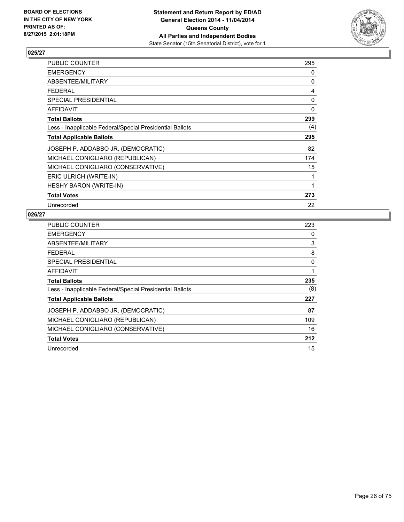

| PUBLIC COUNTER                                           | 295 |
|----------------------------------------------------------|-----|
| <b>EMERGENCY</b>                                         | 0   |
| ABSENTEE/MILITARY                                        | 0   |
| <b>FEDERAL</b>                                           | 4   |
| <b>SPECIAL PRESIDENTIAL</b>                              | 0   |
| <b>AFFIDAVIT</b>                                         | 0   |
| <b>Total Ballots</b>                                     | 299 |
| Less - Inapplicable Federal/Special Presidential Ballots | (4) |
| <b>Total Applicable Ballots</b>                          | 295 |
| JOSEPH P. ADDABBO JR. (DEMOCRATIC)                       | 82  |
| MICHAEL CONIGLIARO (REPUBLICAN)                          | 174 |
| MICHAEL CONIGLIARO (CONSERVATIVE)                        | 15  |
| ERIC ULRICH (WRITE-IN)                                   | 1   |
| <b>HESHY BARON (WRITE-IN)</b>                            | 1   |
| <b>Total Votes</b>                                       | 273 |
| Unrecorded                                               | 22  |

| <b>PUBLIC COUNTER</b>                                    | 223 |
|----------------------------------------------------------|-----|
| <b>EMERGENCY</b>                                         | 0   |
| ABSENTEE/MILITARY                                        | 3   |
| <b>FEDERAL</b>                                           | 8   |
| <b>SPECIAL PRESIDENTIAL</b>                              | 0   |
| AFFIDAVIT                                                | 1   |
| <b>Total Ballots</b>                                     | 235 |
| Less - Inapplicable Federal/Special Presidential Ballots | (8) |
| <b>Total Applicable Ballots</b>                          | 227 |
| JOSEPH P. ADDABBO JR. (DEMOCRATIC)                       | 87  |
| MICHAEL CONIGLIARO (REPUBLICAN)                          | 109 |
| MICHAEL CONIGLIARO (CONSERVATIVE)                        | 16  |
| <b>Total Votes</b>                                       | 212 |
| Unrecorded                                               | 15  |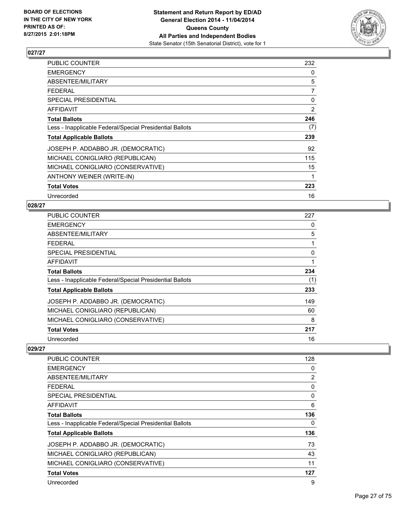

| <b>PUBLIC COUNTER</b>                                    | 232 |
|----------------------------------------------------------|-----|
| <b>EMERGENCY</b>                                         | 0   |
| ABSENTEE/MILITARY                                        | 5   |
| <b>FEDERAL</b>                                           | 7   |
| <b>SPECIAL PRESIDENTIAL</b>                              | 0   |
| <b>AFFIDAVIT</b>                                         | 2   |
| <b>Total Ballots</b>                                     | 246 |
| Less - Inapplicable Federal/Special Presidential Ballots | (7) |
| <b>Total Applicable Ballots</b>                          | 239 |
| JOSEPH P. ADDABBO JR. (DEMOCRATIC)                       | 92  |
| MICHAEL CONIGLIARO (REPUBLICAN)                          | 115 |
| MICHAEL CONIGLIARO (CONSERVATIVE)                        | 15  |
| ANTHONY WEINER (WRITE-IN)                                | 1   |
| <b>Total Votes</b>                                       | 223 |
| Unrecorded                                               | 16  |

#### **028/27**

| <b>PUBLIC COUNTER</b>                                    | 227 |
|----------------------------------------------------------|-----|
| <b>EMERGENCY</b>                                         | 0   |
| ABSENTEE/MILITARY                                        | 5   |
| <b>FEDERAL</b>                                           | 1   |
| SPECIAL PRESIDENTIAL                                     | 0   |
| <b>AFFIDAVIT</b>                                         | 1   |
| <b>Total Ballots</b>                                     | 234 |
| Less - Inapplicable Federal/Special Presidential Ballots | (1) |
| <b>Total Applicable Ballots</b>                          | 233 |
| JOSEPH P. ADDABBO JR. (DEMOCRATIC)                       | 149 |
| MICHAEL CONIGLIARO (REPUBLICAN)                          | 60  |
| MICHAEL CONIGLIARO (CONSERVATIVE)                        | 8   |
| <b>Total Votes</b>                                       | 217 |
| Unrecorded                                               | 16  |

| <b>PUBLIC COUNTER</b>                                    | 128            |
|----------------------------------------------------------|----------------|
| <b>EMERGENCY</b>                                         | 0              |
| ABSENTEE/MILITARY                                        | $\overline{2}$ |
| FEDERAL                                                  | 0              |
| SPECIAL PRESIDENTIAL                                     | 0              |
| AFFIDAVIT                                                | 6              |
| <b>Total Ballots</b>                                     | 136            |
| Less - Inapplicable Federal/Special Presidential Ballots | 0              |
| <b>Total Applicable Ballots</b>                          | 136            |
| JOSEPH P. ADDABBO JR. (DEMOCRATIC)                       | 73             |
| MICHAEL CONIGLIARO (REPUBLICAN)                          | 43             |
| MICHAEL CONIGLIARO (CONSERVATIVE)                        | 11             |
| <b>Total Votes</b>                                       | 127            |
| Unrecorded                                               | 9              |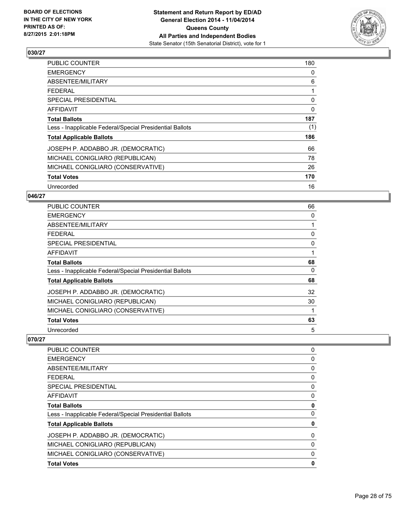

| PUBLIC COUNTER                                           | 180 |
|----------------------------------------------------------|-----|
| <b>EMERGENCY</b>                                         | 0   |
| ABSENTEE/MILITARY                                        | 6   |
| <b>FEDERAL</b>                                           | 1   |
| <b>SPECIAL PRESIDENTIAL</b>                              | 0   |
| <b>AFFIDAVIT</b>                                         | 0   |
| <b>Total Ballots</b>                                     | 187 |
| Less - Inapplicable Federal/Special Presidential Ballots | (1) |
| <b>Total Applicable Ballots</b>                          | 186 |
| JOSEPH P. ADDABBO JR. (DEMOCRATIC)                       | 66  |
| MICHAEL CONIGLIARO (REPUBLICAN)                          | 78  |
| MICHAEL CONIGLIARO (CONSERVATIVE)                        | 26  |
| <b>Total Votes</b>                                       | 170 |
| Unrecorded                                               | 16  |

#### **046/27**

| <b>PUBLIC COUNTER</b>                                    | 66       |
|----------------------------------------------------------|----------|
| <b>EMERGENCY</b>                                         | 0        |
| ABSENTEE/MILITARY                                        |          |
| <b>FEDERAL</b>                                           | 0        |
| <b>SPECIAL PRESIDENTIAL</b>                              | $\Omega$ |
| <b>AFFIDAVIT</b>                                         |          |
| <b>Total Ballots</b>                                     | 68       |
| Less - Inapplicable Federal/Special Presidential Ballots | 0        |
| <b>Total Applicable Ballots</b>                          | 68       |
| JOSEPH P. ADDABBO JR. (DEMOCRATIC)                       | 32       |
| MICHAEL CONIGLIARO (REPUBLICAN)                          | 30       |
| MICHAEL CONIGLIARO (CONSERVATIVE)                        | 1        |
| <b>Total Votes</b>                                       | 63       |
| Unrecorded                                               | 5        |

| <b>PUBLIC COUNTER</b>                                    | 0 |
|----------------------------------------------------------|---|
| <b>EMERGENCY</b>                                         | 0 |
| ABSENTEE/MILITARY                                        | 0 |
| <b>FEDERAL</b>                                           | 0 |
| <b>SPECIAL PRESIDENTIAL</b>                              | 0 |
| AFFIDAVIT                                                | 0 |
| <b>Total Ballots</b>                                     | 0 |
| Less - Inapplicable Federal/Special Presidential Ballots | 0 |
| <b>Total Applicable Ballots</b>                          | 0 |
| JOSEPH P. ADDABBO JR. (DEMOCRATIC)                       | 0 |
| MICHAEL CONIGLIARO (REPUBLICAN)                          | 0 |
| MICHAEL CONIGLIARO (CONSERVATIVE)                        | 0 |
| <b>Total Votes</b>                                       | 0 |
|                                                          |   |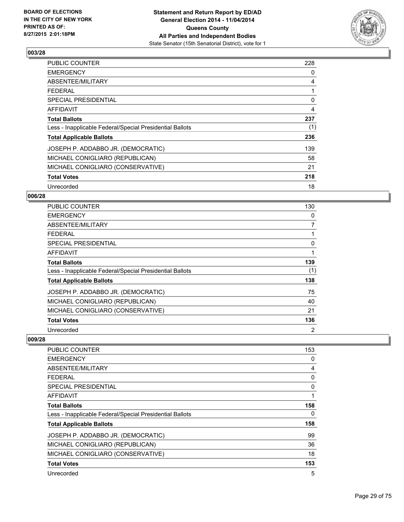

| <b>PUBLIC COUNTER</b>                                    | 228 |
|----------------------------------------------------------|-----|
| <b>EMERGENCY</b>                                         | 0   |
| ABSENTEE/MILITARY                                        | 4   |
| <b>FEDERAL</b>                                           | 1   |
| <b>SPECIAL PRESIDENTIAL</b>                              | 0   |
| AFFIDAVIT                                                | 4   |
| <b>Total Ballots</b>                                     | 237 |
| Less - Inapplicable Federal/Special Presidential Ballots | (1) |
| <b>Total Applicable Ballots</b>                          | 236 |
| JOSEPH P. ADDABBO JR. (DEMOCRATIC)                       | 139 |
| MICHAEL CONIGLIARO (REPUBLICAN)                          | 58  |
| MICHAEL CONIGLIARO (CONSERVATIVE)                        | 21  |
| <b>Total Votes</b>                                       | 218 |
| Unrecorded                                               | 18  |

## **006/28**

| <b>PUBLIC COUNTER</b>                                    | 130            |
|----------------------------------------------------------|----------------|
| <b>EMERGENCY</b>                                         | 0              |
| ABSENTEE/MILITARY                                        | $\overline{7}$ |
| <b>FEDERAL</b>                                           |                |
| <b>SPECIAL PRESIDENTIAL</b>                              | 0              |
| <b>AFFIDAVIT</b>                                         |                |
| <b>Total Ballots</b>                                     | 139            |
| Less - Inapplicable Federal/Special Presidential Ballots | (1)            |
| <b>Total Applicable Ballots</b>                          | 138            |
| JOSEPH P. ADDABBO JR. (DEMOCRATIC)                       | 75             |
| MICHAEL CONIGLIARO (REPUBLICAN)                          | 40             |
| MICHAEL CONIGLIARO (CONSERVATIVE)                        | 21             |
| <b>Total Votes</b>                                       | 136            |
| Unrecorded                                               | $\overline{2}$ |

| <b>PUBLIC COUNTER</b>                                    | 153 |
|----------------------------------------------------------|-----|
| <b>EMERGENCY</b>                                         | 0   |
| ABSENTEE/MILITARY                                        | 4   |
| FEDERAL                                                  | 0   |
| SPECIAL PRESIDENTIAL                                     | 0   |
| AFFIDAVIT                                                |     |
| <b>Total Ballots</b>                                     | 158 |
| Less - Inapplicable Federal/Special Presidential Ballots | 0   |
| <b>Total Applicable Ballots</b>                          | 158 |
| JOSEPH P. ADDABBO JR. (DEMOCRATIC)                       | 99  |
| MICHAEL CONIGLIARO (REPUBLICAN)                          | 36  |
| MICHAEL CONIGLIARO (CONSERVATIVE)                        | 18  |
| <b>Total Votes</b>                                       | 153 |
| Unrecorded                                               | 5   |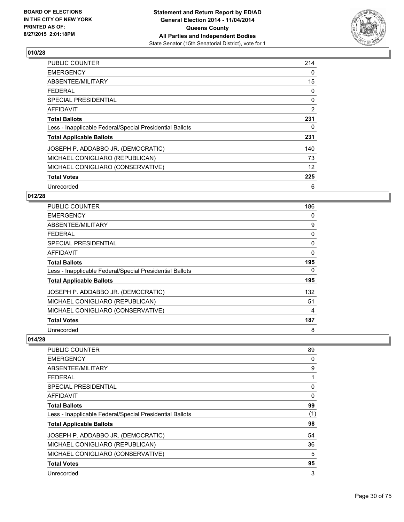

| <b>PUBLIC COUNTER</b>                                    | 214 |
|----------------------------------------------------------|-----|
| <b>EMERGENCY</b>                                         | 0   |
| ABSENTEE/MILITARY                                        | 15  |
| <b>FEDERAL</b>                                           | 0   |
| SPECIAL PRESIDENTIAL                                     | 0   |
| <b>AFFIDAVIT</b>                                         | 2   |
| <b>Total Ballots</b>                                     | 231 |
| Less - Inapplicable Federal/Special Presidential Ballots | 0   |
| <b>Total Applicable Ballots</b>                          | 231 |
| JOSEPH P. ADDABBO JR. (DEMOCRATIC)                       | 140 |
| MICHAEL CONIGLIARO (REPUBLICAN)                          | 73  |
| MICHAEL CONIGLIARO (CONSERVATIVE)                        | 12  |
| <b>Total Votes</b>                                       | 225 |
| Unrecorded                                               | 6   |

## **012/28**

| <b>PUBLIC COUNTER</b>                                    | 186 |
|----------------------------------------------------------|-----|
| <b>EMERGENCY</b>                                         | 0   |
| ABSENTEE/MILITARY                                        | 9   |
| <b>FEDERAL</b>                                           | 0   |
| <b>SPECIAL PRESIDENTIAL</b>                              | 0   |
| <b>AFFIDAVIT</b>                                         | 0   |
| <b>Total Ballots</b>                                     | 195 |
| Less - Inapplicable Federal/Special Presidential Ballots | 0   |
| <b>Total Applicable Ballots</b>                          | 195 |
| JOSEPH P. ADDABBO JR. (DEMOCRATIC)                       | 132 |
| MICHAEL CONIGLIARO (REPUBLICAN)                          | 51  |
| MICHAEL CONIGLIARO (CONSERVATIVE)                        | 4   |
| <b>Total Votes</b>                                       | 187 |
| Unrecorded                                               | 8   |

| <b>PUBLIC COUNTER</b>                                    | 89  |
|----------------------------------------------------------|-----|
| <b>EMERGENCY</b>                                         | 0   |
| ABSENTEE/MILITARY                                        | 9   |
| <b>FEDERAL</b>                                           | 1   |
| <b>SPECIAL PRESIDENTIAL</b>                              | 0   |
| AFFIDAVIT                                                | 0   |
| <b>Total Ballots</b>                                     | 99  |
| Less - Inapplicable Federal/Special Presidential Ballots | (1) |
| <b>Total Applicable Ballots</b>                          | 98  |
| JOSEPH P. ADDABBO JR. (DEMOCRATIC)                       | 54  |
| MICHAEL CONIGLIARO (REPUBLICAN)                          | 36  |
| MICHAEL CONIGLIARO (CONSERVATIVE)                        | 5   |
| <b>Total Votes</b>                                       | 95  |
| Unrecorded                                               | 3   |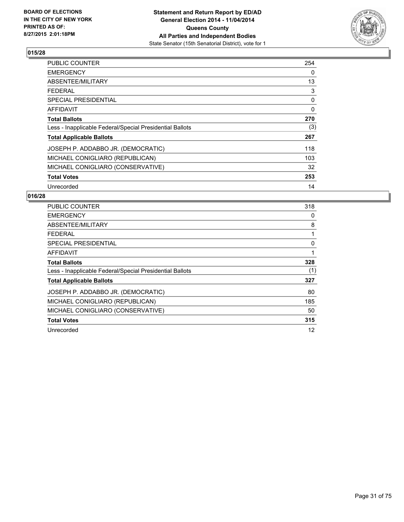

| <b>PUBLIC COUNTER</b>                                    | 254 |
|----------------------------------------------------------|-----|
| <b>EMERGENCY</b>                                         | 0   |
| ABSENTEE/MILITARY                                        | 13  |
| <b>FEDERAL</b>                                           | 3   |
| SPECIAL PRESIDENTIAL                                     | 0   |
| <b>AFFIDAVIT</b>                                         | 0   |
| <b>Total Ballots</b>                                     | 270 |
| Less - Inapplicable Federal/Special Presidential Ballots | (3) |
| <b>Total Applicable Ballots</b>                          | 267 |
| JOSEPH P. ADDABBO JR. (DEMOCRATIC)                       | 118 |
| MICHAEL CONIGLIARO (REPUBLICAN)                          | 103 |
| MICHAEL CONIGLIARO (CONSERVATIVE)                        | 32  |
| <b>Total Votes</b>                                       | 253 |
| Unrecorded                                               | 14  |

| <b>PUBLIC COUNTER</b>                                    | 318 |
|----------------------------------------------------------|-----|
| <b>EMERGENCY</b>                                         | 0   |
| ABSENTEE/MILITARY                                        | 8   |
| <b>FEDERAL</b>                                           |     |
| <b>SPECIAL PRESIDENTIAL</b>                              | 0   |
| AFFIDAVIT                                                | 1   |
| <b>Total Ballots</b>                                     | 328 |
| Less - Inapplicable Federal/Special Presidential Ballots | (1) |
| <b>Total Applicable Ballots</b>                          | 327 |
| JOSEPH P. ADDABBO JR. (DEMOCRATIC)                       | 80  |
| MICHAEL CONIGLIARO (REPUBLICAN)                          | 185 |
| MICHAEL CONIGLIARO (CONSERVATIVE)                        | 50  |
| <b>Total Votes</b>                                       | 315 |
| Unrecorded                                               | 12  |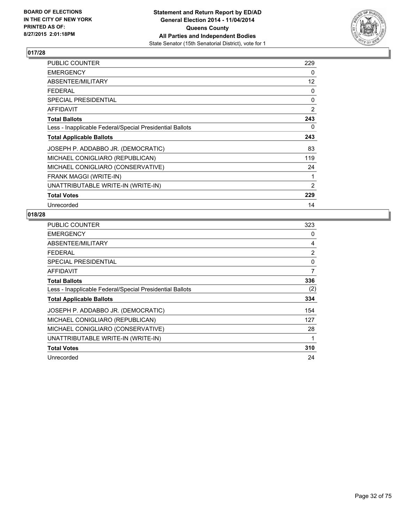

| PUBLIC COUNTER                                           | 229            |
|----------------------------------------------------------|----------------|
| <b>EMERGENCY</b>                                         | 0              |
| ABSENTEE/MILITARY                                        | 12             |
| <b>FEDERAL</b>                                           | 0              |
| SPECIAL PRESIDENTIAL                                     | $\Omega$       |
| <b>AFFIDAVIT</b>                                         | 2              |
| <b>Total Ballots</b>                                     | 243            |
| Less - Inapplicable Federal/Special Presidential Ballots | 0              |
| <b>Total Applicable Ballots</b>                          | 243            |
| JOSEPH P. ADDABBO JR. (DEMOCRATIC)                       | 83             |
| MICHAEL CONIGLIARO (REPUBLICAN)                          | 119            |
| MICHAEL CONIGLIARO (CONSERVATIVE)                        | 24             |
| FRANK MAGGI (WRITE-IN)                                   | 1              |
| UNATTRIBUTABLE WRITE-IN (WRITE-IN)                       | $\overline{2}$ |
| <b>Total Votes</b>                                       | 229            |
| Unrecorded                                               | 14             |

| <b>PUBLIC COUNTER</b>                                    | 323 |
|----------------------------------------------------------|-----|
| <b>EMERGENCY</b>                                         | 0   |
| ABSENTEE/MILITARY                                        | 4   |
| <b>FEDERAL</b>                                           | 2   |
| <b>SPECIAL PRESIDENTIAL</b>                              | 0   |
| AFFIDAVIT                                                | 7   |
| <b>Total Ballots</b>                                     | 336 |
| Less - Inapplicable Federal/Special Presidential Ballots | (2) |
| <b>Total Applicable Ballots</b>                          | 334 |
| JOSEPH P. ADDABBO JR. (DEMOCRATIC)                       | 154 |
| MICHAEL CONIGLIARO (REPUBLICAN)                          | 127 |
| MICHAEL CONIGLIARO (CONSERVATIVE)                        | 28  |
| UNATTRIBUTABLE WRITE-IN (WRITE-IN)                       | 1   |
| <b>Total Votes</b>                                       | 310 |
| Unrecorded                                               | 24  |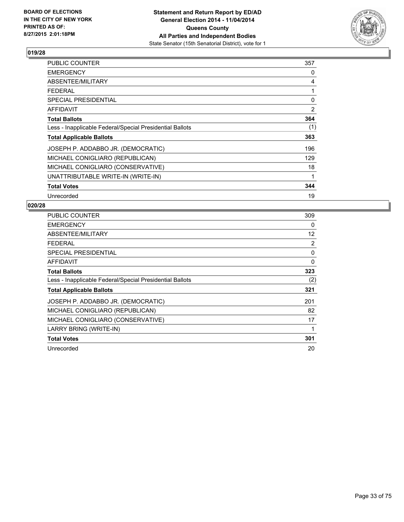

| <b>PUBLIC COUNTER</b>                                    | 357 |
|----------------------------------------------------------|-----|
| <b>EMERGENCY</b>                                         | 0   |
| ABSENTEE/MILITARY                                        | 4   |
| <b>FEDERAL</b>                                           | 1   |
| <b>SPECIAL PRESIDENTIAL</b>                              | 0   |
| <b>AFFIDAVIT</b>                                         | 2   |
| <b>Total Ballots</b>                                     | 364 |
| Less - Inapplicable Federal/Special Presidential Ballots | (1) |
| <b>Total Applicable Ballots</b>                          | 363 |
| JOSEPH P. ADDABBO JR. (DEMOCRATIC)                       | 196 |
| MICHAEL CONIGLIARO (REPUBLICAN)                          | 129 |
| MICHAEL CONIGLIARO (CONSERVATIVE)                        | 18  |
| UNATTRIBUTABLE WRITE-IN (WRITE-IN)                       | 1   |
| <b>Total Votes</b>                                       | 344 |
| Unrecorded                                               | 19  |

| <b>PUBLIC COUNTER</b>                                    | 309 |
|----------------------------------------------------------|-----|
| <b>EMERGENCY</b>                                         | 0   |
| ABSENTEE/MILITARY                                        | 12  |
| <b>FEDERAL</b>                                           | 2   |
| SPECIAL PRESIDENTIAL                                     | 0   |
| AFFIDAVIT                                                | 0   |
| <b>Total Ballots</b>                                     | 323 |
| Less - Inapplicable Federal/Special Presidential Ballots | (2) |
| <b>Total Applicable Ballots</b>                          | 321 |
| JOSEPH P. ADDABBO JR. (DEMOCRATIC)                       | 201 |
| MICHAEL CONIGLIARO (REPUBLICAN)                          | 82  |
| MICHAEL CONIGLIARO (CONSERVATIVE)                        | 17  |
| LARRY BRING (WRITE-IN)                                   | 1   |
| <b>Total Votes</b>                                       | 301 |
| Unrecorded                                               | 20  |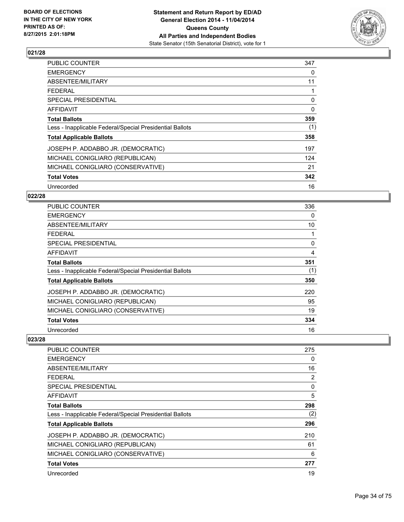

| PUBLIC COUNTER                                           | 347 |
|----------------------------------------------------------|-----|
| <b>EMERGENCY</b>                                         | 0   |
| ABSENTEE/MILITARY                                        | 11  |
| <b>FEDERAL</b>                                           | 1   |
| <b>SPECIAL PRESIDENTIAL</b>                              | 0   |
| AFFIDAVIT                                                | 0   |
| <b>Total Ballots</b>                                     | 359 |
| Less - Inapplicable Federal/Special Presidential Ballots | (1) |
| <b>Total Applicable Ballots</b>                          | 358 |
| JOSEPH P. ADDABBO JR. (DEMOCRATIC)                       | 197 |
| MICHAEL CONIGLIARO (REPUBLICAN)                          | 124 |
| MICHAEL CONIGLIARO (CONSERVATIVE)                        | 21  |
| <b>Total Votes</b>                                       | 342 |
| Unrecorded                                               | 16  |

## **022/28**

| <b>PUBLIC COUNTER</b>                                    | 336 |
|----------------------------------------------------------|-----|
| <b>EMERGENCY</b>                                         | 0   |
| ABSENTEE/MILITARY                                        | 10  |
| <b>FEDERAL</b>                                           |     |
| <b>SPECIAL PRESIDENTIAL</b>                              | 0   |
| <b>AFFIDAVIT</b>                                         | 4   |
| <b>Total Ballots</b>                                     | 351 |
| Less - Inapplicable Federal/Special Presidential Ballots | (1) |
| <b>Total Applicable Ballots</b>                          | 350 |
| JOSEPH P. ADDABBO JR. (DEMOCRATIC)                       | 220 |
| MICHAEL CONIGLIARO (REPUBLICAN)                          | 95  |
| MICHAEL CONIGLIARO (CONSERVATIVE)                        | 19  |
| <b>Total Votes</b>                                       | 334 |
| Unrecorded                                               | 16  |

| 275 |
|-----|
| 0   |
| 16  |
| 2   |
| 0   |
| 5   |
| 298 |
| (2) |
| 296 |
| 210 |
| 61  |
| 6   |
| 277 |
| 19  |
|     |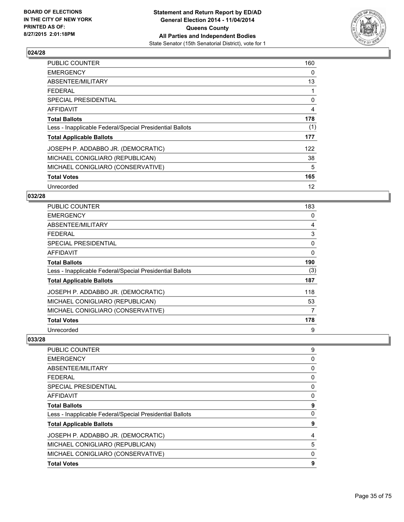

| <b>PUBLIC COUNTER</b>                                    | 160 |
|----------------------------------------------------------|-----|
| <b>EMERGENCY</b>                                         | 0   |
| ABSENTEE/MILITARY                                        | 13  |
| <b>FEDERAL</b>                                           | 1   |
| SPECIAL PRESIDENTIAL                                     | 0   |
| AFFIDAVIT                                                | 4   |
| <b>Total Ballots</b>                                     | 178 |
| Less - Inapplicable Federal/Special Presidential Ballots | (1) |
| <b>Total Applicable Ballots</b>                          | 177 |
| JOSEPH P. ADDABBO JR. (DEMOCRATIC)                       | 122 |
| MICHAEL CONIGLIARO (REPUBLICAN)                          | 38  |
| MICHAEL CONIGLIARO (CONSERVATIVE)                        | 5   |
| <b>Total Votes</b>                                       | 165 |
| Unrecorded                                               | 12  |

#### **032/28**

| <b>PUBLIC COUNTER</b>                                    | 183 |
|----------------------------------------------------------|-----|
| <b>EMERGENCY</b>                                         | 0   |
| ABSENTEE/MILITARY                                        | 4   |
| <b>FEDERAL</b>                                           | 3   |
| <b>SPECIAL PRESIDENTIAL</b>                              | 0   |
| <b>AFFIDAVIT</b>                                         | 0   |
| <b>Total Ballots</b>                                     | 190 |
| Less - Inapplicable Federal/Special Presidential Ballots | (3) |
| <b>Total Applicable Ballots</b>                          | 187 |
| JOSEPH P. ADDABBO JR. (DEMOCRATIC)                       | 118 |
| MICHAEL CONIGLIARO (REPUBLICAN)                          | 53  |
| MICHAEL CONIGLIARO (CONSERVATIVE)                        | 7   |
| <b>Total Votes</b>                                       | 178 |
| Unrecorded                                               | 9   |

| <b>PUBLIC COUNTER</b>                                    | 9 |
|----------------------------------------------------------|---|
| <b>EMERGENCY</b>                                         | 0 |
| ABSENTEE/MILITARY                                        | 0 |
| <b>FEDERAL</b>                                           | 0 |
| SPECIAL PRESIDENTIAL                                     | 0 |
| <b>AFFIDAVIT</b>                                         | 0 |
| <b>Total Ballots</b>                                     | 9 |
| Less - Inapplicable Federal/Special Presidential Ballots | 0 |
| <b>Total Applicable Ballots</b>                          | 9 |
| JOSEPH P. ADDABBO JR. (DEMOCRATIC)                       | 4 |
| MICHAEL CONIGLIARO (REPUBLICAN)                          | 5 |
| MICHAEL CONIGLIARO (CONSERVATIVE)                        | 0 |
| <b>Total Votes</b>                                       | 9 |
|                                                          |   |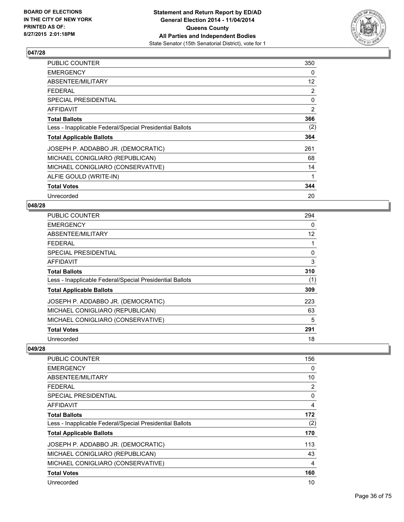

| <b>PUBLIC COUNTER</b>                                    | 350            |
|----------------------------------------------------------|----------------|
| <b>EMERGENCY</b>                                         | 0              |
| ABSENTEE/MILITARY                                        | 12             |
| <b>FEDERAL</b>                                           | $\overline{2}$ |
| <b>SPECIAL PRESIDENTIAL</b>                              | 0              |
| <b>AFFIDAVIT</b>                                         | 2              |
| <b>Total Ballots</b>                                     | 366            |
| Less - Inapplicable Federal/Special Presidential Ballots | (2)            |
| <b>Total Applicable Ballots</b>                          | 364            |
| JOSEPH P. ADDABBO JR. (DEMOCRATIC)                       | 261            |
| MICHAEL CONIGLIARO (REPUBLICAN)                          | 68             |
| MICHAEL CONIGLIARO (CONSERVATIVE)                        | 14             |
| ALFIE GOULD (WRITE-IN)                                   | 1              |
| <b>Total Votes</b>                                       | 344            |
| Unrecorded                                               | 20             |

#### **048/28**

| <b>PUBLIC COUNTER</b>                                    | 294 |
|----------------------------------------------------------|-----|
| <b>EMERGENCY</b>                                         | 0   |
| ABSENTEE/MILITARY                                        | 12  |
| <b>FEDERAL</b>                                           |     |
| <b>SPECIAL PRESIDENTIAL</b>                              | 0   |
| AFFIDAVIT                                                | 3   |
| <b>Total Ballots</b>                                     | 310 |
| Less - Inapplicable Federal/Special Presidential Ballots | (1) |
| <b>Total Applicable Ballots</b>                          | 309 |
| JOSEPH P. ADDABBO JR. (DEMOCRATIC)                       | 223 |
| MICHAEL CONIGLIARO (REPUBLICAN)                          | 63  |
| MICHAEL CONIGLIARO (CONSERVATIVE)                        | 5   |
| <b>Total Votes</b>                                       | 291 |
| Unrecorded                                               | 18  |

| <b>PUBLIC COUNTER</b>                                    | 156 |
|----------------------------------------------------------|-----|
| <b>EMERGENCY</b>                                         | 0   |
| ABSENTEE/MILITARY                                        | 10  |
| <b>FEDERAL</b>                                           | 2   |
| SPECIAL PRESIDENTIAL                                     | 0   |
| AFFIDAVIT                                                | 4   |
| <b>Total Ballots</b>                                     | 172 |
| Less - Inapplicable Federal/Special Presidential Ballots | (2) |
| <b>Total Applicable Ballots</b>                          | 170 |
| JOSEPH P. ADDABBO JR. (DEMOCRATIC)                       | 113 |
| MICHAEL CONIGLIARO (REPUBLICAN)                          | 43  |
| MICHAEL CONIGLIARO (CONSERVATIVE)                        | 4   |
| <b>Total Votes</b>                                       | 160 |
| Unrecorded                                               | 10  |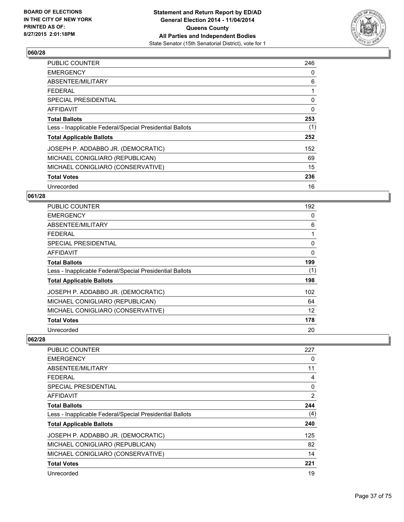

| <b>PUBLIC COUNTER</b>                                    | 246      |
|----------------------------------------------------------|----------|
| <b>EMERGENCY</b>                                         | 0        |
| ABSENTEE/MILITARY                                        | 6        |
| <b>FEDERAL</b>                                           | 1        |
| <b>SPECIAL PRESIDENTIAL</b>                              | 0        |
| AFFIDAVIT                                                | $\Omega$ |
| <b>Total Ballots</b>                                     | 253      |
| Less - Inapplicable Federal/Special Presidential Ballots | (1)      |
| <b>Total Applicable Ballots</b>                          | 252      |
| JOSEPH P. ADDABBO JR. (DEMOCRATIC)                       | 152      |
| MICHAEL CONIGLIARO (REPUBLICAN)                          | 69       |
| MICHAEL CONIGLIARO (CONSERVATIVE)                        | 15       |
| <b>Total Votes</b>                                       | 236      |
| Unrecorded                                               | 16       |

## **061/28**

| <b>PUBLIC COUNTER</b>                                    | 192 |
|----------------------------------------------------------|-----|
| <b>EMERGENCY</b>                                         | 0   |
| ABSENTEE/MILITARY                                        | 6   |
| <b>FEDERAL</b>                                           |     |
| <b>SPECIAL PRESIDENTIAL</b>                              | 0   |
| <b>AFFIDAVIT</b>                                         | 0   |
| <b>Total Ballots</b>                                     | 199 |
| Less - Inapplicable Federal/Special Presidential Ballots | (1) |
| <b>Total Applicable Ballots</b>                          | 198 |
| JOSEPH P. ADDABBO JR. (DEMOCRATIC)                       | 102 |
| MICHAEL CONIGLIARO (REPUBLICAN)                          | 64  |
| MICHAEL CONIGLIARO (CONSERVATIVE)                        | 12  |
| <b>Total Votes</b>                                       | 178 |
| Unrecorded                                               | 20  |

| 227 |
|-----|
| 0   |
| 11  |
| 4   |
| 0   |
| 2   |
| 244 |
| (4) |
| 240 |
| 125 |
| 82  |
| 14  |
| 221 |
| 19  |
|     |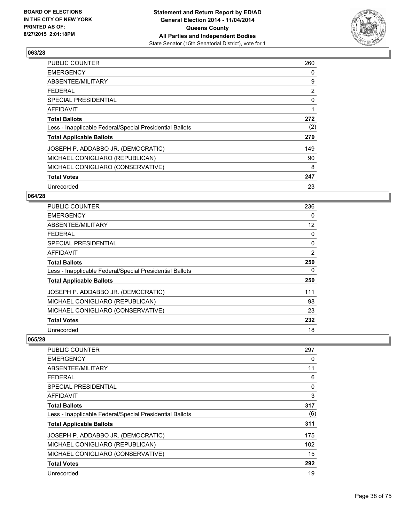

| <b>PUBLIC COUNTER</b>                                    | 260 |
|----------------------------------------------------------|-----|
| <b>EMERGENCY</b>                                         | 0   |
| ABSENTEE/MILITARY                                        | 9   |
| <b>FEDERAL</b>                                           | 2   |
| <b>SPECIAL PRESIDENTIAL</b>                              | 0   |
| <b>AFFIDAVIT</b>                                         | 1   |
| <b>Total Ballots</b>                                     | 272 |
| Less - Inapplicable Federal/Special Presidential Ballots | (2) |
| <b>Total Applicable Ballots</b>                          | 270 |
| JOSEPH P. ADDABBO JR. (DEMOCRATIC)                       | 149 |
| MICHAEL CONIGLIARO (REPUBLICAN)                          | 90  |
| MICHAEL CONIGLIARO (CONSERVATIVE)                        | 8   |
| <b>Total Votes</b>                                       | 247 |
| Unrecorded                                               | 23  |

## **064/28**

| <b>PUBLIC COUNTER</b>                                    | 236            |
|----------------------------------------------------------|----------------|
| <b>EMERGENCY</b>                                         | 0              |
| ABSENTEE/MILITARY                                        | 12             |
| <b>FEDERAL</b>                                           | 0              |
| SPECIAL PRESIDENTIAL                                     | 0              |
| <b>AFFIDAVIT</b>                                         | $\overline{2}$ |
| <b>Total Ballots</b>                                     | 250            |
| Less - Inapplicable Federal/Special Presidential Ballots | 0              |
| <b>Total Applicable Ballots</b>                          | 250            |
| JOSEPH P. ADDABBO JR. (DEMOCRATIC)                       | 111            |
| MICHAEL CONIGLIARO (REPUBLICAN)                          | 98             |
| MICHAEL CONIGLIARO (CONSERVATIVE)                        | 23             |
| <b>Total Votes</b>                                       | 232            |
| Unrecorded                                               | 18             |

| PUBLIC COUNTER                                           | 297 |
|----------------------------------------------------------|-----|
| <b>EMERGENCY</b>                                         | 0   |
| ABSENTEE/MILITARY                                        | 11  |
| <b>FEDERAL</b>                                           | 6   |
| SPECIAL PRESIDENTIAL                                     | 0   |
| AFFIDAVIT                                                | 3   |
| <b>Total Ballots</b>                                     | 317 |
| Less - Inapplicable Federal/Special Presidential Ballots | (6) |
| <b>Total Applicable Ballots</b>                          | 311 |
| JOSEPH P. ADDABBO JR. (DEMOCRATIC)                       | 175 |
| MICHAEL CONIGLIARO (REPUBLICAN)                          | 102 |
| MICHAEL CONIGLIARO (CONSERVATIVE)                        | 15  |
| <b>Total Votes</b>                                       | 292 |
| Unrecorded                                               | 19  |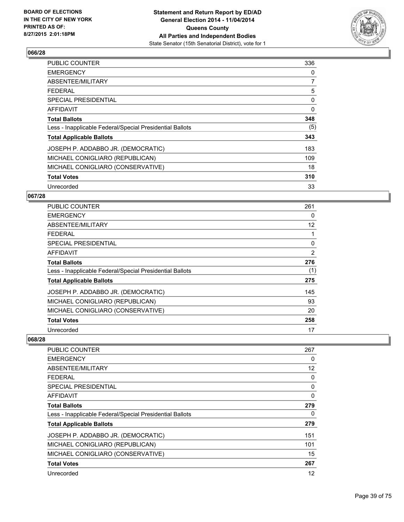

| <b>PUBLIC COUNTER</b>                                    | 336 |
|----------------------------------------------------------|-----|
| <b>EMERGENCY</b>                                         | 0   |
| ABSENTEE/MILITARY                                        | 7   |
| <b>FEDERAL</b>                                           | 5   |
| <b>SPECIAL PRESIDENTIAL</b>                              | 0   |
| AFFIDAVIT                                                | 0   |
| <b>Total Ballots</b>                                     | 348 |
| Less - Inapplicable Federal/Special Presidential Ballots | (5) |
| <b>Total Applicable Ballots</b>                          | 343 |
| JOSEPH P. ADDABBO JR. (DEMOCRATIC)                       | 183 |
| MICHAEL CONIGLIARO (REPUBLICAN)                          | 109 |
| MICHAEL CONIGLIARO (CONSERVATIVE)                        | 18  |
| <b>Total Votes</b>                                       | 310 |
| Unrecorded                                               | 33  |

## **067/28**

| <b>PUBLIC COUNTER</b>                                    | 261            |
|----------------------------------------------------------|----------------|
| <b>EMERGENCY</b>                                         | 0              |
| ABSENTEE/MILITARY                                        | 12             |
| <b>FEDERAL</b>                                           |                |
| SPECIAL PRESIDENTIAL                                     | 0              |
| <b>AFFIDAVIT</b>                                         | $\overline{2}$ |
| <b>Total Ballots</b>                                     | 276            |
| Less - Inapplicable Federal/Special Presidential Ballots | (1)            |
| <b>Total Applicable Ballots</b>                          | 275            |
| JOSEPH P. ADDABBO JR. (DEMOCRATIC)                       | 145            |
| MICHAEL CONIGLIARO (REPUBLICAN)                          | 93             |
| MICHAEL CONIGLIARO (CONSERVATIVE)                        | 20             |
| <b>Total Votes</b>                                       | 258            |
| Unrecorded                                               | 17             |

| <b>PUBLIC COUNTER</b>                                    | 267 |
|----------------------------------------------------------|-----|
| <b>EMERGENCY</b>                                         | 0   |
| ABSENTEE/MILITARY                                        | 12  |
| FEDERAL                                                  | 0   |
| SPECIAL PRESIDENTIAL                                     | 0   |
| AFFIDAVIT                                                | 0   |
| <b>Total Ballots</b>                                     | 279 |
| Less - Inapplicable Federal/Special Presidential Ballots | 0   |
| <b>Total Applicable Ballots</b>                          | 279 |
| JOSEPH P. ADDABBO JR. (DEMOCRATIC)                       | 151 |
| MICHAEL CONIGLIARO (REPUBLICAN)                          | 101 |
| MICHAEL CONIGLIARO (CONSERVATIVE)                        | 15  |
| <b>Total Votes</b>                                       | 267 |
| Unrecorded                                               | 12  |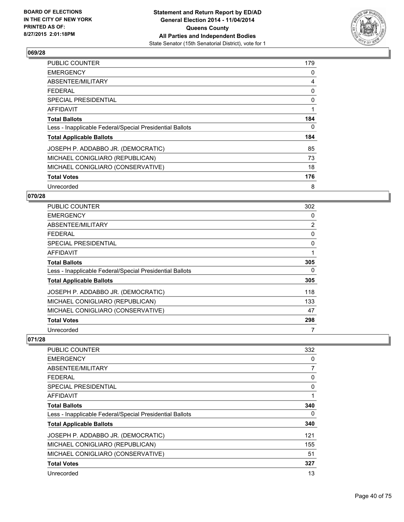

| <b>PUBLIC COUNTER</b>                                    | 179 |
|----------------------------------------------------------|-----|
| <b>EMERGENCY</b>                                         | 0   |
| ABSENTEE/MILITARY                                        | 4   |
| <b>FEDERAL</b>                                           | 0   |
| <b>SPECIAL PRESIDENTIAL</b>                              | 0   |
| AFFIDAVIT                                                | 1   |
| <b>Total Ballots</b>                                     | 184 |
| Less - Inapplicable Federal/Special Presidential Ballots | 0   |
| <b>Total Applicable Ballots</b>                          | 184 |
| JOSEPH P. ADDABBO JR. (DEMOCRATIC)                       | 85  |
| MICHAEL CONIGLIARO (REPUBLICAN)                          | 73  |
| MICHAEL CONIGLIARO (CONSERVATIVE)                        | 18  |
| <b>Total Votes</b>                                       | 176 |
| Unrecorded                                               | 8   |

## **070/28**

| <b>PUBLIC COUNTER</b>                                    | 302            |
|----------------------------------------------------------|----------------|
| <b>EMERGENCY</b>                                         | 0              |
| ABSENTEE/MILITARY                                        | $\overline{2}$ |
| <b>FEDERAL</b>                                           | 0              |
| <b>SPECIAL PRESIDENTIAL</b>                              | $\Omega$       |
| AFFIDAVIT                                                |                |
| <b>Total Ballots</b>                                     | 305            |
| Less - Inapplicable Federal/Special Presidential Ballots | 0              |
| <b>Total Applicable Ballots</b>                          | 305            |
| JOSEPH P. ADDABBO JR. (DEMOCRATIC)                       | 118            |
| MICHAEL CONIGLIARO (REPUBLICAN)                          | 133            |
| MICHAEL CONIGLIARO (CONSERVATIVE)                        | 47             |
| <b>Total Votes</b>                                       | 298            |
| Unrecorded                                               | 7              |

| <b>PUBLIC COUNTER</b>                                    | 332 |
|----------------------------------------------------------|-----|
| <b>EMERGENCY</b>                                         | 0   |
| ABSENTEE/MILITARY                                        | 7   |
| <b>FEDERAL</b>                                           | 0   |
| SPECIAL PRESIDENTIAL                                     | 0   |
| AFFIDAVIT                                                |     |
| <b>Total Ballots</b>                                     | 340 |
| Less - Inapplicable Federal/Special Presidential Ballots | 0   |
| <b>Total Applicable Ballots</b>                          | 340 |
| JOSEPH P. ADDABBO JR. (DEMOCRATIC)                       | 121 |
| MICHAEL CONIGLIARO (REPUBLICAN)                          | 155 |
| MICHAEL CONIGLIARO (CONSERVATIVE)                        | 51  |
| <b>Total Votes</b>                                       | 327 |
| Unrecorded                                               | 13  |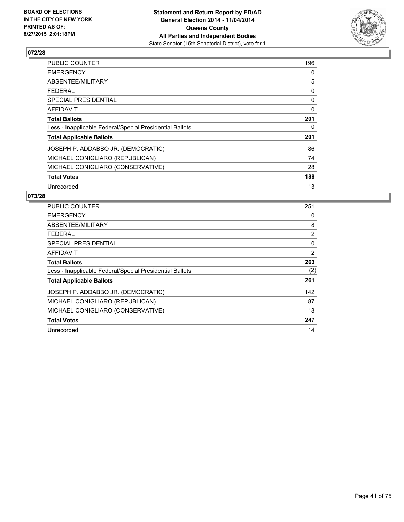

| <b>PUBLIC COUNTER</b>                                    | 196 |
|----------------------------------------------------------|-----|
| <b>EMERGENCY</b>                                         | 0   |
| ABSENTEE/MILITARY                                        | 5   |
| FEDERAL                                                  | 0   |
| <b>SPECIAL PRESIDENTIAL</b>                              | 0   |
| <b>AFFIDAVIT</b>                                         | 0   |
| <b>Total Ballots</b>                                     | 201 |
| Less - Inapplicable Federal/Special Presidential Ballots | 0   |
| <b>Total Applicable Ballots</b>                          | 201 |
| JOSEPH P. ADDABBO JR. (DEMOCRATIC)                       | 86  |
| MICHAEL CONIGLIARO (REPUBLICAN)                          | 74  |
| MICHAEL CONIGLIARO (CONSERVATIVE)                        | 28  |
| <b>Total Votes</b>                                       | 188 |
| Unrecorded                                               | 13  |

| <b>PUBLIC COUNTER</b>                                    | 251            |
|----------------------------------------------------------|----------------|
| <b>EMERGENCY</b>                                         | 0              |
| ABSENTEE/MILITARY                                        | 8              |
| <b>FEDERAL</b>                                           | $\overline{2}$ |
| <b>SPECIAL PRESIDENTIAL</b>                              | $\Omega$       |
| AFFIDAVIT                                                | 2              |
| <b>Total Ballots</b>                                     | 263            |
| Less - Inapplicable Federal/Special Presidential Ballots | (2)            |
| <b>Total Applicable Ballots</b>                          | 261            |
| JOSEPH P. ADDABBO JR. (DEMOCRATIC)                       | 142            |
| MICHAEL CONIGLIARO (REPUBLICAN)                          | 87             |
| MICHAEL CONIGLIARO (CONSERVATIVE)                        | 18             |
| <b>Total Votes</b>                                       | 247            |
| Unrecorded                                               | 14             |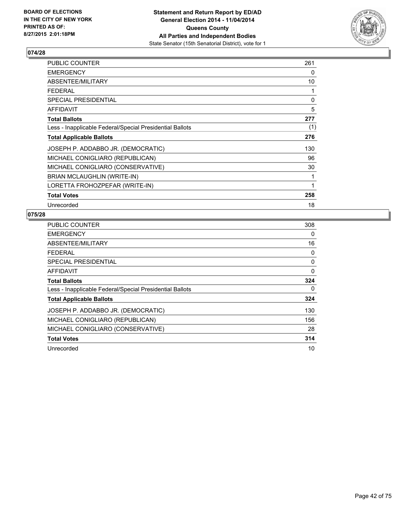

| <b>PUBLIC COUNTER</b>                                    | 261 |
|----------------------------------------------------------|-----|
| <b>EMERGENCY</b>                                         | 0   |
| ABSENTEE/MILITARY                                        | 10  |
| <b>FEDERAL</b>                                           | 1   |
| SPECIAL PRESIDENTIAL                                     | 0   |
| AFFIDAVIT                                                | 5   |
| <b>Total Ballots</b>                                     | 277 |
| Less - Inapplicable Federal/Special Presidential Ballots | (1) |
| <b>Total Applicable Ballots</b>                          | 276 |
| JOSEPH P. ADDABBO JR. (DEMOCRATIC)                       | 130 |
| MICHAEL CONIGLIARO (REPUBLICAN)                          | 96  |
| MICHAEL CONIGLIARO (CONSERVATIVE)                        | 30  |
| BRIAN MCLAUGHLIN (WRITE-IN)                              | 1   |
| LORETTA FROHOZPEFAR (WRITE-IN)                           | 1   |
| <b>Total Votes</b>                                       | 258 |
| Unrecorded                                               | 18  |

| <b>PUBLIC COUNTER</b>                                    | 308      |
|----------------------------------------------------------|----------|
| <b>EMERGENCY</b>                                         | 0        |
| ABSENTEE/MILITARY                                        | 16       |
| <b>FEDERAL</b>                                           | 0        |
| <b>SPECIAL PRESIDENTIAL</b>                              | 0        |
| AFFIDAVIT                                                | $\Omega$ |
| <b>Total Ballots</b>                                     | 324      |
| Less - Inapplicable Federal/Special Presidential Ballots | 0        |
| <b>Total Applicable Ballots</b>                          | 324      |
| JOSEPH P. ADDABBO JR. (DEMOCRATIC)                       | 130      |
| MICHAEL CONIGLIARO (REPUBLICAN)                          | 156      |
| MICHAEL CONIGLIARO (CONSERVATIVE)                        | 28       |
| <b>Total Votes</b>                                       | 314      |
| Unrecorded                                               | 10       |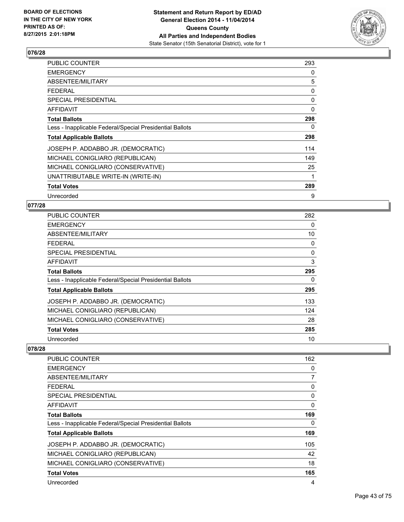

| <b>PUBLIC COUNTER</b>                                    | 293 |
|----------------------------------------------------------|-----|
| <b>EMERGENCY</b>                                         | 0   |
| ABSENTEE/MILITARY                                        | 5   |
| FEDERAL                                                  | 0   |
| <b>SPECIAL PRESIDENTIAL</b>                              | 0   |
| <b>AFFIDAVIT</b>                                         | 0   |
| <b>Total Ballots</b>                                     | 298 |
| Less - Inapplicable Federal/Special Presidential Ballots | 0   |
| <b>Total Applicable Ballots</b>                          | 298 |
| JOSEPH P. ADDABBO JR. (DEMOCRATIC)                       | 114 |
| MICHAEL CONIGLIARO (REPUBLICAN)                          | 149 |
| MICHAEL CONIGLIARO (CONSERVATIVE)                        | 25  |
| UNATTRIBUTABLE WRITE-IN (WRITE-IN)                       | 1   |
| <b>Total Votes</b>                                       | 289 |
| Unrecorded                                               | 9   |

#### **077/28**

| <b>PUBLIC COUNTER</b>                                    | 282 |
|----------------------------------------------------------|-----|
| <b>EMERGENCY</b>                                         | 0   |
| ABSENTEE/MILITARY                                        | 10  |
| <b>FEDERAL</b>                                           | 0   |
| <b>SPECIAL PRESIDENTIAL</b>                              | 0   |
| AFFIDAVIT                                                | 3   |
| <b>Total Ballots</b>                                     | 295 |
| Less - Inapplicable Federal/Special Presidential Ballots | 0   |
| <b>Total Applicable Ballots</b>                          | 295 |
| JOSEPH P. ADDABBO JR. (DEMOCRATIC)                       | 133 |
| MICHAEL CONIGLIARO (REPUBLICAN)                          | 124 |
| MICHAEL CONIGLIARO (CONSERVATIVE)                        | 28  |
| <b>Total Votes</b>                                       | 285 |
| Unrecorded                                               | 10  |

| PUBLIC COUNTER                                           | 162 |
|----------------------------------------------------------|-----|
| <b>EMERGENCY</b>                                         | 0   |
| ABSENTEE/MILITARY                                        | 7   |
| <b>FEDERAL</b>                                           | 0   |
| SPECIAL PRESIDENTIAL                                     | 0   |
| AFFIDAVIT                                                | 0   |
| <b>Total Ballots</b>                                     | 169 |
| Less - Inapplicable Federal/Special Presidential Ballots | 0   |
| <b>Total Applicable Ballots</b>                          | 169 |
| JOSEPH P. ADDABBO JR. (DEMOCRATIC)                       | 105 |
| MICHAEL CONIGLIARO (REPUBLICAN)                          | 42  |
| MICHAEL CONIGLIARO (CONSERVATIVE)                        | 18  |
| <b>Total Votes</b>                                       | 165 |
| Unrecorded                                               | 4   |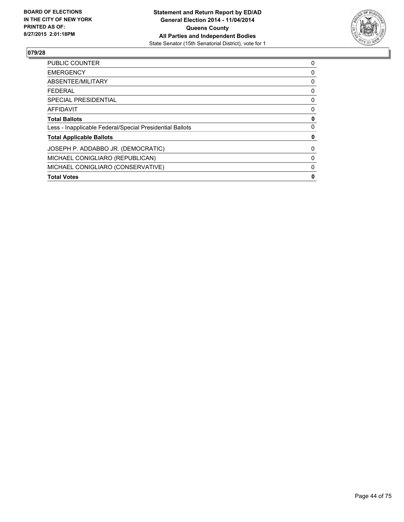

| <b>Total Votes</b>                                       | 0 |
|----------------------------------------------------------|---|
| MICHAEL CONIGLIARO (CONSERVATIVE)                        | 0 |
| MICHAEL CONIGLIARO (REPUBLICAN)                          | 0 |
| JOSEPH P. ADDABBO JR. (DEMOCRATIC)                       | 0 |
| <b>Total Applicable Ballots</b>                          | 0 |
| Less - Inapplicable Federal/Special Presidential Ballots | 0 |
| <b>Total Ballots</b>                                     | 0 |
| AFFIDAVIT                                                | 0 |
| <b>SPECIAL PRESIDENTIAL</b>                              | 0 |
| FEDERAL                                                  | 0 |
| ABSENTEE/MILITARY                                        | 0 |
| <b>EMERGENCY</b>                                         | 0 |
| PUBLIC COUNTER                                           | 0 |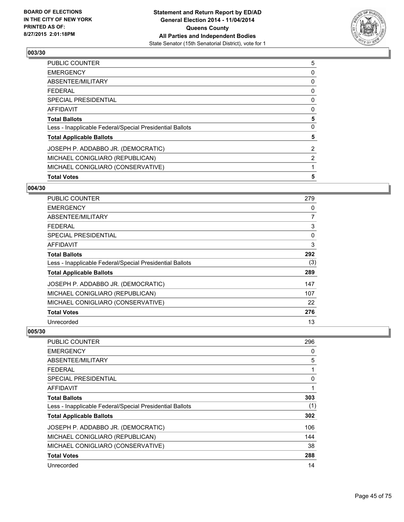

| <b>Total Votes</b>                                       | 5              |
|----------------------------------------------------------|----------------|
| MICHAEL CONIGLIARO (CONSERVATIVE)                        |                |
| MICHAEL CONIGLIARO (REPUBLICAN)                          | $\overline{2}$ |
| JOSEPH P. ADDABBO JR. (DEMOCRATIC)                       | $\overline{2}$ |
| <b>Total Applicable Ballots</b>                          | 5              |
| Less - Inapplicable Federal/Special Presidential Ballots | 0              |
| <b>Total Ballots</b>                                     | 5              |
| <b>AFFIDAVIT</b>                                         | 0              |
| <b>SPECIAL PRESIDENTIAL</b>                              | 0              |
| <b>FEDERAL</b>                                           | 0              |
| ABSENTEE/MILITARY                                        | 0              |
| <b>EMERGENCY</b>                                         | 0              |
| <b>PUBLIC COUNTER</b>                                    | 5              |

#### **004/30**

| <b>PUBLIC COUNTER</b>                                    | 279 |
|----------------------------------------------------------|-----|
| <b>EMERGENCY</b>                                         | 0   |
| ABSENTEE/MILITARY                                        | 7   |
| <b>FEDERAL</b>                                           | 3   |
| SPECIAL PRESIDENTIAL                                     | 0   |
| AFFIDAVIT                                                | 3   |
| <b>Total Ballots</b>                                     | 292 |
| Less - Inapplicable Federal/Special Presidential Ballots | (3) |
| <b>Total Applicable Ballots</b>                          | 289 |
| JOSEPH P. ADDABBO JR. (DEMOCRATIC)                       | 147 |
| MICHAEL CONIGLIARO (REPUBLICAN)                          | 107 |
| MICHAEL CONIGLIARO (CONSERVATIVE)                        | 22  |
| <b>Total Votes</b>                                       | 276 |
| Unrecorded                                               | 13  |

| <b>PUBLIC COUNTER</b>                                    | 296 |
|----------------------------------------------------------|-----|
| <b>EMERGENCY</b>                                         | 0   |
| ABSENTEE/MILITARY                                        | 5   |
| FEDERAL                                                  |     |
| <b>SPECIAL PRESIDENTIAL</b>                              | 0   |
| <b>AFFIDAVIT</b>                                         |     |
| <b>Total Ballots</b>                                     | 303 |
| Less - Inapplicable Federal/Special Presidential Ballots | (1) |
| <b>Total Applicable Ballots</b>                          | 302 |
| JOSEPH P. ADDABBO JR. (DEMOCRATIC)                       | 106 |
| MICHAEL CONIGLIARO (REPUBLICAN)                          | 144 |
| MICHAEL CONIGLIARO (CONSERVATIVE)                        | 38  |
| <b>Total Votes</b>                                       | 288 |
| Unrecorded                                               | 14  |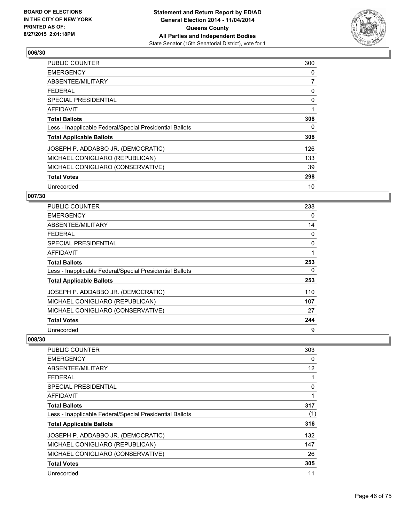

| <b>PUBLIC COUNTER</b>                                    | 300 |
|----------------------------------------------------------|-----|
| <b>EMERGENCY</b>                                         | 0   |
| ABSENTEE/MILITARY                                        | 7   |
| <b>FEDERAL</b>                                           | 0   |
| <b>SPECIAL PRESIDENTIAL</b>                              | 0   |
| AFFIDAVIT                                                | 1   |
| <b>Total Ballots</b>                                     | 308 |
| Less - Inapplicable Federal/Special Presidential Ballots | 0   |
| <b>Total Applicable Ballots</b>                          | 308 |
| JOSEPH P. ADDABBO JR. (DEMOCRATIC)                       | 126 |
| MICHAEL CONIGLIARO (REPUBLICAN)                          | 133 |
| MICHAEL CONIGLIARO (CONSERVATIVE)                        | 39  |
| <b>Total Votes</b>                                       | 298 |
| Unrecorded                                               | 10  |

## **007/30**

| PUBLIC COUNTER                                           | 238 |
|----------------------------------------------------------|-----|
| <b>EMERGENCY</b>                                         | 0   |
| ABSENTEE/MILITARY                                        | 14  |
| <b>FEDERAL</b>                                           | 0   |
| <b>SPECIAL PRESIDENTIAL</b>                              | 0   |
| AFFIDAVIT                                                |     |
| <b>Total Ballots</b>                                     | 253 |
| Less - Inapplicable Federal/Special Presidential Ballots | 0   |
| <b>Total Applicable Ballots</b>                          | 253 |
| JOSEPH P. ADDABBO JR. (DEMOCRATIC)                       | 110 |
| MICHAEL CONIGLIARO (REPUBLICAN)                          | 107 |
| MICHAEL CONIGLIARO (CONSERVATIVE)                        | 27  |
| <b>Total Votes</b>                                       | 244 |
| Unrecorded                                               | 9   |

| <b>PUBLIC COUNTER</b>                                    | 303 |
|----------------------------------------------------------|-----|
| <b>EMERGENCY</b>                                         | 0   |
| ABSENTEE/MILITARY                                        | 12  |
| <b>FEDERAL</b>                                           |     |
| SPECIAL PRESIDENTIAL                                     | 0   |
| AFFIDAVIT                                                |     |
| <b>Total Ballots</b>                                     | 317 |
| Less - Inapplicable Federal/Special Presidential Ballots | (1) |
| <b>Total Applicable Ballots</b>                          | 316 |
| JOSEPH P. ADDABBO JR. (DEMOCRATIC)                       | 132 |
| MICHAEL CONIGLIARO (REPUBLICAN)                          | 147 |
| MICHAEL CONIGLIARO (CONSERVATIVE)                        | 26  |
| <b>Total Votes</b>                                       | 305 |
| Unrecorded                                               | 11  |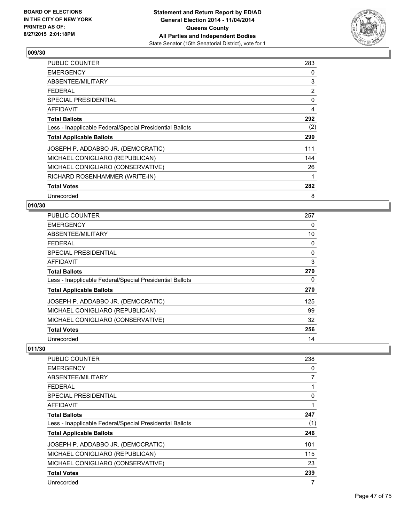

| <b>PUBLIC COUNTER</b>                                    | 283 |
|----------------------------------------------------------|-----|
| <b>EMERGENCY</b>                                         | 0   |
| ABSENTEE/MILITARY                                        | 3   |
| <b>FEDERAL</b>                                           | 2   |
| <b>SPECIAL PRESIDENTIAL</b>                              | 0   |
| <b>AFFIDAVIT</b>                                         | 4   |
| <b>Total Ballots</b>                                     | 292 |
| Less - Inapplicable Federal/Special Presidential Ballots | (2) |
| <b>Total Applicable Ballots</b>                          | 290 |
| JOSEPH P. ADDABBO JR. (DEMOCRATIC)                       | 111 |
| MICHAEL CONIGLIARO (REPUBLICAN)                          | 144 |
| MICHAEL CONIGLIARO (CONSERVATIVE)                        | 26  |
| RICHARD ROSENHAMMER (WRITE-IN)                           | 1   |
| <b>Total Votes</b>                                       | 282 |
| Unrecorded                                               | 8   |

### **010/30**

| <b>PUBLIC COUNTER</b>                                    | 257 |
|----------------------------------------------------------|-----|
| <b>EMERGENCY</b>                                         | 0   |
| ABSENTEE/MILITARY                                        | 10  |
| <b>FEDERAL</b>                                           | 0   |
| <b>SPECIAL PRESIDENTIAL</b>                              | 0   |
| <b>AFFIDAVIT</b>                                         | 3   |
| <b>Total Ballots</b>                                     | 270 |
| Less - Inapplicable Federal/Special Presidential Ballots | 0   |
| <b>Total Applicable Ballots</b>                          | 270 |
| JOSEPH P. ADDABBO JR. (DEMOCRATIC)                       | 125 |
| MICHAEL CONIGLIARO (REPUBLICAN)                          | 99  |
| MICHAEL CONIGLIARO (CONSERVATIVE)                        | 32  |
| <b>Total Votes</b>                                       | 256 |
| Unrecorded                                               | 14  |

| PUBLIC COUNTER                                           | 238 |
|----------------------------------------------------------|-----|
| <b>EMERGENCY</b>                                         | 0   |
| ABSENTEE/MILITARY                                        | 7   |
| <b>FEDERAL</b>                                           |     |
| <b>SPECIAL PRESIDENTIAL</b>                              | 0   |
| <b>AFFIDAVIT</b>                                         |     |
| <b>Total Ballots</b>                                     | 247 |
| Less - Inapplicable Federal/Special Presidential Ballots | (1) |
| <b>Total Applicable Ballots</b>                          | 246 |
| JOSEPH P. ADDABBO JR. (DEMOCRATIC)                       | 101 |
| MICHAEL CONIGLIARO (REPUBLICAN)                          | 115 |
| MICHAEL CONIGLIARO (CONSERVATIVE)                        | 23  |
| <b>Total Votes</b>                                       | 239 |
| Unrecorded                                               | 7   |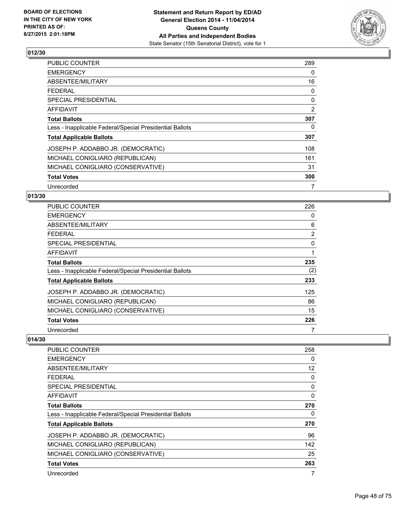

| <b>PUBLIC COUNTER</b>                                    | 289 |
|----------------------------------------------------------|-----|
| <b>EMERGENCY</b>                                         | 0   |
| ABSENTEE/MILITARY                                        | 16  |
| FEDERAL                                                  | 0   |
| <b>SPECIAL PRESIDENTIAL</b>                              | 0   |
| <b>AFFIDAVIT</b>                                         | 2   |
| <b>Total Ballots</b>                                     | 307 |
| Less - Inapplicable Federal/Special Presidential Ballots | 0   |
| <b>Total Applicable Ballots</b>                          | 307 |
| JOSEPH P. ADDABBO JR. (DEMOCRATIC)                       | 108 |
| MICHAEL CONIGLIARO (REPUBLICAN)                          | 161 |
| MICHAEL CONIGLIARO (CONSERVATIVE)                        | 31  |
| <b>Total Votes</b>                                       | 300 |
| Unrecorded                                               | 7   |

## **013/30**

| <b>PUBLIC COUNTER</b>                                    | 226            |
|----------------------------------------------------------|----------------|
| <b>EMERGENCY</b>                                         | 0              |
| ABSENTEE/MILITARY                                        | 6              |
| <b>FEDERAL</b>                                           | $\overline{2}$ |
| <b>SPECIAL PRESIDENTIAL</b>                              | $\Omega$       |
| <b>AFFIDAVIT</b>                                         |                |
| <b>Total Ballots</b>                                     | 235            |
| Less - Inapplicable Federal/Special Presidential Ballots | (2)            |
| <b>Total Applicable Ballots</b>                          | 233            |
| JOSEPH P. ADDABBO JR. (DEMOCRATIC)                       | 125            |
| MICHAEL CONIGLIARO (REPUBLICAN)                          | 86             |
| MICHAEL CONIGLIARO (CONSERVATIVE)                        | 15             |
| <b>Total Votes</b>                                       | 226            |
| Unrecorded                                               | 7              |

| PUBLIC COUNTER                                           | 258 |
|----------------------------------------------------------|-----|
| <b>EMERGENCY</b>                                         | 0   |
| ABSENTEE/MILITARY                                        | 12  |
| <b>FEDERAL</b>                                           | 0   |
| <b>SPECIAL PRESIDENTIAL</b>                              | 0   |
| AFFIDAVIT                                                | 0   |
| <b>Total Ballots</b>                                     | 270 |
| Less - Inapplicable Federal/Special Presidential Ballots | 0   |
| <b>Total Applicable Ballots</b>                          | 270 |
| JOSEPH P. ADDABBO JR. (DEMOCRATIC)                       | 96  |
| MICHAEL CONIGLIARO (REPUBLICAN)                          | 142 |
| MICHAEL CONIGLIARO (CONSERVATIVE)                        | 25  |
| <b>Total Votes</b>                                       | 263 |
| Unrecorded                                               | 7   |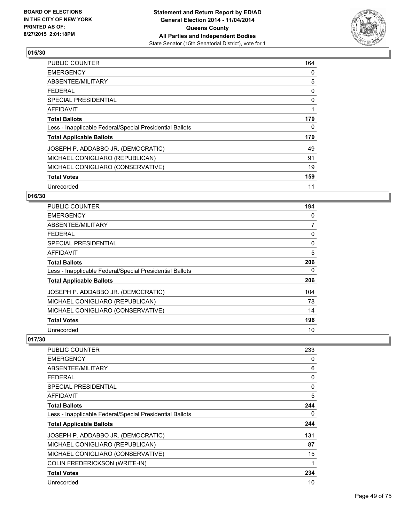

| <b>PUBLIC COUNTER</b>                                    | 164 |
|----------------------------------------------------------|-----|
| <b>EMERGENCY</b>                                         | 0   |
| ABSENTEE/MILITARY                                        | 5   |
| <b>FEDERAL</b>                                           | 0   |
| <b>SPECIAL PRESIDENTIAL</b>                              | 0   |
| AFFIDAVIT                                                | 1   |
| <b>Total Ballots</b>                                     | 170 |
| Less - Inapplicable Federal/Special Presidential Ballots | 0   |
| <b>Total Applicable Ballots</b>                          | 170 |
| JOSEPH P. ADDABBO JR. (DEMOCRATIC)                       | 49  |
| MICHAEL CONIGLIARO (REPUBLICAN)                          | 91  |
| MICHAEL CONIGLIARO (CONSERVATIVE)                        | 19  |
| <b>Total Votes</b>                                       | 159 |
| Unrecorded                                               | 11  |

## **016/30**

| <b>PUBLIC COUNTER</b>                                    | 194 |
|----------------------------------------------------------|-----|
| <b>EMERGENCY</b>                                         | 0   |
| ABSENTEE/MILITARY                                        | 7   |
| <b>FEDERAL</b>                                           | 0   |
| <b>SPECIAL PRESIDENTIAL</b>                              | 0   |
| <b>AFFIDAVIT</b>                                         | 5   |
| <b>Total Ballots</b>                                     | 206 |
| Less - Inapplicable Federal/Special Presidential Ballots | 0   |
| <b>Total Applicable Ballots</b>                          | 206 |
| JOSEPH P. ADDABBO JR. (DEMOCRATIC)                       | 104 |
| MICHAEL CONIGLIARO (REPUBLICAN)                          | 78  |
| MICHAEL CONIGLIARO (CONSERVATIVE)                        | 14  |
| <b>Total Votes</b>                                       | 196 |
| Unrecorded                                               | 10  |

| PUBLIC COUNTER                                           | 233 |
|----------------------------------------------------------|-----|
| <b>EMERGENCY</b>                                         | 0   |
| ABSENTEE/MILITARY                                        | 6   |
| <b>FEDERAL</b>                                           | 0   |
| <b>SPECIAL PRESIDENTIAL</b>                              | 0   |
| AFFIDAVIT                                                | 5   |
| <b>Total Ballots</b>                                     | 244 |
| Less - Inapplicable Federal/Special Presidential Ballots | 0   |
| <b>Total Applicable Ballots</b>                          | 244 |
| JOSEPH P. ADDABBO JR. (DEMOCRATIC)                       | 131 |
| MICHAEL CONIGLIARO (REPUBLICAN)                          | 87  |
| MICHAEL CONIGLIARO (CONSERVATIVE)                        | 15  |
| <b>COLIN FREDERICKSON (WRITE-IN)</b>                     | 1   |
| <b>Total Votes</b>                                       | 234 |
| Unrecorded                                               | 10  |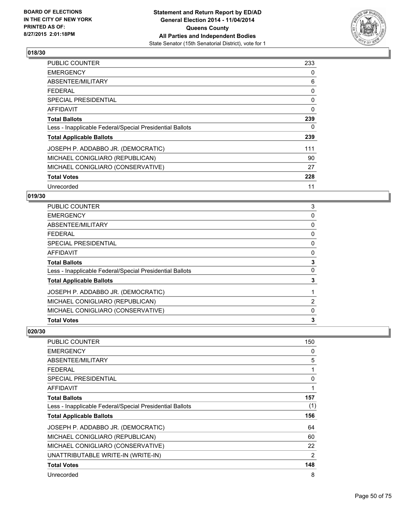

| <b>PUBLIC COUNTER</b>                                    | 233      |
|----------------------------------------------------------|----------|
| <b>EMERGENCY</b>                                         | 0        |
| ABSENTEE/MILITARY                                        | 6        |
| <b>FEDERAL</b>                                           | 0        |
| <b>SPECIAL PRESIDENTIAL</b>                              | 0        |
| AFFIDAVIT                                                | $\Omega$ |
| <b>Total Ballots</b>                                     | 239      |
| Less - Inapplicable Federal/Special Presidential Ballots | 0        |
| <b>Total Applicable Ballots</b>                          | 239      |
| JOSEPH P. ADDABBO JR. (DEMOCRATIC)                       | 111      |
| MICHAEL CONIGLIARO (REPUBLICAN)                          | 90       |
| MICHAEL CONIGLIARO (CONSERVATIVE)                        | 27       |
| <b>Total Votes</b>                                       | 228      |
| Unrecorded                                               | 11       |

## **019/30**

| <b>Total Votes</b>                                       | 3 |
|----------------------------------------------------------|---|
| MICHAEL CONIGLIARO (CONSERVATIVE)                        | 0 |
| MICHAEL CONIGLIARO (REPUBLICAN)                          | 2 |
| JOSEPH P. ADDABBO JR. (DEMOCRATIC)                       | 1 |
| <b>Total Applicable Ballots</b>                          | 3 |
| Less - Inapplicable Federal/Special Presidential Ballots | 0 |
| <b>Total Ballots</b>                                     | 3 |
| <b>AFFIDAVIT</b>                                         | 0 |
| <b>SPECIAL PRESIDENTIAL</b>                              | 0 |
| FFDFRAI                                                  | 0 |
| ABSENTEE/MILITARY                                        | 0 |
| <b>EMERGENCY</b>                                         | 0 |
| <b>PUBLIC COUNTER</b>                                    | 3 |

| PUBLIC COUNTER                                           | 150         |
|----------------------------------------------------------|-------------|
| <b>EMERGENCY</b>                                         | 0           |
| ABSENTEE/MILITARY                                        | 5           |
| <b>FEDERAL</b>                                           | 1           |
| <b>SPECIAL PRESIDENTIAL</b>                              | 0           |
| AFFIDAVIT                                                | $\mathbf 1$ |
| <b>Total Ballots</b>                                     | 157         |
| Less - Inapplicable Federal/Special Presidential Ballots | (1)         |
| <b>Total Applicable Ballots</b>                          | 156         |
| JOSEPH P. ADDABBO JR. (DEMOCRATIC)                       | 64          |
| MICHAEL CONIGLIARO (REPUBLICAN)                          | 60          |
| MICHAEL CONIGLIARO (CONSERVATIVE)                        | 22          |
| UNATTRIBUTABLE WRITE-IN (WRITE-IN)                       | 2           |
| <b>Total Votes</b>                                       | 148         |
| Unrecorded                                               | 8           |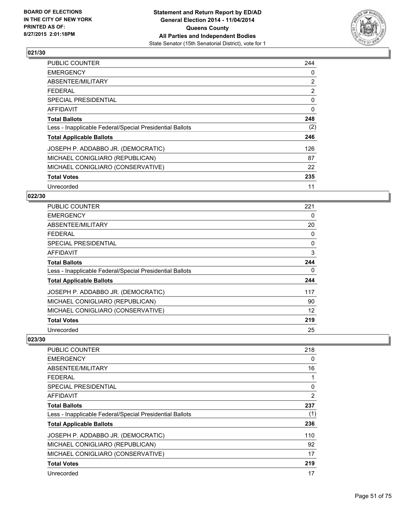

| PUBLIC COUNTER                                           | 244            |
|----------------------------------------------------------|----------------|
| <b>EMERGENCY</b>                                         | 0              |
| ABSENTEE/MILITARY                                        | $\overline{2}$ |
| <b>FEDERAL</b>                                           | $\overline{2}$ |
| <b>SPECIAL PRESIDENTIAL</b>                              | 0              |
| AFFIDAVIT                                                | 0              |
| <b>Total Ballots</b>                                     | 248            |
| Less - Inapplicable Federal/Special Presidential Ballots | (2)            |
| <b>Total Applicable Ballots</b>                          | 246            |
| JOSEPH P. ADDABBO JR. (DEMOCRATIC)                       | 126            |
| MICHAEL CONIGLIARO (REPUBLICAN)                          | 87             |
| MICHAEL CONIGLIARO (CONSERVATIVE)                        | 22             |
| <b>Total Votes</b>                                       | 235            |
| Unrecorded                                               | 11             |

## **022/30**

| <b>PUBLIC COUNTER</b>                                    | 221 |
|----------------------------------------------------------|-----|
| <b>EMERGENCY</b>                                         | 0   |
| ABSENTEE/MILITARY                                        | 20  |
| <b>FEDERAL</b>                                           | 0   |
| <b>SPECIAL PRESIDENTIAL</b>                              | 0   |
| <b>AFFIDAVIT</b>                                         | 3   |
| <b>Total Ballots</b>                                     | 244 |
| Less - Inapplicable Federal/Special Presidential Ballots | 0   |
| <b>Total Applicable Ballots</b>                          | 244 |
| JOSEPH P. ADDABBO JR. (DEMOCRATIC)                       | 117 |
| MICHAEL CONIGLIARO (REPUBLICAN)                          | 90  |
| MICHAEL CONIGLIARO (CONSERVATIVE)                        | 12  |
| <b>Total Votes</b>                                       | 219 |
| Unrecorded                                               | 25  |

| <b>PUBLIC COUNTER</b>                                    | 218 |
|----------------------------------------------------------|-----|
| <b>EMERGENCY</b>                                         | 0   |
| ABSENTEE/MILITARY                                        | 16  |
| <b>FEDERAL</b>                                           |     |
| <b>SPECIAL PRESIDENTIAL</b>                              | 0   |
| AFFIDAVIT                                                | 2   |
| <b>Total Ballots</b>                                     | 237 |
| Less - Inapplicable Federal/Special Presidential Ballots | (1) |
| <b>Total Applicable Ballots</b>                          | 236 |
| JOSEPH P. ADDABBO JR. (DEMOCRATIC)                       | 110 |
| MICHAEL CONIGLIARO (REPUBLICAN)                          | 92  |
| MICHAEL CONIGLIARO (CONSERVATIVE)                        | 17  |
| <b>Total Votes</b>                                       | 219 |
| Unrecorded                                               | 17  |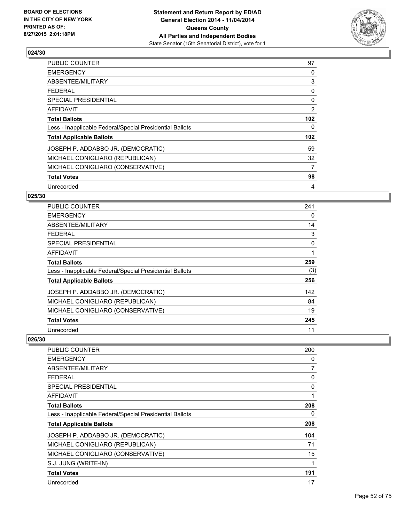

| PUBLIC COUNTER                                           | 97               |
|----------------------------------------------------------|------------------|
| <b>EMERGENCY</b>                                         | 0                |
| ABSENTEE/MILITARY                                        | 3                |
| <b>FEDERAL</b>                                           | 0                |
| <b>SPECIAL PRESIDENTIAL</b>                              | 0                |
| AFFIDAVIT                                                | 2                |
| <b>Total Ballots</b>                                     | 102 <sub>2</sub> |
| Less - Inapplicable Federal/Special Presidential Ballots | 0                |
| <b>Total Applicable Ballots</b>                          | 102 <sub>2</sub> |
| JOSEPH P. ADDABBO JR. (DEMOCRATIC)                       | 59               |
| MICHAEL CONIGLIARO (REPUBLICAN)                          | 32               |
| MICHAEL CONIGLIARO (CONSERVATIVE)                        | 7                |
| <b>Total Votes</b>                                       | 98               |
| Unrecorded                                               | 4                |

## **025/30**

| <b>PUBLIC COUNTER</b>                                    | 241 |
|----------------------------------------------------------|-----|
| <b>EMERGENCY</b>                                         | 0   |
| ABSENTEE/MILITARY                                        | 14  |
| <b>FEDERAL</b>                                           | 3   |
| <b>SPECIAL PRESIDENTIAL</b>                              | 0   |
| <b>AFFIDAVIT</b>                                         | 1   |
| <b>Total Ballots</b>                                     | 259 |
| Less - Inapplicable Federal/Special Presidential Ballots | (3) |
| <b>Total Applicable Ballots</b>                          | 256 |
| JOSEPH P. ADDABBO JR. (DEMOCRATIC)                       | 142 |
| MICHAEL CONIGLIARO (REPUBLICAN)                          | 84  |
| MICHAEL CONIGLIARO (CONSERVATIVE)                        | 19  |
| <b>Total Votes</b>                                       | 245 |
| Unrecorded                                               | 11  |

| PUBLIC COUNTER                                           | 200 |
|----------------------------------------------------------|-----|
| <b>EMERGENCY</b>                                         | 0   |
| ABSENTEE/MILITARY                                        | 7   |
| <b>FEDERAL</b>                                           | 0   |
| <b>SPECIAL PRESIDENTIAL</b>                              | 0   |
| AFFIDAVIT                                                | 1   |
| <b>Total Ballots</b>                                     | 208 |
| Less - Inapplicable Federal/Special Presidential Ballots | 0   |
| <b>Total Applicable Ballots</b>                          | 208 |
| JOSEPH P. ADDABBO JR. (DEMOCRATIC)                       | 104 |
| MICHAEL CONIGLIARO (REPUBLICAN)                          | 71  |
| MICHAEL CONIGLIARO (CONSERVATIVE)                        | 15  |
| S.J. JUNG (WRITE-IN)                                     | 1   |
| <b>Total Votes</b>                                       | 191 |
| Unrecorded                                               | 17  |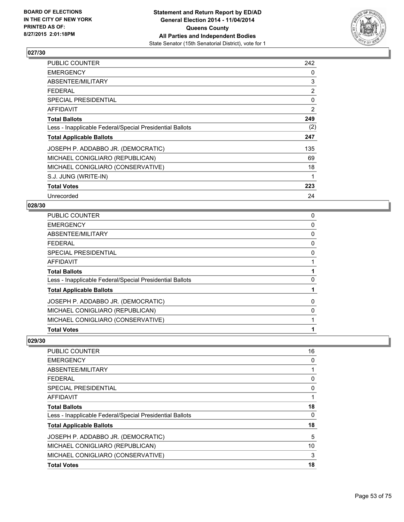

| PUBLIC COUNTER                                           | 242            |
|----------------------------------------------------------|----------------|
| <b>EMERGENCY</b>                                         | 0              |
| ABSENTEE/MILITARY                                        | 3              |
| <b>FEDERAL</b>                                           | $\overline{2}$ |
| <b>SPECIAL PRESIDENTIAL</b>                              | 0              |
| <b>AFFIDAVIT</b>                                         | 2              |
| <b>Total Ballots</b>                                     | 249            |
| Less - Inapplicable Federal/Special Presidential Ballots | (2)            |
| <b>Total Applicable Ballots</b>                          | 247            |
| JOSEPH P. ADDABBO JR. (DEMOCRATIC)                       | 135            |
| MICHAEL CONIGLIARO (REPUBLICAN)                          | 69             |
| MICHAEL CONIGLIARO (CONSERVATIVE)                        | 18             |
| S.J. JUNG (WRITE-IN)                                     | 1              |
| <b>Total Votes</b>                                       | 223            |
| Unrecorded                                               | 24             |

#### **028/30**

| <b>Total Votes</b>                                       |   |
|----------------------------------------------------------|---|
| MICHAEL CONIGLIARO (CONSERVATIVE)                        |   |
| MICHAEL CONIGLIARO (REPUBLICAN)                          | 0 |
| JOSEPH P. ADDABBO JR. (DEMOCRATIC)                       | 0 |
| <b>Total Applicable Ballots</b>                          |   |
| Less - Inapplicable Federal/Special Presidential Ballots | 0 |
| <b>Total Ballots</b>                                     |   |
| <b>AFFIDAVIT</b>                                         |   |
| SPECIAL PRESIDENTIAL                                     | 0 |
| <b>FEDERAL</b>                                           | 0 |
| ABSENTEE/MILITARY                                        | 0 |
| <b>EMERGENCY</b>                                         | 0 |
| PUBLIC COUNTER                                           | 0 |

| <b>PUBLIC COUNTER</b>                                    | 16 |
|----------------------------------------------------------|----|
| <b>EMERGENCY</b>                                         | 0  |
| ABSENTEE/MILITARY                                        |    |
| <b>FEDERAL</b>                                           | 0  |
| <b>SPECIAL PRESIDENTIAL</b>                              | 0  |
| AFFIDAVIT                                                |    |
| <b>Total Ballots</b>                                     | 18 |
| Less - Inapplicable Federal/Special Presidential Ballots | 0  |
| <b>Total Applicable Ballots</b>                          | 18 |
| JOSEPH P. ADDABBO JR. (DEMOCRATIC)                       | 5  |
| MICHAEL CONIGLIARO (REPUBLICAN)                          | 10 |
| MICHAEL CONIGLIARO (CONSERVATIVE)                        | 3  |
| <b>Total Votes</b>                                       | 18 |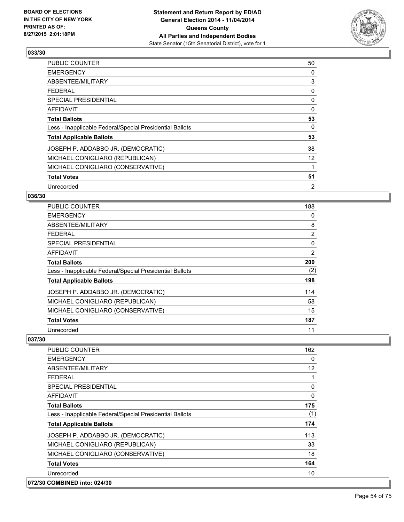

| <b>PUBLIC COUNTER</b>                                    | 50       |
|----------------------------------------------------------|----------|
| <b>EMERGENCY</b>                                         | 0        |
| ABSENTEE/MILITARY                                        | 3        |
| FEDERAL                                                  | 0        |
| <b>SPECIAL PRESIDENTIAL</b>                              | 0        |
| <b>AFFIDAVIT</b>                                         | $\Omega$ |
| <b>Total Ballots</b>                                     | 53       |
| Less - Inapplicable Federal/Special Presidential Ballots | 0        |
| <b>Total Applicable Ballots</b>                          | 53       |
| JOSEPH P. ADDABBO JR. (DEMOCRATIC)                       | 38       |
| MICHAEL CONIGLIARO (REPUBLICAN)                          | 12       |
| MICHAEL CONIGLIARO (CONSERVATIVE)                        |          |
| <b>Total Votes</b>                                       | 51       |
| Unrecorded                                               | 2        |

## **036/30**

| PUBLIC COUNTER                                           | 188            |
|----------------------------------------------------------|----------------|
| <b>EMERGENCY</b>                                         | 0              |
| ABSENTEE/MILITARY                                        | 8              |
| <b>FEDERAL</b>                                           | $\overline{2}$ |
| <b>SPECIAL PRESIDENTIAL</b>                              | 0              |
| <b>AFFIDAVIT</b>                                         | 2              |
| <b>Total Ballots</b>                                     | 200            |
| Less - Inapplicable Federal/Special Presidential Ballots | (2)            |
| <b>Total Applicable Ballots</b>                          | 198            |
| JOSEPH P. ADDABBO JR. (DEMOCRATIC)                       | 114            |
| MICHAEL CONIGLIARO (REPUBLICAN)                          | 58             |
| MICHAEL CONIGLIARO (CONSERVATIVE)                        | 15             |
| <b>Total Votes</b>                                       | 187            |
| Unrecorded                                               | 11             |

| <b>PUBLIC COUNTER</b>                                    | 162 |
|----------------------------------------------------------|-----|
| <b>EMERGENCY</b>                                         | 0   |
| ABSENTEE/MILITARY                                        | 12  |
| <b>FFDFRAL</b>                                           | 1   |
| SPECIAL PRESIDENTIAL                                     | 0   |
| AFFIDAVIT                                                | 0   |
| <b>Total Ballots</b>                                     | 175 |
| Less - Inapplicable Federal/Special Presidential Ballots | (1) |
| <b>Total Applicable Ballots</b>                          | 174 |
| JOSEPH P. ADDABBO JR. (DEMOCRATIC)                       | 113 |
| MICHAEL CONIGLIARO (REPUBLICAN)                          | 33  |
| MICHAEL CONIGLIARO (CONSERVATIVE)                        | 18  |
| <b>Total Votes</b>                                       | 164 |
| Unrecorded                                               | 10  |
| 072/30 COMBINED into: 024/30                             |     |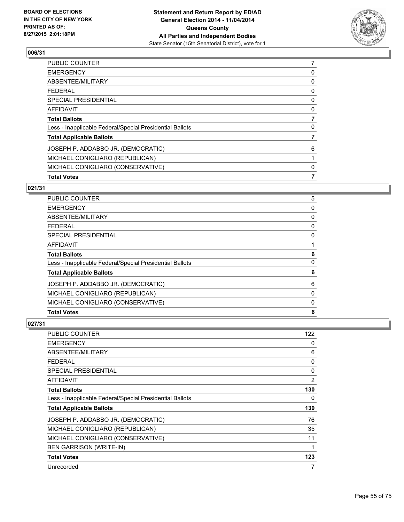

| <b>Total Votes</b>                                       | 7 |
|----------------------------------------------------------|---|
| MICHAEL CONIGLIARO (CONSERVATIVE)                        | 0 |
| MICHAEL CONIGLIARO (REPUBLICAN)                          |   |
| JOSEPH P. ADDABBO JR. (DEMOCRATIC)                       | 6 |
| <b>Total Applicable Ballots</b>                          |   |
| Less - Inapplicable Federal/Special Presidential Ballots | 0 |
| <b>Total Ballots</b>                                     | 7 |
| <b>AFFIDAVIT</b>                                         | 0 |
| <b>SPECIAL PRESIDENTIAL</b>                              | 0 |
| <b>FEDERAL</b>                                           | 0 |
| <b>ABSENTEE/MILITARY</b>                                 | 0 |
| <b>EMERGENCY</b>                                         | 0 |
| PUBLIC COUNTER                                           |   |

# **021/31**

| <b>Total Votes</b>                                       | 6            |
|----------------------------------------------------------|--------------|
| MICHAEL CONIGLIARO (CONSERVATIVE)                        | 0            |
| MICHAEL CONIGLIARO (REPUBLICAN)                          | 0            |
| JOSEPH P. ADDABBO JR. (DEMOCRATIC)                       | 6            |
| <b>Total Applicable Ballots</b>                          | 6            |
| Less - Inapplicable Federal/Special Presidential Ballots | $\mathbf{0}$ |
| <b>Total Ballots</b>                                     | 6            |
| <b>AFFIDAVIT</b>                                         |              |
| <b>SPECIAL PRESIDENTIAL</b>                              | 0            |
| <b>FEDERAL</b>                                           | 0            |
| <b>ABSENTEE/MILITARY</b>                                 | 0            |
| <b>EMERGENCY</b>                                         | 0            |
| PUBLIC COUNTER                                           | 5            |

| <b>PUBLIC COUNTER</b>                                    | 122 |
|----------------------------------------------------------|-----|
| <b>EMERGENCY</b>                                         | 0   |
| ABSENTEE/MILITARY                                        | 6   |
| <b>FEDERAL</b>                                           | 0   |
| SPECIAL PRESIDENTIAL                                     | 0   |
| AFFIDAVIT                                                | 2   |
| <b>Total Ballots</b>                                     | 130 |
| Less - Inapplicable Federal/Special Presidential Ballots | 0   |
| <b>Total Applicable Ballots</b>                          | 130 |
| JOSEPH P. ADDABBO JR. (DEMOCRATIC)                       | 76  |
| MICHAEL CONIGLIARO (REPUBLICAN)                          | 35  |
| MICHAEL CONIGLIARO (CONSERVATIVE)                        | 11  |
| <b>BEN GARRISON (WRITE-IN)</b>                           | 1   |
| <b>Total Votes</b>                                       | 123 |
| Unrecorded                                               | 7   |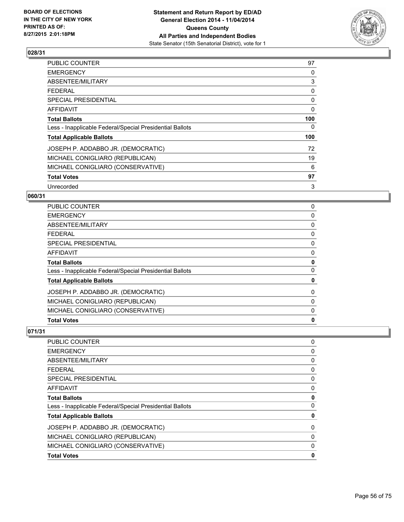

| <b>PUBLIC COUNTER</b>                                    | 97  |
|----------------------------------------------------------|-----|
| <b>EMERGENCY</b>                                         | 0   |
| ABSENTEE/MILITARY                                        | 3   |
| <b>FEDERAL</b>                                           | 0   |
| <b>SPECIAL PRESIDENTIAL</b>                              | 0   |
| <b>AFFIDAVIT</b>                                         | 0   |
| <b>Total Ballots</b>                                     | 100 |
| Less - Inapplicable Federal/Special Presidential Ballots | 0   |
| <b>Total Applicable Ballots</b>                          | 100 |
| JOSEPH P. ADDABBO JR. (DEMOCRATIC)                       | 72  |
| MICHAEL CONIGLIARO (REPUBLICAN)                          | 19  |
| MICHAEL CONIGLIARO (CONSERVATIVE)                        | 6   |
| <b>Total Votes</b>                                       | 97  |
| Unrecorded                                               | 3   |

## **060/31**

| <b>Total Votes</b>                                       | $\mathbf 0$ |
|----------------------------------------------------------|-------------|
| MICHAEL CONIGLIARO (CONSERVATIVE)                        | 0           |
| MICHAEL CONIGLIARO (REPUBLICAN)                          | 0           |
| JOSEPH P. ADDABBO JR. (DEMOCRATIC)                       | 0           |
| <b>Total Applicable Ballots</b>                          | 0           |
| Less - Inapplicable Federal/Special Presidential Ballots | 0           |
| <b>Total Ballots</b>                                     | 0           |
| <b>AFFIDAVIT</b>                                         | 0           |
| <b>SPECIAL PRESIDENTIAL</b>                              | 0           |
| <b>FEDERAL</b>                                           | 0           |
| <b>ABSENTEE/MILITARY</b>                                 | 0           |
| <b>EMERGENCY</b>                                         | 0           |
| <b>PUBLIC COUNTER</b>                                    | 0           |

| <b>Total Votes</b>                                       | 0        |
|----------------------------------------------------------|----------|
| MICHAEL CONIGLIARO (CONSERVATIVE)                        | $\Omega$ |
| MICHAEL CONIGLIARO (REPUBLICAN)                          | 0        |
| JOSEPH P. ADDABBO JR. (DEMOCRATIC)                       | 0        |
| <b>Total Applicable Ballots</b>                          | 0        |
| Less - Inapplicable Federal/Special Presidential Ballots | $\Omega$ |
| <b>Total Ballots</b>                                     | 0        |
| <b>AFFIDAVIT</b>                                         | 0        |
| <b>SPECIAL PRESIDENTIAL</b>                              | 0        |
| FFDFRAI                                                  | 0        |
| ABSENTEE/MILITARY                                        | 0        |
| <b>EMERGENCY</b>                                         | 0        |
| <b>PUBLIC COUNTER</b>                                    | 0        |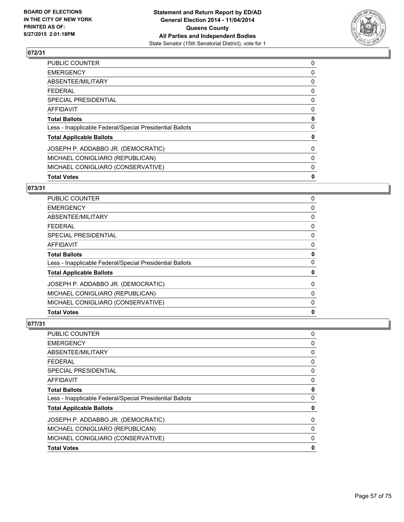

| <b>Total Votes</b>                                       | 0 |
|----------------------------------------------------------|---|
| MICHAEL CONIGLIARO (CONSERVATIVE)                        | 0 |
| MICHAEL CONIGLIARO (REPUBLICAN)                          | 0 |
| JOSEPH P. ADDABBO JR. (DEMOCRATIC)                       | 0 |
| <b>Total Applicable Ballots</b>                          | 0 |
| Less - Inapplicable Federal/Special Presidential Ballots | 0 |
| <b>Total Ballots</b>                                     | 0 |
| AFFIDAVIT                                                | 0 |
| <b>SPECIAL PRESIDENTIAL</b>                              | 0 |
| <b>FEDERAL</b>                                           | 0 |
| <b>ABSENTEE/MILITARY</b>                                 | 0 |
| <b>EMERGENCY</b>                                         | 0 |
| PUBLIC COUNTER                                           | 0 |

# **073/31**

| PUBLIC COUNTER                                           | 0            |
|----------------------------------------------------------|--------------|
| <b>EMERGENCY</b>                                         | 0            |
| ABSENTEE/MILITARY                                        | 0            |
| <b>FEDERAL</b>                                           | 0            |
| <b>SPECIAL PRESIDENTIAL</b>                              | 0            |
| <b>AFFIDAVIT</b>                                         | 0            |
| <b>Total Ballots</b>                                     | 0            |
| Less - Inapplicable Federal/Special Presidential Ballots | $\mathbf{0}$ |
| <b>Total Applicable Ballots</b>                          | 0            |
| JOSEPH P. ADDABBO JR. (DEMOCRATIC)                       | 0            |
| MICHAEL CONIGLIARO (REPUBLICAN)                          | 0            |
| MICHAEL CONIGLIARO (CONSERVATIVE)                        | $\Omega$     |
| <b>Total Votes</b>                                       | $\mathbf 0$  |

| PUBLIC COUNTER                                           | 0           |
|----------------------------------------------------------|-------------|
| <b>EMERGENCY</b>                                         | 0           |
| ABSENTEE/MILITARY                                        | 0           |
| FEDERAL                                                  | 0           |
| SPECIAL PRESIDENTIAL                                     | 0           |
| AFFIDAVIT                                                | 0           |
| <b>Total Ballots</b>                                     | 0           |
| Less - Inapplicable Federal/Special Presidential Ballots | $\mathbf 0$ |
| <b>Total Applicable Ballots</b>                          | 0           |
| JOSEPH P. ADDABBO JR. (DEMOCRATIC)                       | 0           |
| MICHAEL CONIGLIARO (REPUBLICAN)                          | 0           |
| MICHAEL CONIGLIARO (CONSERVATIVE)                        | 0           |
| <b>Total Votes</b>                                       | 0           |
|                                                          |             |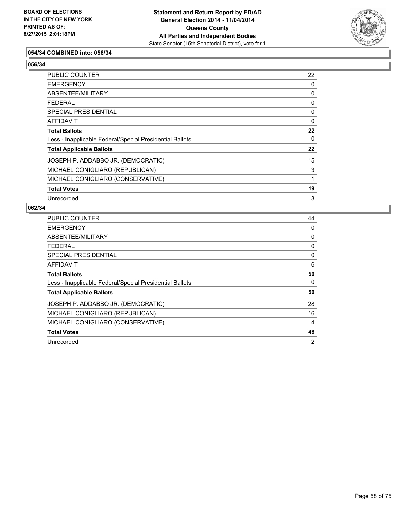

### **054/34 COMBINED into: 056/34**

**056/34** 

| PUBLIC COUNTER                                           | 22 |
|----------------------------------------------------------|----|
| <b>EMERGENCY</b>                                         | 0  |
| ABSENTEE/MILITARY                                        | 0  |
| <b>FEDERAL</b>                                           | 0  |
| <b>SPECIAL PRESIDENTIAL</b>                              | 0  |
| AFFIDAVIT                                                | 0  |
| <b>Total Ballots</b>                                     | 22 |
| Less - Inapplicable Federal/Special Presidential Ballots | 0  |
| <b>Total Applicable Ballots</b>                          | 22 |
| JOSEPH P. ADDABBO JR. (DEMOCRATIC)                       | 15 |
| MICHAEL CONIGLIARO (REPUBLICAN)                          | 3  |
| MICHAEL CONIGLIARO (CONSERVATIVE)                        | 1  |
| <b>Total Votes</b>                                       | 19 |
| Unrecorded                                               | 3  |

| <b>PUBLIC COUNTER</b>                                    | 44             |
|----------------------------------------------------------|----------------|
| <b>EMERGENCY</b>                                         | 0              |
| ABSENTEE/MILITARY                                        | 0              |
| FFDFRAI                                                  | 0              |
| <b>SPECIAL PRESIDENTIAL</b>                              | 0              |
| AFFIDAVIT                                                | 6              |
| <b>Total Ballots</b>                                     | 50             |
| Less - Inapplicable Federal/Special Presidential Ballots | 0              |
| <b>Total Applicable Ballots</b>                          | 50             |
| JOSEPH P. ADDABBO JR. (DEMOCRATIC)                       | 28             |
| MICHAEL CONIGLIARO (REPUBLICAN)                          | 16             |
| MICHAEL CONIGLIARO (CONSERVATIVE)                        | 4              |
| <b>Total Votes</b>                                       | 48             |
| Unrecorded                                               | $\overline{2}$ |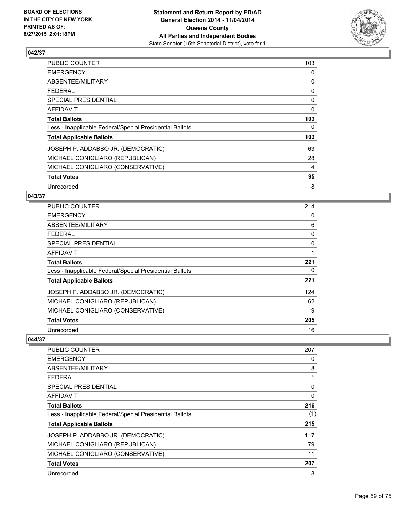

| PUBLIC COUNTER                                           | 103 |
|----------------------------------------------------------|-----|
| <b>EMERGENCY</b>                                         | 0   |
| ABSENTEE/MILITARY                                        | 0   |
| <b>FEDERAL</b>                                           | 0   |
| <b>SPECIAL PRESIDENTIAL</b>                              | 0   |
| AFFIDAVIT                                                | 0   |
| <b>Total Ballots</b>                                     | 103 |
| Less - Inapplicable Federal/Special Presidential Ballots | 0   |
| <b>Total Applicable Ballots</b>                          | 103 |
| JOSEPH P. ADDABBO JR. (DEMOCRATIC)                       | 63  |
| MICHAEL CONIGLIARO (REPUBLICAN)                          | 28  |
| MICHAEL CONIGLIARO (CONSERVATIVE)                        | 4   |
| <b>Total Votes</b>                                       | 95  |
| Unrecorded                                               | 8   |

#### **043/37**

| PUBLIC COUNTER                                           | 214      |
|----------------------------------------------------------|----------|
| <b>EMERGENCY</b>                                         | 0        |
| ABSENTEE/MILITARY                                        | 6        |
| <b>FEDERAL</b>                                           | 0        |
| <b>SPECIAL PRESIDENTIAL</b>                              | $\Omega$ |
| <b>AFFIDAVIT</b>                                         |          |
| <b>Total Ballots</b>                                     | 221      |
| Less - Inapplicable Federal/Special Presidential Ballots | 0        |
| <b>Total Applicable Ballots</b>                          | 221      |
| JOSEPH P. ADDABBO JR. (DEMOCRATIC)                       | 124      |
| MICHAEL CONIGLIARO (REPUBLICAN)                          | 62       |
| MICHAEL CONIGLIARO (CONSERVATIVE)                        | 19       |
| <b>Total Votes</b>                                       | 205      |
| Unrecorded                                               | 16       |

| <b>PUBLIC COUNTER</b>                                    | 207 |
|----------------------------------------------------------|-----|
| <b>EMERGENCY</b>                                         | 0   |
| ABSENTEE/MILITARY                                        | 8   |
| <b>FEDERAL</b>                                           |     |
| SPECIAL PRESIDENTIAL                                     | 0   |
| AFFIDAVIT                                                | 0   |
| <b>Total Ballots</b>                                     | 216 |
| Less - Inapplicable Federal/Special Presidential Ballots | (1) |
| <b>Total Applicable Ballots</b>                          | 215 |
| JOSEPH P. ADDABBO JR. (DEMOCRATIC)                       | 117 |
| MICHAEL CONIGLIARO (REPUBLICAN)                          | 79  |
| MICHAEL CONIGLIARO (CONSERVATIVE)                        | 11  |
| <b>Total Votes</b>                                       | 207 |
| Unrecorded                                               | 8   |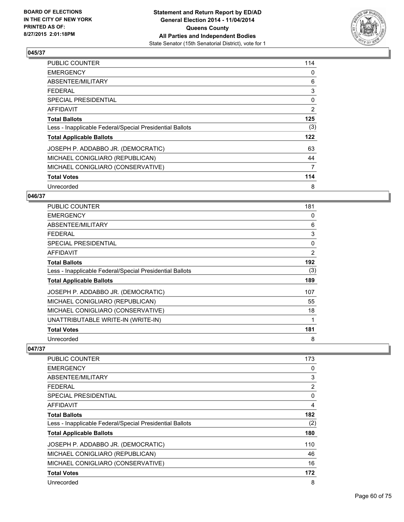

| PUBLIC COUNTER                                           | 114 |
|----------------------------------------------------------|-----|
| <b>EMERGENCY</b>                                         | 0   |
| ABSENTEE/MILITARY                                        | 6   |
| <b>FEDERAL</b>                                           | 3   |
| <b>SPECIAL PRESIDENTIAL</b>                              | 0   |
| AFFIDAVIT                                                | 2   |
| <b>Total Ballots</b>                                     | 125 |
| Less - Inapplicable Federal/Special Presidential Ballots | (3) |
| <b>Total Applicable Ballots</b>                          | 122 |
| JOSEPH P. ADDABBO JR. (DEMOCRATIC)                       | 63  |
| MICHAEL CONIGLIARO (REPUBLICAN)                          | 44  |
| MICHAEL CONIGLIARO (CONSERVATIVE)                        | 7   |
| <b>Total Votes</b>                                       | 114 |
| Unrecorded                                               | 8   |

### **046/37**

| <b>PUBLIC COUNTER</b>                                    | 181            |
|----------------------------------------------------------|----------------|
| <b>EMERGENCY</b>                                         | 0              |
| ABSENTEE/MILITARY                                        | 6              |
| <b>FEDERAL</b>                                           | 3              |
| <b>SPECIAL PRESIDENTIAL</b>                              | 0              |
| AFFIDAVIT                                                | $\overline{2}$ |
| <b>Total Ballots</b>                                     | 192            |
| Less - Inapplicable Federal/Special Presidential Ballots | (3)            |
| <b>Total Applicable Ballots</b>                          | 189            |
| JOSEPH P. ADDABBO JR. (DEMOCRATIC)                       | 107            |
| MICHAEL CONIGLIARO (REPUBLICAN)                          | 55             |
| MICHAEL CONIGLIARO (CONSERVATIVE)                        | 18             |
| UNATTRIBUTABLE WRITE-IN (WRITE-IN)                       | 1              |
| <b>Total Votes</b>                                       | 181            |
| Unrecorded                                               | 8              |

| PUBLIC COUNTER                                           | 173 |
|----------------------------------------------------------|-----|
| <b>EMERGENCY</b>                                         | 0   |
| ABSENTEE/MILITARY                                        | 3   |
| <b>FEDERAL</b>                                           | 2   |
| SPECIAL PRESIDENTIAL                                     | 0   |
| AFFIDAVIT                                                | 4   |
| <b>Total Ballots</b>                                     | 182 |
| Less - Inapplicable Federal/Special Presidential Ballots | (2) |
| <b>Total Applicable Ballots</b>                          | 180 |
| JOSEPH P. ADDABBO JR. (DEMOCRATIC)                       | 110 |
| MICHAEL CONIGLIARO (REPUBLICAN)                          | 46  |
| MICHAEL CONIGLIARO (CONSERVATIVE)                        | 16  |
| <b>Total Votes</b>                                       | 172 |
| Unrecorded                                               | 8   |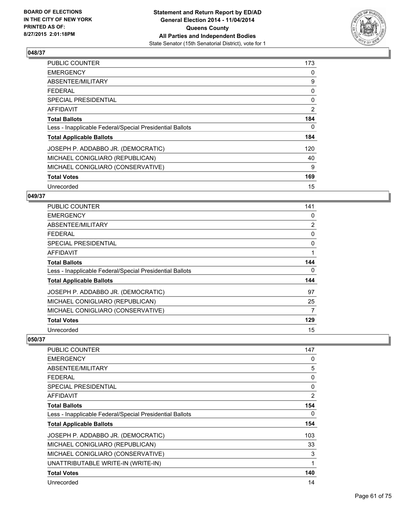

| PUBLIC COUNTER                                           | 173          |
|----------------------------------------------------------|--------------|
| <b>EMERGENCY</b>                                         | 0            |
| ABSENTEE/MILITARY                                        | 9            |
| <b>FEDERAL</b>                                           | 0            |
| <b>SPECIAL PRESIDENTIAL</b>                              | $\mathbf{0}$ |
| AFFIDAVIT                                                | 2            |
| <b>Total Ballots</b>                                     | 184          |
| Less - Inapplicable Federal/Special Presidential Ballots | 0            |
| <b>Total Applicable Ballots</b>                          | 184          |
| JOSEPH P. ADDABBO JR. (DEMOCRATIC)                       | 120          |
| MICHAEL CONIGLIARO (REPUBLICAN)                          | 40           |
| MICHAEL CONIGLIARO (CONSERVATIVE)                        | 9            |
| <b>Total Votes</b>                                       | 169          |
| Unrecorded                                               | 15           |

### **049/37**

| PUBLIC COUNTER                                           | 141            |
|----------------------------------------------------------|----------------|
| <b>EMERGENCY</b>                                         | 0              |
| ABSENTEE/MILITARY                                        | $\overline{2}$ |
| <b>FEDERAL</b>                                           | 0              |
| <b>SPECIAL PRESIDENTIAL</b>                              | 0              |
| <b>AFFIDAVIT</b>                                         |                |
| <b>Total Ballots</b>                                     | 144            |
| Less - Inapplicable Federal/Special Presidential Ballots | 0              |
| <b>Total Applicable Ballots</b>                          | 144            |
| JOSEPH P. ADDABBO JR. (DEMOCRATIC)                       | 97             |
| MICHAEL CONIGLIARO (REPUBLICAN)                          | 25             |
| MICHAEL CONIGLIARO (CONSERVATIVE)                        | 7              |
| <b>Total Votes</b>                                       | 129            |
| Unrecorded                                               | 15             |

| PUBLIC COUNTER                                           | 147            |
|----------------------------------------------------------|----------------|
| <b>EMERGENCY</b>                                         | 0              |
| ABSENTEE/MILITARY                                        | 5              |
| <b>FEDERAL</b>                                           | 0              |
| <b>SPECIAL PRESIDENTIAL</b>                              | 0              |
| AFFIDAVIT                                                | $\overline{2}$ |
| <b>Total Ballots</b>                                     | 154            |
| Less - Inapplicable Federal/Special Presidential Ballots | 0              |
| <b>Total Applicable Ballots</b>                          | 154            |
| JOSEPH P. ADDABBO JR. (DEMOCRATIC)                       | 103            |
| MICHAEL CONIGLIARO (REPUBLICAN)                          | 33             |
| MICHAEL CONIGLIARO (CONSERVATIVE)                        | 3              |
| UNATTRIBUTABLE WRITE-IN (WRITE-IN)                       | 1              |
| <b>Total Votes</b>                                       | 140            |
| Unrecorded                                               | 14             |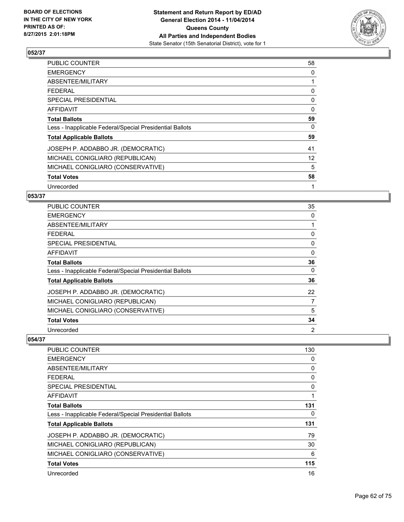

| <b>PUBLIC COUNTER</b>                                    | 58       |
|----------------------------------------------------------|----------|
| <b>EMERGENCY</b>                                         | 0        |
| ABSENTEE/MILITARY                                        |          |
| <b>FEDERAL</b>                                           | 0        |
| <b>SPECIAL PRESIDENTIAL</b>                              | 0        |
| <b>AFFIDAVIT</b>                                         | $\Omega$ |
| <b>Total Ballots</b>                                     | 59       |
| Less - Inapplicable Federal/Special Presidential Ballots | 0        |
| <b>Total Applicable Ballots</b>                          | 59       |
| JOSEPH P. ADDABBO JR. (DEMOCRATIC)                       | 41       |
| MICHAEL CONIGLIARO (REPUBLICAN)                          | 12       |
| MICHAEL CONIGLIARO (CONSERVATIVE)                        | 5        |
| <b>Total Votes</b>                                       | 58       |
| Unrecorded                                               | 1        |

#### **053/37**

| PUBLIC COUNTER                                           | 35 |
|----------------------------------------------------------|----|
| <b>EMERGENCY</b>                                         | 0  |
| ABSENTEE/MILITARY                                        |    |
| <b>FEDERAL</b>                                           | 0  |
| <b>SPECIAL PRESIDENTIAL</b>                              | 0  |
| AFFIDAVIT                                                | 0  |
| <b>Total Ballots</b>                                     | 36 |
| Less - Inapplicable Federal/Special Presidential Ballots | 0  |
| <b>Total Applicable Ballots</b>                          | 36 |
| JOSEPH P. ADDABBO JR. (DEMOCRATIC)                       | 22 |
| MICHAEL CONIGLIARO (REPUBLICAN)                          | 7  |
| MICHAEL CONIGLIARO (CONSERVATIVE)                        | 5  |
| <b>Total Votes</b>                                       | 34 |
| Unrecorded                                               | 2  |

| <b>PUBLIC COUNTER</b>                                    | 130 |
|----------------------------------------------------------|-----|
| <b>EMERGENCY</b>                                         | 0   |
| ABSENTEE/MILITARY                                        | 0   |
| <b>FEDERAL</b>                                           | 0   |
| <b>SPECIAL PRESIDENTIAL</b>                              | 0   |
| <b>AFFIDAVIT</b>                                         |     |
| <b>Total Ballots</b>                                     | 131 |
| Less - Inapplicable Federal/Special Presidential Ballots | 0   |
| <b>Total Applicable Ballots</b>                          | 131 |
| JOSEPH P. ADDABBO JR. (DEMOCRATIC)                       | 79  |
| MICHAEL CONIGLIARO (REPUBLICAN)                          | 30  |
| MICHAEL CONIGLIARO (CONSERVATIVE)                        | 6   |
| <b>Total Votes</b>                                       | 115 |
| Unrecorded                                               | 16  |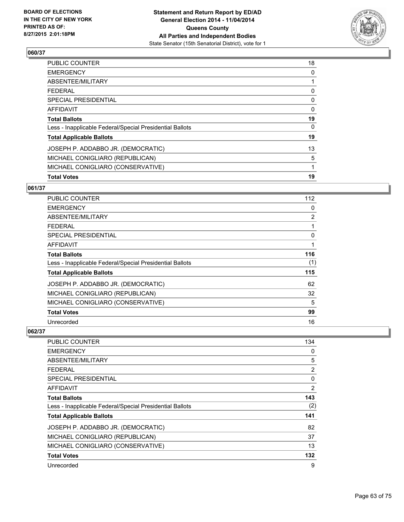

| <b>Total Votes</b>                                       | 19 |
|----------------------------------------------------------|----|
| MICHAEL CONIGLIARO (CONSERVATIVE)                        | 1  |
| MICHAEL CONIGLIARO (REPUBLICAN)                          | 5  |
| JOSEPH P. ADDABBO JR. (DEMOCRATIC)                       | 13 |
| <b>Total Applicable Ballots</b>                          | 19 |
| Less - Inapplicable Federal/Special Presidential Ballots | 0  |
| <b>Total Ballots</b>                                     | 19 |
| <b>AFFIDAVIT</b>                                         | 0  |
| <b>SPECIAL PRESIDENTIAL</b>                              | 0  |
| <b>FEDERAL</b>                                           | 0  |
| ABSENTEE/MILITARY                                        |    |
| <b>EMERGENCY</b>                                         | 0  |
| <b>PUBLIC COUNTER</b>                                    | 18 |

## **061/37**

| <b>PUBLIC COUNTER</b>                                    | 112            |
|----------------------------------------------------------|----------------|
| <b>EMERGENCY</b>                                         | 0              |
| ABSENTEE/MILITARY                                        | $\overline{2}$ |
| <b>FEDERAL</b>                                           | 1              |
| <b>SPECIAL PRESIDENTIAL</b>                              | 0              |
| <b>AFFIDAVIT</b>                                         | 1              |
| <b>Total Ballots</b>                                     | 116            |
| Less - Inapplicable Federal/Special Presidential Ballots | (1)            |
| <b>Total Applicable Ballots</b>                          | 115            |
| JOSEPH P. ADDABBO JR. (DEMOCRATIC)                       | 62             |
| MICHAEL CONIGLIARO (REPUBLICAN)                          | 32             |
| MICHAEL CONIGLIARO (CONSERVATIVE)                        | 5              |
| <b>Total Votes</b>                                       | 99             |
| Unrecorded                                               | 16             |

| PUBLIC COUNTER                                           | 134 |
|----------------------------------------------------------|-----|
| <b>EMERGENCY</b>                                         | 0   |
| ABSENTEE/MILITARY                                        | 5   |
| <b>FEDERAL</b>                                           | 2   |
| SPECIAL PRESIDENTIAL                                     | 0   |
| <b>AFFIDAVIT</b>                                         | 2   |
| <b>Total Ballots</b>                                     | 143 |
| Less - Inapplicable Federal/Special Presidential Ballots | (2) |
| <b>Total Applicable Ballots</b>                          | 141 |
| JOSEPH P. ADDABBO JR. (DEMOCRATIC)                       | 82  |
| MICHAEL CONIGLIARO (REPUBLICAN)                          | 37  |
| MICHAEL CONIGLIARO (CONSERVATIVE)                        | 13  |
| <b>Total Votes</b>                                       | 132 |
| Unrecorded                                               | 9   |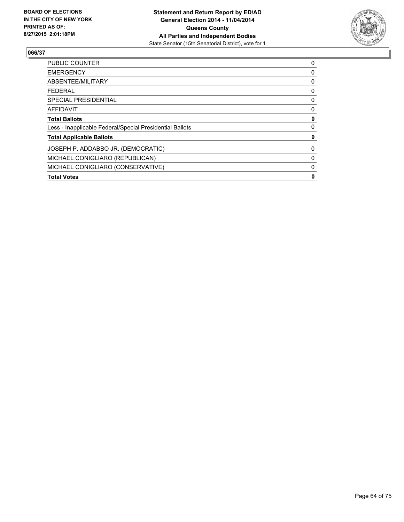

| <b>Total Votes</b>                                       | 0 |
|----------------------------------------------------------|---|
| MICHAEL CONIGLIARO (CONSERVATIVE)                        | 0 |
| MICHAEL CONIGLIARO (REPUBLICAN)                          | 0 |
| JOSEPH P. ADDABBO JR. (DEMOCRATIC)                       | 0 |
| <b>Total Applicable Ballots</b>                          | 0 |
| Less - Inapplicable Federal/Special Presidential Ballots | 0 |
| <b>Total Ballots</b>                                     | 0 |
| AFFIDAVIT                                                | 0 |
| <b>SPECIAL PRESIDENTIAL</b>                              | 0 |
| <b>FEDERAL</b>                                           | 0 |
| ABSENTEE/MILITARY                                        | 0 |
| <b>EMERGENCY</b>                                         | 0 |
| <b>PUBLIC COUNTER</b>                                    | 0 |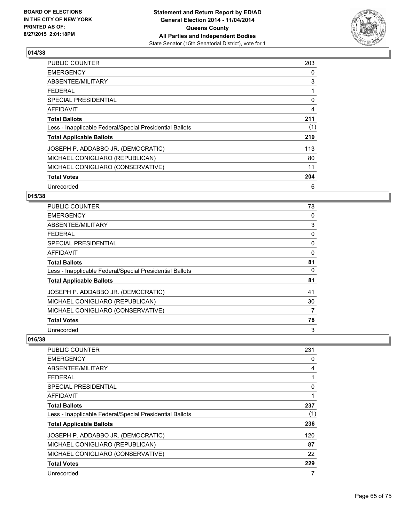

| <b>PUBLIC COUNTER</b>                                    | 203 |
|----------------------------------------------------------|-----|
| <b>EMERGENCY</b>                                         | 0   |
| ABSENTEE/MILITARY                                        | 3   |
| <b>FEDERAL</b>                                           |     |
| <b>SPECIAL PRESIDENTIAL</b>                              | 0   |
| <b>AFFIDAVIT</b>                                         | 4   |
| <b>Total Ballots</b>                                     | 211 |
| Less - Inapplicable Federal/Special Presidential Ballots | (1) |
| <b>Total Applicable Ballots</b>                          | 210 |
| JOSEPH P. ADDABBO JR. (DEMOCRATIC)                       | 113 |
| MICHAEL CONIGLIARO (REPUBLICAN)                          | 80  |
| MICHAEL CONIGLIARO (CONSERVATIVE)                        | 11  |
| <b>Total Votes</b>                                       | 204 |
| Unrecorded                                               | 6   |

## **015/38**

| PUBLIC COUNTER                                           | 78 |
|----------------------------------------------------------|----|
| <b>EMERGENCY</b>                                         | 0  |
| ABSENTEE/MILITARY                                        | 3  |
| <b>FEDERAL</b>                                           | 0  |
| <b>SPECIAL PRESIDENTIAL</b>                              | 0  |
| AFFIDAVIT                                                | 0  |
| <b>Total Ballots</b>                                     | 81 |
| Less - Inapplicable Federal/Special Presidential Ballots | 0  |
| <b>Total Applicable Ballots</b>                          | 81 |
| JOSEPH P. ADDABBO JR. (DEMOCRATIC)                       | 41 |
| MICHAEL CONIGLIARO (REPUBLICAN)                          | 30 |
| MICHAEL CONIGLIARO (CONSERVATIVE)                        | 7  |
| <b>Total Votes</b>                                       | 78 |
| Unrecorded                                               | 3  |

| <b>PUBLIC COUNTER</b>                                    | 231 |
|----------------------------------------------------------|-----|
| <b>EMERGENCY</b>                                         | 0   |
| ABSENTEE/MILITARY                                        | 4   |
| <b>FEDERAL</b>                                           |     |
| <b>SPECIAL PRESIDENTIAL</b>                              | 0   |
| AFFIDAVIT                                                |     |
| <b>Total Ballots</b>                                     | 237 |
| Less - Inapplicable Federal/Special Presidential Ballots | (1) |
| <b>Total Applicable Ballots</b>                          | 236 |
| JOSEPH P. ADDABBO JR. (DEMOCRATIC)                       | 120 |
| MICHAEL CONIGLIARO (REPUBLICAN)                          | 87  |
| MICHAEL CONIGLIARO (CONSERVATIVE)                        | 22  |
| <b>Total Votes</b>                                       | 229 |
| Unrecorded                                               |     |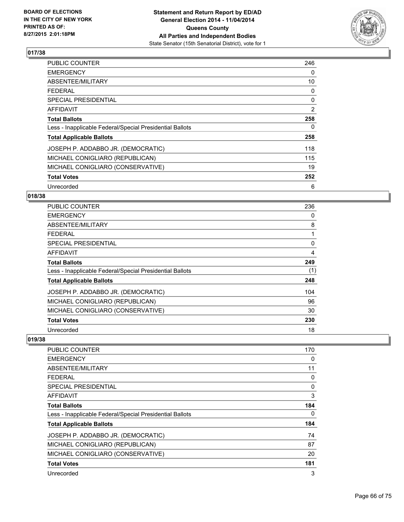

| <b>PUBLIC COUNTER</b>                                    | 246 |
|----------------------------------------------------------|-----|
| <b>EMERGENCY</b>                                         | 0   |
| ABSENTEE/MILITARY                                        | 10  |
| <b>FEDERAL</b>                                           | 0   |
| <b>SPECIAL PRESIDENTIAL</b>                              | 0   |
| <b>AFFIDAVIT</b>                                         | 2   |
| <b>Total Ballots</b>                                     | 258 |
| Less - Inapplicable Federal/Special Presidential Ballots | 0   |
| <b>Total Applicable Ballots</b>                          | 258 |
| JOSEPH P. ADDABBO JR. (DEMOCRATIC)                       | 118 |
| MICHAEL CONIGLIARO (REPUBLICAN)                          | 115 |
| MICHAEL CONIGLIARO (CONSERVATIVE)                        | 19  |
| <b>Total Votes</b>                                       | 252 |
| Unrecorded                                               | 6   |

## **018/38**

| <b>PUBLIC COUNTER</b>                                    | 236 |
|----------------------------------------------------------|-----|
| <b>EMERGENCY</b>                                         | 0   |
| ABSENTEE/MILITARY                                        | 8   |
| <b>FEDERAL</b>                                           |     |
| <b>SPECIAL PRESIDENTIAL</b>                              | 0   |
| <b>AFFIDAVIT</b>                                         | 4   |
| <b>Total Ballots</b>                                     | 249 |
| Less - Inapplicable Federal/Special Presidential Ballots | (1) |
| <b>Total Applicable Ballots</b>                          | 248 |
| JOSEPH P. ADDABBO JR. (DEMOCRATIC)                       | 104 |
| MICHAEL CONIGLIARO (REPUBLICAN)                          | 96  |
| MICHAEL CONIGLIARO (CONSERVATIVE)                        | 30  |
| <b>Total Votes</b>                                       | 230 |
| Unrecorded                                               | 18  |

| <b>PUBLIC COUNTER</b>                                    | 170 |
|----------------------------------------------------------|-----|
| <b>EMERGENCY</b>                                         | 0   |
| ABSENTEE/MILITARY                                        | 11  |
| <b>FEDERAL</b>                                           | 0   |
| SPECIAL PRESIDENTIAL                                     | 0   |
| AFFIDAVIT                                                | 3   |
| <b>Total Ballots</b>                                     | 184 |
| Less - Inapplicable Federal/Special Presidential Ballots | 0   |
| <b>Total Applicable Ballots</b>                          | 184 |
| JOSEPH P. ADDABBO JR. (DEMOCRATIC)                       | 74  |
| MICHAEL CONIGLIARO (REPUBLICAN)                          | 87  |
| MICHAEL CONIGLIARO (CONSERVATIVE)                        | 20  |
| <b>Total Votes</b>                                       | 181 |
| Unrecorded                                               | 3   |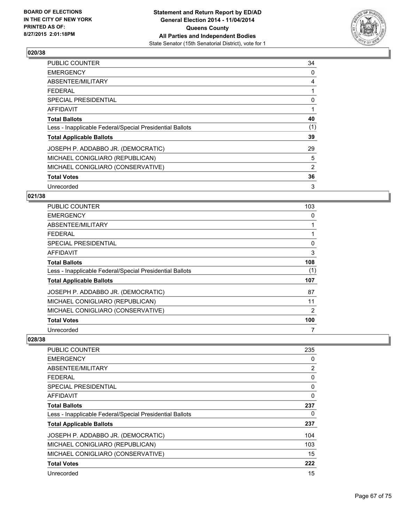

| <b>PUBLIC COUNTER</b>                                    | 34  |
|----------------------------------------------------------|-----|
| <b>EMERGENCY</b>                                         | 0   |
| ABSENTEE/MILITARY                                        | 4   |
| <b>FEDERAL</b>                                           |     |
| <b>SPECIAL PRESIDENTIAL</b>                              | 0   |
| <b>AFFIDAVIT</b>                                         |     |
| <b>Total Ballots</b>                                     | 40  |
| Less - Inapplicable Federal/Special Presidential Ballots | (1) |
| <b>Total Applicable Ballots</b>                          | 39  |
| JOSEPH P. ADDABBO JR. (DEMOCRATIC)                       | 29  |
| MICHAEL CONIGLIARO (REPUBLICAN)                          | 5   |
| MICHAEL CONIGLIARO (CONSERVATIVE)                        | 2   |
| <b>Total Votes</b>                                       | 36  |
| Unrecorded                                               | 3   |

## **021/38**

| PUBLIC COUNTER                                           | 103 |
|----------------------------------------------------------|-----|
| <b>EMERGENCY</b>                                         | 0   |
| ABSENTEE/MILITARY                                        |     |
| <b>FEDERAL</b>                                           |     |
| <b>SPECIAL PRESIDENTIAL</b>                              | 0   |
| AFFIDAVIT                                                | 3   |
| <b>Total Ballots</b>                                     | 108 |
| Less - Inapplicable Federal/Special Presidential Ballots | (1) |
| <b>Total Applicable Ballots</b>                          | 107 |
| JOSEPH P. ADDABBO JR. (DEMOCRATIC)                       | 87  |
| MICHAEL CONIGLIARO (REPUBLICAN)                          | 11  |
| MICHAEL CONIGLIARO (CONSERVATIVE)                        | 2   |
| <b>Total Votes</b>                                       | 100 |
| Unrecorded                                               | 7   |

| <b>PUBLIC COUNTER</b>                                    | 235 |
|----------------------------------------------------------|-----|
| <b>EMERGENCY</b>                                         | 0   |
| ABSENTEE/MILITARY                                        | 2   |
| FEDERAL                                                  | 0   |
| SPECIAL PRESIDENTIAL                                     | 0   |
| AFFIDAVIT                                                | 0   |
| <b>Total Ballots</b>                                     | 237 |
| Less - Inapplicable Federal/Special Presidential Ballots | 0   |
| <b>Total Applicable Ballots</b>                          | 237 |
| JOSEPH P. ADDABBO JR. (DEMOCRATIC)                       | 104 |
| MICHAEL CONIGLIARO (REPUBLICAN)                          | 103 |
| MICHAEL CONIGLIARO (CONSERVATIVE)                        | 15  |
| <b>Total Votes</b>                                       | 222 |
| Unrecorded                                               | 15  |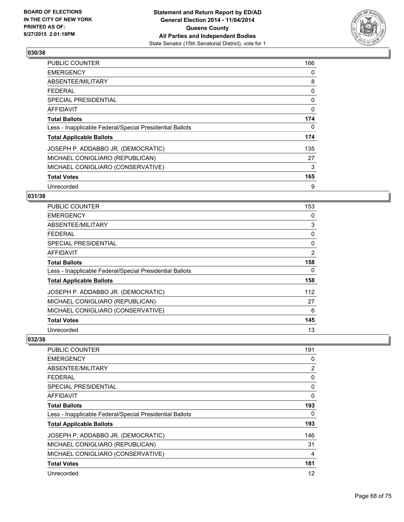

| <b>PUBLIC COUNTER</b>                                    | 166      |
|----------------------------------------------------------|----------|
| <b>EMERGENCY</b>                                         | 0        |
| ABSENTEE/MILITARY                                        | 8        |
| <b>FEDERAL</b>                                           | 0        |
| <b>SPECIAL PRESIDENTIAL</b>                              | 0        |
| AFFIDAVIT                                                | $\Omega$ |
| <b>Total Ballots</b>                                     | 174      |
| Less - Inapplicable Federal/Special Presidential Ballots | 0        |
| <b>Total Applicable Ballots</b>                          | 174      |
| JOSEPH P. ADDABBO JR. (DEMOCRATIC)                       | 135      |
| MICHAEL CONIGLIARO (REPUBLICAN)                          | 27       |
| MICHAEL CONIGLIARO (CONSERVATIVE)                        | 3        |
| <b>Total Votes</b>                                       | 165      |
| Unrecorded                                               | 9        |

## **031/38**

| PUBLIC COUNTER                                           | 153            |
|----------------------------------------------------------|----------------|
| <b>EMERGENCY</b>                                         | 0              |
| ABSENTEE/MILITARY                                        | 3              |
| <b>FEDERAL</b>                                           | 0              |
| SPECIAL PRESIDENTIAL                                     | 0              |
| AFFIDAVIT                                                | $\overline{2}$ |
| <b>Total Ballots</b>                                     | 158            |
| Less - Inapplicable Federal/Special Presidential Ballots | 0              |
| <b>Total Applicable Ballots</b>                          | 158            |
| JOSEPH P. ADDABBO JR. (DEMOCRATIC)                       | 112            |
| MICHAEL CONIGLIARO (REPUBLICAN)                          | 27             |
| MICHAEL CONIGLIARO (CONSERVATIVE)                        | 6              |
| <b>Total Votes</b>                                       | 145            |
| Unrecorded                                               | 13             |

| <b>PUBLIC COUNTER</b>                                    | 191            |
|----------------------------------------------------------|----------------|
| <b>EMERGENCY</b>                                         | 0              |
| ABSENTEE/MILITARY                                        | $\overline{2}$ |
| <b>FEDERAL</b>                                           | 0              |
| SPECIAL PRESIDENTIAL                                     | 0              |
| AFFIDAVIT                                                | 0              |
| <b>Total Ballots</b>                                     | 193            |
| Less - Inapplicable Federal/Special Presidential Ballots | 0              |
| <b>Total Applicable Ballots</b>                          | 193            |
| JOSEPH P. ADDABBO JR. (DEMOCRATIC)                       | 146            |
| MICHAEL CONIGLIARO (REPUBLICAN)                          | 31             |
| MICHAEL CONIGLIARO (CONSERVATIVE)                        | 4              |
| <b>Total Votes</b>                                       | 181            |
| Unrecorded                                               | 12             |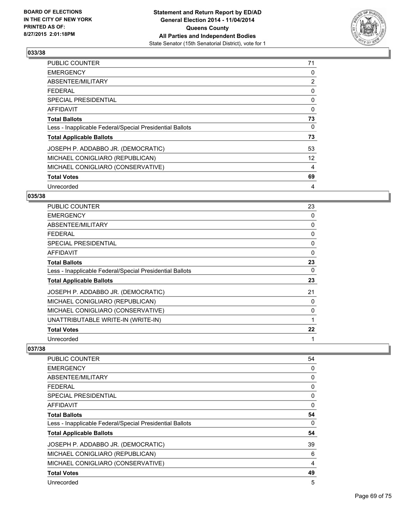

| <b>PUBLIC COUNTER</b>                                    | 71 |
|----------------------------------------------------------|----|
| <b>EMERGENCY</b>                                         | 0  |
| ABSENTEE/MILITARY                                        | 2  |
| FEDERAL                                                  | 0  |
| <b>SPECIAL PRESIDENTIAL</b>                              | 0  |
| AFFIDAVIT                                                | 0  |
| <b>Total Ballots</b>                                     | 73 |
| Less - Inapplicable Federal/Special Presidential Ballots | 0  |
| <b>Total Applicable Ballots</b>                          | 73 |
| JOSEPH P. ADDABBO JR. (DEMOCRATIC)                       | 53 |
| MICHAEL CONIGLIARO (REPUBLICAN)                          | 12 |
| MICHAEL CONIGLIARO (CONSERVATIVE)                        | 4  |
| <b>Total Votes</b>                                       | 69 |
| Unrecorded                                               | 4  |

## **035/38**

| PUBLIC COUNTER                                           | 23 |
|----------------------------------------------------------|----|
| <b>EMERGENCY</b>                                         | 0  |
| ABSENTEE/MILITARY                                        | 0  |
| <b>FEDERAL</b>                                           | 0  |
| <b>SPECIAL PRESIDENTIAL</b>                              | 0  |
| AFFIDAVIT                                                | 0  |
| <b>Total Ballots</b>                                     | 23 |
| Less - Inapplicable Federal/Special Presidential Ballots | 0  |
| <b>Total Applicable Ballots</b>                          | 23 |
| JOSEPH P. ADDABBO JR. (DEMOCRATIC)                       | 21 |
| MICHAEL CONIGLIARO (REPUBLICAN)                          | 0  |
| MICHAEL CONIGLIARO (CONSERVATIVE)                        | 0  |
| UNATTRIBUTABLE WRITE-IN (WRITE-IN)                       |    |
| <b>Total Votes</b>                                       | 22 |
| Unrecorded                                               | 1  |

| PUBLIC COUNTER                                           | 54 |
|----------------------------------------------------------|----|
| <b>EMERGENCY</b>                                         | 0  |
| ABSENTEE/MILITARY                                        | 0  |
| <b>FEDERAL</b>                                           | 0  |
| SPECIAL PRESIDENTIAL                                     | 0  |
| AFFIDAVIT                                                | 0  |
| <b>Total Ballots</b>                                     | 54 |
| Less - Inapplicable Federal/Special Presidential Ballots | 0  |
| <b>Total Applicable Ballots</b>                          | 54 |
| JOSEPH P. ADDABBO JR. (DEMOCRATIC)                       | 39 |
| MICHAEL CONIGLIARO (REPUBLICAN)                          | 6  |
| MICHAEL CONIGLIARO (CONSERVATIVE)                        | 4  |
| <b>Total Votes</b>                                       | 49 |
| Unrecorded                                               | 5  |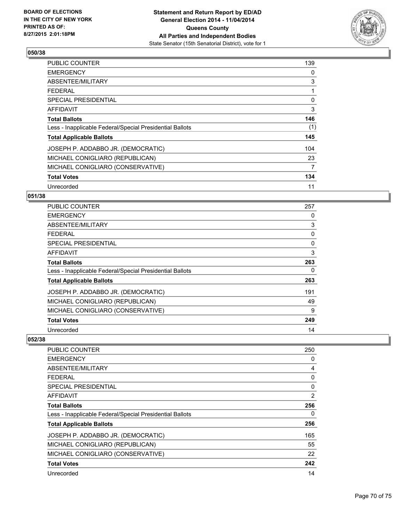

| PUBLIC COUNTER                                           | 139 |
|----------------------------------------------------------|-----|
| <b>EMERGENCY</b>                                         | 0   |
| ABSENTEE/MILITARY                                        | 3   |
| <b>FEDERAL</b>                                           | 1   |
| SPECIAL PRESIDENTIAL                                     | 0   |
| AFFIDAVIT                                                | 3   |
| <b>Total Ballots</b>                                     | 146 |
| Less - Inapplicable Federal/Special Presidential Ballots | (1) |
| <b>Total Applicable Ballots</b>                          | 145 |
| JOSEPH P. ADDABBO JR. (DEMOCRATIC)                       | 104 |
| MICHAEL CONIGLIARO (REPUBLICAN)                          | 23  |
| MICHAEL CONIGLIARO (CONSERVATIVE)                        | 7   |
| <b>Total Votes</b>                                       | 134 |
| Unrecorded                                               | 11  |

## **051/38**

| PUBLIC COUNTER                                           | 257 |
|----------------------------------------------------------|-----|
| <b>EMERGENCY</b>                                         | 0   |
| ABSENTEE/MILITARY                                        | 3   |
| <b>FEDERAL</b>                                           | 0   |
| <b>SPECIAL PRESIDENTIAL</b>                              | 0   |
| AFFIDAVIT                                                | 3   |
| <b>Total Ballots</b>                                     | 263 |
| Less - Inapplicable Federal/Special Presidential Ballots | 0   |
| <b>Total Applicable Ballots</b>                          | 263 |
| JOSEPH P. ADDABBO JR. (DEMOCRATIC)                       | 191 |
| MICHAEL CONIGLIARO (REPUBLICAN)                          | 49  |
| MICHAEL CONIGLIARO (CONSERVATIVE)                        | 9   |
| <b>Total Votes</b>                                       | 249 |
| Unrecorded                                               | 14  |

| <b>PUBLIC COUNTER</b>                                    | 250 |
|----------------------------------------------------------|-----|
| <b>EMERGENCY</b>                                         | 0   |
| ABSENTEE/MILITARY                                        | 4   |
| <b>FEDERAL</b>                                           | 0   |
| SPECIAL PRESIDENTIAL                                     | 0   |
| AFFIDAVIT                                                | 2   |
| <b>Total Ballots</b>                                     | 256 |
| Less - Inapplicable Federal/Special Presidential Ballots | 0   |
| <b>Total Applicable Ballots</b>                          | 256 |
| JOSEPH P. ADDABBO JR. (DEMOCRATIC)                       | 165 |
| MICHAEL CONIGLIARO (REPUBLICAN)                          | 55  |
| MICHAEL CONIGLIARO (CONSERVATIVE)                        | 22  |
| <b>Total Votes</b>                                       | 242 |
| Unrecorded                                               | 14  |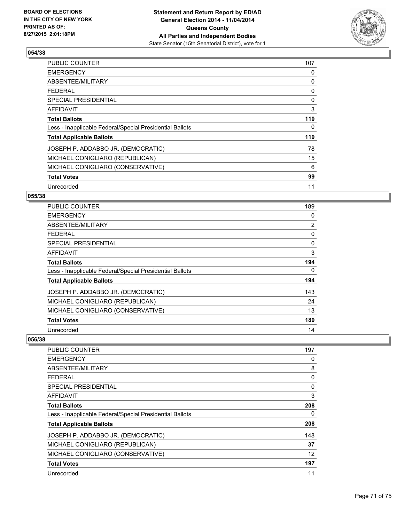

| <b>PUBLIC COUNTER</b>                                    | 107 |
|----------------------------------------------------------|-----|
| <b>EMERGENCY</b>                                         | 0   |
| ABSENTEE/MILITARY                                        | 0   |
| <b>FEDERAL</b>                                           | 0   |
| SPECIAL PRESIDENTIAL                                     | 0   |
| AFFIDAVIT                                                | 3   |
| <b>Total Ballots</b>                                     | 110 |
| Less - Inapplicable Federal/Special Presidential Ballots | 0   |
| <b>Total Applicable Ballots</b>                          | 110 |
| JOSEPH P. ADDABBO JR. (DEMOCRATIC)                       | 78  |
| MICHAEL CONIGLIARO (REPUBLICAN)                          | 15  |
| MICHAEL CONIGLIARO (CONSERVATIVE)                        | 6   |
| <b>Total Votes</b>                                       | 99  |
| Unrecorded                                               | 11  |

## **055/38**

| PUBLIC COUNTER                                           | 189            |
|----------------------------------------------------------|----------------|
| <b>EMERGENCY</b>                                         | 0              |
| ABSENTEE/MILITARY                                        | $\overline{2}$ |
| <b>FEDERAL</b>                                           | 0              |
| <b>SPECIAL PRESIDENTIAL</b>                              | $\Omega$       |
| <b>AFFIDAVIT</b>                                         | 3              |
| <b>Total Ballots</b>                                     | 194            |
| Less - Inapplicable Federal/Special Presidential Ballots | 0              |
| <b>Total Applicable Ballots</b>                          | 194            |
| JOSEPH P. ADDABBO JR. (DEMOCRATIC)                       | 143            |
| MICHAEL CONIGLIARO (REPUBLICAN)                          | 24             |
| MICHAEL CONIGLIARO (CONSERVATIVE)                        | 13             |
| <b>Total Votes</b>                                       | 180            |
| Unrecorded                                               | 14             |

| <b>PUBLIC COUNTER</b>                                    | 197 |
|----------------------------------------------------------|-----|
| <b>EMERGENCY</b>                                         | 0   |
| ABSENTEE/MILITARY                                        | 8   |
| <b>FEDERAL</b>                                           | 0   |
| SPECIAL PRESIDENTIAL                                     | 0   |
| AFFIDAVIT                                                | 3   |
| <b>Total Ballots</b>                                     | 208 |
| Less - Inapplicable Federal/Special Presidential Ballots | 0   |
| <b>Total Applicable Ballots</b>                          | 208 |
| JOSEPH P. ADDABBO JR. (DEMOCRATIC)                       | 148 |
| MICHAEL CONIGLIARO (REPUBLICAN)                          | 37  |
| MICHAEL CONIGLIARO (CONSERVATIVE)                        | 12  |
| <b>Total Votes</b>                                       | 197 |
| Unrecorded                                               | 11  |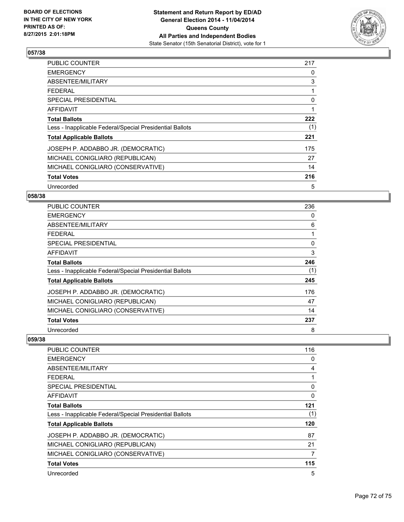

| PUBLIC COUNTER                                           | 217 |
|----------------------------------------------------------|-----|
| <b>EMERGENCY</b>                                         | 0   |
| ABSENTEE/MILITARY                                        | 3   |
| <b>FEDERAL</b>                                           |     |
| SPECIAL PRESIDENTIAL                                     | 0   |
| AFFIDAVIT                                                | 1   |
| <b>Total Ballots</b>                                     | 222 |
| Less - Inapplicable Federal/Special Presidential Ballots | (1) |
| <b>Total Applicable Ballots</b>                          | 221 |
| JOSEPH P. ADDABBO JR. (DEMOCRATIC)                       | 175 |
| MICHAEL CONIGLIARO (REPUBLICAN)                          | 27  |
| MICHAEL CONIGLIARO (CONSERVATIVE)                        | 14  |
| <b>Total Votes</b>                                       | 216 |
| Unrecorded                                               | 5   |

## **058/38**

| <b>PUBLIC COUNTER</b>                                    | 236 |
|----------------------------------------------------------|-----|
| <b>EMERGENCY</b>                                         | 0   |
| ABSENTEE/MILITARY                                        | 6   |
| <b>FEDERAL</b>                                           |     |
| SPECIAL PRESIDENTIAL                                     | 0   |
| <b>AFFIDAVIT</b>                                         | 3   |
| <b>Total Ballots</b>                                     | 246 |
| Less - Inapplicable Federal/Special Presidential Ballots | (1) |
| <b>Total Applicable Ballots</b>                          | 245 |
| JOSEPH P. ADDABBO JR. (DEMOCRATIC)                       | 176 |
| MICHAEL CONIGLIARO (REPUBLICAN)                          | 47  |
| MICHAEL CONIGLIARO (CONSERVATIVE)                        | 14  |
| <b>Total Votes</b>                                       | 237 |
| Unrecorded                                               | 8   |

| <b>PUBLIC COUNTER</b>                                    | 116 |
|----------------------------------------------------------|-----|
| <b>EMERGENCY</b>                                         | 0   |
| ABSENTEE/MILITARY                                        | 4   |
| <b>FEDERAL</b>                                           |     |
| SPECIAL PRESIDENTIAL                                     | 0   |
| AFFIDAVIT                                                | 0   |
| <b>Total Ballots</b>                                     | 121 |
| Less - Inapplicable Federal/Special Presidential Ballots | (1) |
| <b>Total Applicable Ballots</b>                          | 120 |
| JOSEPH P. ADDABBO JR. (DEMOCRATIC)                       | 87  |
| MICHAEL CONIGLIARO (REPUBLICAN)                          | 21  |
| MICHAEL CONIGLIARO (CONSERVATIVE)                        | 7   |
| <b>Total Votes</b>                                       | 115 |
| Unrecorded                                               | 5   |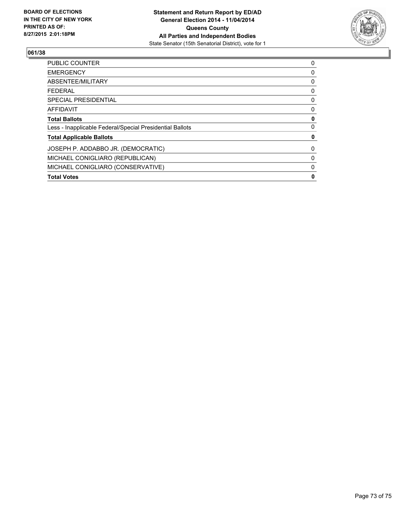

## **061/38**

| <b>Total Votes</b>                                       | 0 |
|----------------------------------------------------------|---|
| MICHAEL CONIGLIARO (CONSERVATIVE)                        | 0 |
| MICHAEL CONIGLIARO (REPUBLICAN)                          | 0 |
| JOSEPH P. ADDABBO JR. (DEMOCRATIC)                       | 0 |
| <b>Total Applicable Ballots</b>                          | 0 |
| Less - Inapplicable Federal/Special Presidential Ballots | 0 |
| <b>Total Ballots</b>                                     | 0 |
| <b>AFFIDAVIT</b>                                         | 0 |
| <b>SPECIAL PRESIDENTIAL</b>                              | 0 |
| <b>FEDERAL</b>                                           | 0 |
| ABSENTEE/MILITARY                                        | 0 |
| <b>EMERGENCY</b>                                         | 0 |
| <b>PUBLIC COUNTER</b>                                    | 0 |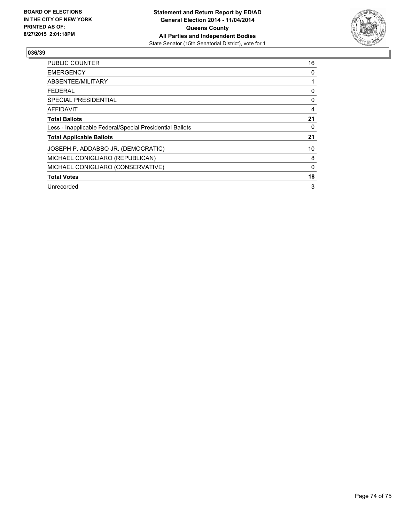

## **036/39**

| PUBLIC COUNTER                                           | 16       |
|----------------------------------------------------------|----------|
| <b>EMERGENCY</b>                                         | 0        |
| ABSENTEE/MILITARY                                        |          |
| <b>FEDERAL</b>                                           | 0        |
| SPECIAL PRESIDENTIAL                                     | 0        |
| AFFIDAVIT                                                | 4        |
| <b>Total Ballots</b>                                     | 21       |
| Less - Inapplicable Federal/Special Presidential Ballots | 0        |
| <b>Total Applicable Ballots</b>                          | 21       |
| JOSEPH P. ADDABBO JR. (DEMOCRATIC)                       | 10       |
| MICHAEL CONIGLIARO (REPUBLICAN)                          | 8        |
| MICHAEL CONIGLIARO (CONSERVATIVE)                        | $\Omega$ |
| <b>Total Votes</b>                                       | 18       |
| Unrecorded                                               | 3        |